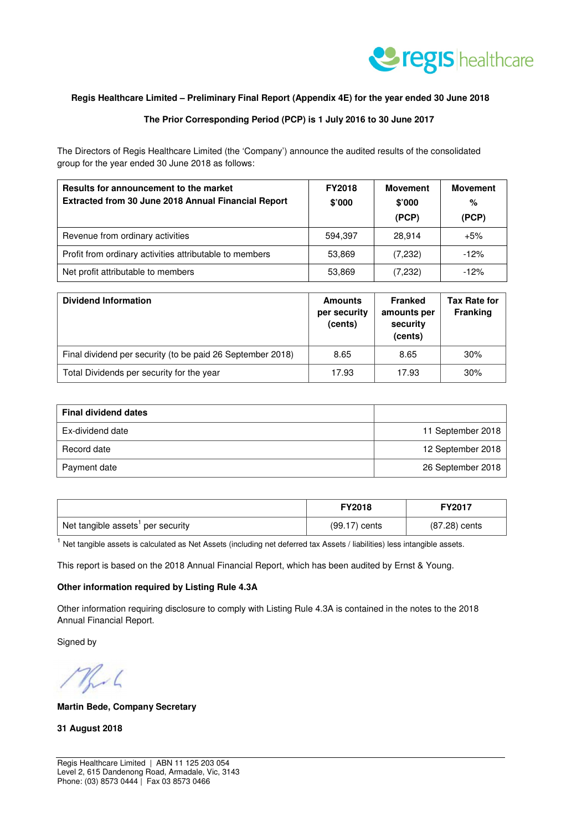

#### **Regis Healthcare Limited – Preliminary Final Report (Appendix 4E) for the year ended 30 June 2018**

#### **The Prior Corresponding Period (PCP) is 1 July 2016 to 30 June 2017**

The Directors of Regis Healthcare Limited (the 'Company') announce the audited results of the consolidated group for the year ended 30 June 2018 as follows:

| Results for announcement to the market<br>Extracted from 30 June 2018 Annual Financial Report | <b>FY2018</b><br>\$'000 | <b>Movement</b><br>\$'000<br>(PCP) | <b>Movement</b><br>%<br>(PCP) |
|-----------------------------------------------------------------------------------------------|-------------------------|------------------------------------|-------------------------------|
| Revenue from ordinary activities                                                              | 594.397                 | 28.914                             | $+5%$                         |
| Profit from ordinary activities attributable to members                                       | 53,869                  | (7,232)                            | $-12%$                        |
| Net profit attributable to members                                                            | 53,869                  | (7,232)                            | $-12%$                        |

| <b>Dividend Information</b>                                | <b>Amounts</b><br>per security<br>(cents) | Franked<br>amounts per<br>security<br>(cents) | <b>Tax Rate for</b><br><b>Franking</b> |
|------------------------------------------------------------|-------------------------------------------|-----------------------------------------------|----------------------------------------|
| Final dividend per security (to be paid 26 September 2018) | 8.65                                      | 8.65                                          | 30%                                    |
| Total Dividends per security for the year                  | 17.93                                     | 17.93                                         | 30%                                    |

| <b>Final dividend dates</b> |                   |
|-----------------------------|-------------------|
| Ex-dividend date            | 11 September 2018 |
| Record date                 | 12 September 2018 |
| Payment date                | 26 September 2018 |

|                                               | <b>FY2018</b>   | <b>FY2017</b> |
|-----------------------------------------------|-----------------|---------------|
| Net tangible assets <sup>1</sup> per security | $(99.17)$ cents | (87.28) cents |

<sup>1</sup> Net tangible assets is calculated as Net Assets (including net deferred tax Assets / liabilities) less intangible assets.

This report is based on the 2018 Annual Financial Report, which has been audited by Ernst & Young.

#### **Other information required by Listing Rule 4.3A**

Other information requiring disclosure to comply with Listing Rule 4.3A is contained in the notes to the 2018 Annual Financial Report.

Signed by

76-6

#### **Martin Bede, Company Secretary**

**31 August 2018**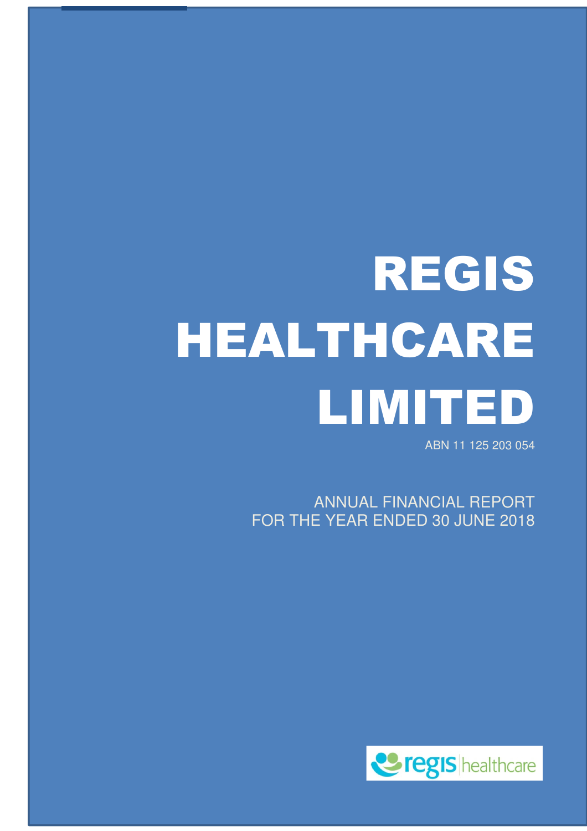# REGIS HEALTHCARE LIMITED

ABN 11 125 203 054

ANNUAL FINANCIAL REPORT FOR THE YEAR ENDED 30 JUNE 2018

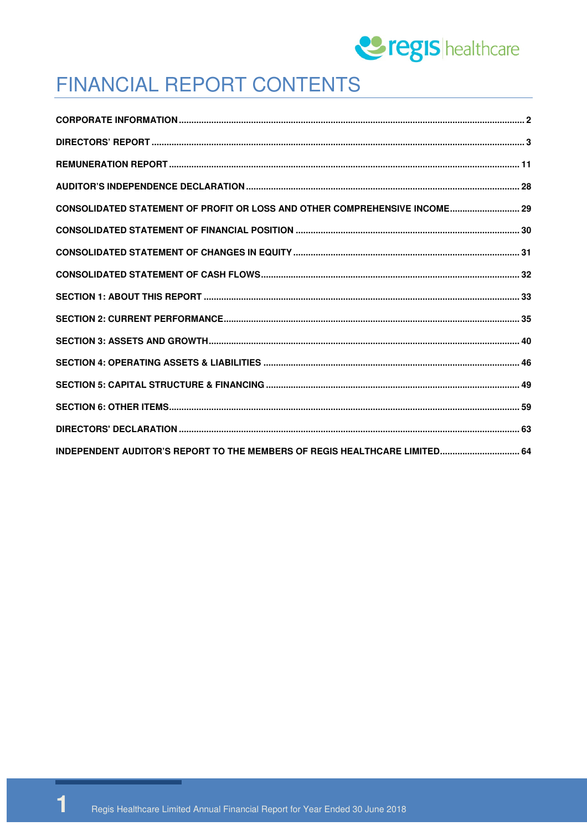

# FINANCIAL REPORT CONTENTS

| CONSOLIDATED STATEMENT OF PROFIT OR LOSS AND OTHER COMPREHENSIVE INCOME 29 |  |
|----------------------------------------------------------------------------|--|
|                                                                            |  |
|                                                                            |  |
|                                                                            |  |
|                                                                            |  |
|                                                                            |  |
|                                                                            |  |
|                                                                            |  |
|                                                                            |  |
|                                                                            |  |
|                                                                            |  |
| INDEPENDENT AUDITOR'S REPORT TO THE MEMBERS OF REGIS HEALTHCARE LIMITED 64 |  |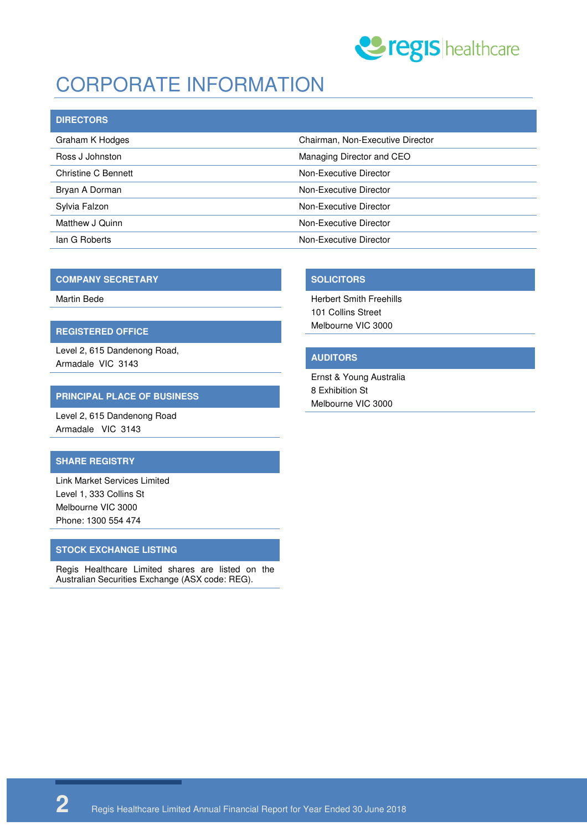

# CORPORATE INFORMATION

| <b>DIRECTORS</b>    |                                  |
|---------------------|----------------------------------|
| Graham K Hodges     | Chairman, Non-Executive Director |
| Ross J Johnston     | Managing Director and CEO        |
| Christine C Bennett | Non-Executive Director           |
| Bryan A Dorman      | Non-Executive Director           |
| Sylvia Falzon       | Non-Executive Director           |
| Matthew J Quinn     | Non-Executive Director           |
| lan G Roberts       | Non-Executive Director           |

#### **COMPANY SECRETARY**

Martin Bede

#### **REGISTERED OFFICE**

Level 2, 615 Dandenong Road, Armadale VIC 3143

#### **PRINCIPAL PLACE OF BUSINESS**

Level 2, 615 Dandenong Road Armadale VIC 3143

#### **SHARE REGISTRY**

Link Market Services Limited Level 1, 333 Collins St Melbourne VIC 3000 Phone: 1300 554 474

#### **STOCK EXCHANGE LISTING**

Regis Healthcare Limited shares are listed on the Australian Securities Exchange (ASX code: REG).

#### **SOLICITORS**

Herbert Smith Freehills 101 Collins Street Melbourne VIC 3000

#### **AUDITORS**

Ernst & Young Australia 8 Exhibition St Melbourne VIC 3000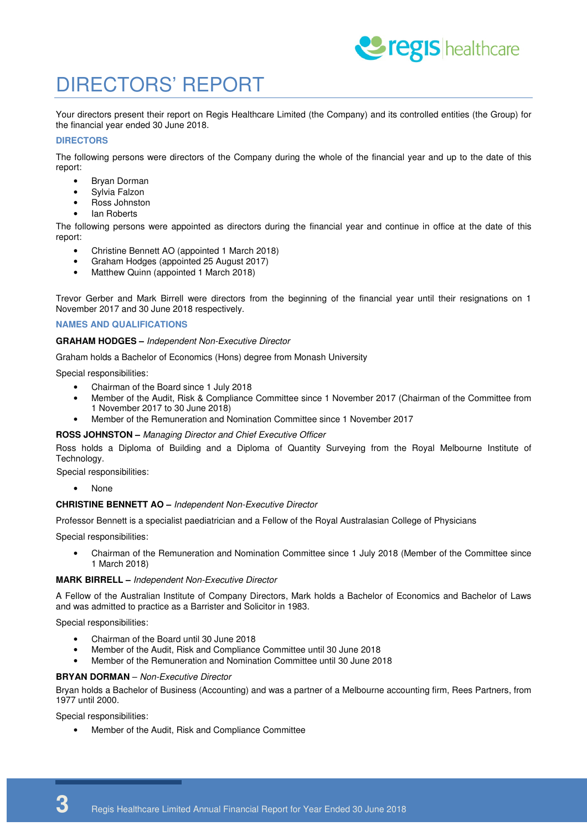

# DIRECTORS' REPORT

Your directors present their report on Regis Healthcare Limited (the Company) and its controlled entities (the Group) for the financial year ended 30 June 2018.

#### **DIRECTORS**

The following persons were directors of the Company during the whole of the financial year and up to the date of this report:

- Bryan Dorman
- Sylvia Falzon
- Ross Johnston
- Ian Roberts

The following persons were appointed as directors during the financial year and continue in office at the date of this report:

- Christine Bennett AO (appointed 1 March 2018)
- Graham Hodges (appointed 25 August 2017)
- Matthew Quinn (appointed 1 March 2018)

Trevor Gerber and Mark Birrell were directors from the beginning of the financial year until their resignations on 1 November 2017 and 30 June 2018 respectively.

#### **NAMES AND QUALIFICATIONS**

#### **GRAHAM HODGES –** Independent Non-Executive Director

Graham holds a Bachelor of Economics (Hons) degree from Monash University

Special responsibilities:

- Chairman of the Board since 1 July 2018
- Member of the Audit, Risk & Compliance Committee since 1 November 2017 (Chairman of the Committee from 1 November 2017 to 30 June 2018)
- Member of the Remuneration and Nomination Committee since 1 November 2017

#### **ROSS JOHNSTON –** Managing Director and Chief Executive Officer

Ross holds a Diploma of Building and a Diploma of Quantity Surveying from the Royal Melbourne Institute of Technology.

Special responsibilities:

• None

#### **CHRISTINE BENNETT AO –** Independent Non-Executive Director

Professor Bennett is a specialist paediatrician and a Fellow of the Royal Australasian College of Physicians

Special responsibilities:

• Chairman of the Remuneration and Nomination Committee since 1 July 2018 (Member of the Committee since 1 March 2018)

#### **MARK BIRRELL –** Independent Non-Executive Director

A Fellow of the Australian Institute of Company Directors, Mark holds a Bachelor of Economics and Bachelor of Laws and was admitted to practice as a Barrister and Solicitor in 1983.

Special responsibilities:

- Chairman of the Board until 30 June 2018
- Member of the Audit, Risk and Compliance Committee until 30 June 2018
- Member of the Remuneration and Nomination Committee until 30 June 2018

#### **BRYAN DORMAN** – Non-Executive Director

Bryan holds a Bachelor of Business (Accounting) and was a partner of a Melbourne accounting firm, Rees Partners, from 1977 until 2000.

Special responsibilities:

• Member of the Audit, Risk and Compliance Committee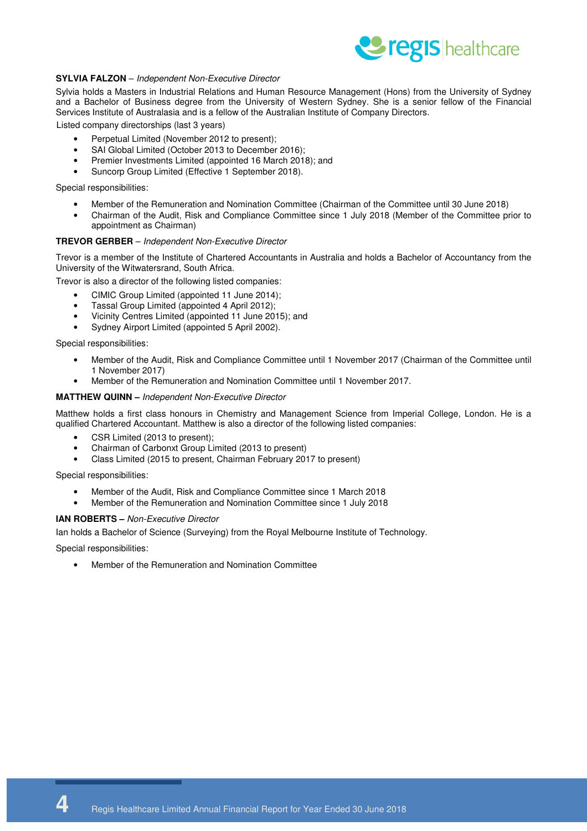

#### **SYLVIA FALZON** – Independent Non-Executive Director

Sylvia holds a Masters in Industrial Relations and Human Resource Management (Hons) from the University of Sydney and a Bachelor of Business degree from the University of Western Sydney. She is a senior fellow of the Financial Services Institute of Australasia and is a fellow of the Australian Institute of Company Directors.

Listed company directorships (last 3 years)

- Perpetual Limited (November 2012 to present);
- SAI Global Limited (October 2013 to December 2016);
- Premier Investments Limited (appointed 16 March 2018); and
- Suncorp Group Limited (Effective 1 September 2018).

Special responsibilities:

- Member of the Remuneration and Nomination Committee (Chairman of the Committee until 30 June 2018)
- Chairman of the Audit, Risk and Compliance Committee since 1 July 2018 (Member of the Committee prior to appointment as Chairman)

#### **TREVOR GERBER** – Independent Non-Executive Director

Trevor is a member of the Institute of Chartered Accountants in Australia and holds a Bachelor of Accountancy from the University of the Witwatersrand, South Africa.

Trevor is also a director of the following listed companies:

- CIMIC Group Limited (appointed 11 June 2014);
- Tassal Group Limited (appointed 4 April 2012);
- Vicinity Centres Limited (appointed 11 June 2015); and
- Sydney Airport Limited (appointed 5 April 2002).

Special responsibilities:

- Member of the Audit, Risk and Compliance Committee until 1 November 2017 (Chairman of the Committee until 1 November 2017)
- Member of the Remuneration and Nomination Committee until 1 November 2017.

#### **MATTHEW QUINN –** Independent Non-Executive Director

Matthew holds a first class honours in Chemistry and Management Science from Imperial College, London. He is a qualified Chartered Accountant. Matthew is also a director of the following listed companies:

- CSR Limited (2013 to present);
- Chairman of Carbonxt Group Limited (2013 to present)
- Class Limited (2015 to present, Chairman February 2017 to present)

Special responsibilities:

- Member of the Audit, Risk and Compliance Committee since 1 March 2018
- Member of the Remuneration and Nomination Committee since 1 July 2018

#### **IAN ROBERTS –** Non-Executive Director

Ian holds a Bachelor of Science (Surveying) from the Royal Melbourne Institute of Technology.

Special responsibilities:

• Member of the Remuneration and Nomination Committee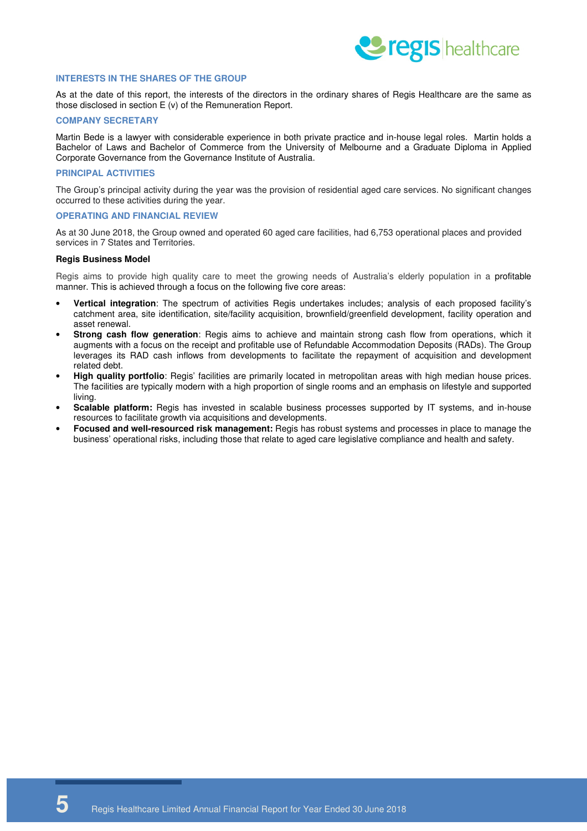

#### **INTERESTS IN THE SHARES OF THE GROUP**

As at the date of this report, the interests of the directors in the ordinary shares of Regis Healthcare are the same as those disclosed in section E (v) of the Remuneration Report.

#### **COMPANY SECRETARY**

Martin Bede is a lawyer with considerable experience in both private practice and in-house legal roles. Martin holds a Bachelor of Laws and Bachelor of Commerce from the University of Melbourne and a Graduate Diploma in Applied Corporate Governance from the Governance Institute of Australia.

#### **PRINCIPAL ACTIVITIES**

The Group's principal activity during the year was the provision of residential aged care services. No significant changes occurred to these activities during the year.

#### **OPERATING AND FINANCIAL REVIEW**

As at 30 June 2018, the Group owned and operated 60 aged care facilities, had 6,753 operational places and provided services in 7 States and Territories.

#### **Regis Business Model**

Regis aims to provide high quality care to meet the growing needs of Australia's elderly population in a profitable manner. This is achieved through a focus on the following five core areas:

- **Vertical integration**: The spectrum of activities Regis undertakes includes; analysis of each proposed facility's catchment area, site identification, site/facility acquisition, brownfield/greenfield development, facility operation and asset renewal.
- **Strong cash flow generation**: Regis aims to achieve and maintain strong cash flow from operations, which it augments with a focus on the receipt and profitable use of Refundable Accommodation Deposits (RADs). The Group leverages its RAD cash inflows from developments to facilitate the repayment of acquisition and development related debt.
- **High quality portfolio**: Regis' facilities are primarily located in metropolitan areas with high median house prices. The facilities are typically modern with a high proportion of single rooms and an emphasis on lifestyle and supported living.
- **Scalable platform:** Regis has invested in scalable business processes supported by IT systems, and in-house resources to facilitate growth via acquisitions and developments.
- **Focused and well-resourced risk management:** Regis has robust systems and processes in place to manage the business' operational risks, including those that relate to aged care legislative compliance and health and safety.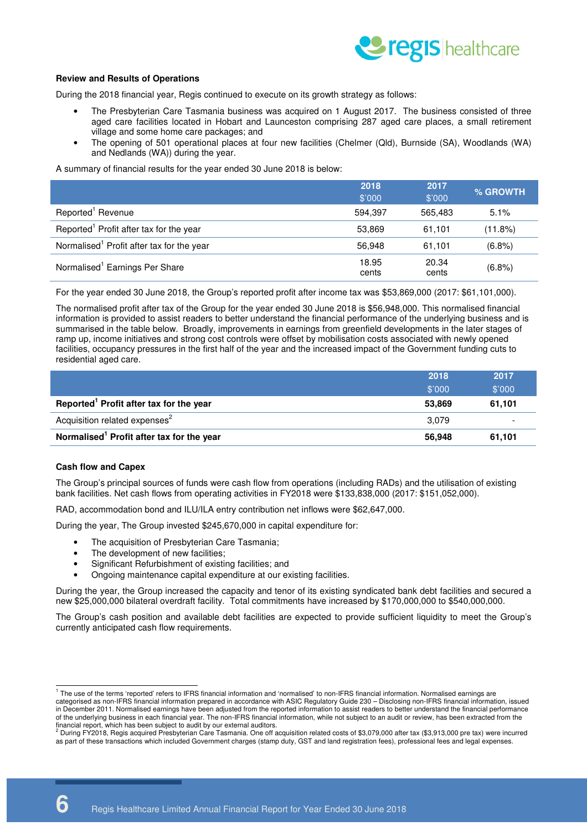

#### **Review and Results of Operations**

During the 2018 financial year, Regis continued to execute on its growth strategy as follows:

- The Presbyterian Care Tasmania business was acquired on 1 August 2017. The business consisted of three aged care facilities located in Hobart and Launceston comprising 287 aged care places, a small retirement village and some home care packages; and
- The opening of 501 operational places at four new facilities (Chelmer (Qld), Burnside (SA), Woodlands (WA) and Nedlands (WA)) during the year.

A summary of financial results for the year ended 30 June 2018 is below:

|                                                       | 2018<br>\$'000 | 2017<br>\$'000 | % GROWTH |
|-------------------------------------------------------|----------------|----------------|----------|
| Reported <sup>1</sup> Revenue                         | 594.397        | 565.483        | 5.1%     |
| Reported <sup>1</sup> Profit after tax for the year   | 53.869         | 61.101         | (11.8%)  |
| Normalised <sup>1</sup> Profit after tax for the year | 56.948         | 61.101         | (6.8%)   |
| Normalised <sup>1</sup> Earnings Per Share            | 18.95<br>cents | 20.34<br>cents | (6.8%)   |

For the year ended 30 June 2018, the Group's reported profit after income tax was \$53,869,000 (2017: \$61,101,000).

The normalised profit after tax of the Group for the year ended 30 June 2018 is \$56,948,000. This normalised financial information is provided to assist readers to better understand the financial performance of the underlying business and is summarised in the table below. Broadly, improvements in earnings from greenfield developments in the later stages of ramp up, income initiatives and strong cost controls were offset by mobilisation costs associated with newly opened facilities, occupancy pressures in the first half of the year and the increased impact of the Government funding cuts to residential aged care.

|                                                       | 2018   | 2017   |
|-------------------------------------------------------|--------|--------|
|                                                       | \$'000 | \$'000 |
| Reported <sup>1</sup> Profit after tax for the year   | 53.869 | 61.101 |
| Acquisition related expenses <sup>2</sup>             | 3.079  |        |
| Normalised <sup>1</sup> Profit after tax for the year | 56.948 | 61.101 |

#### **Cash flow and Capex**

The Group's principal sources of funds were cash flow from operations (including RADs) and the utilisation of existing bank facilities. Net cash flows from operating activities in FY2018 were \$133,838,000 (2017: \$151,052,000).

RAD, accommodation bond and ILU/ILA entry contribution net inflows were \$62,647,000.

During the year, The Group invested \$245,670,000 in capital expenditure for:

- The acquisition of Presbyterian Care Tasmania;
- The development of new facilities;
- Significant Refurbishment of existing facilities; and
- Ongoing maintenance capital expenditure at our existing facilities.

During the year, the Group increased the capacity and tenor of its existing syndicated bank debt facilities and secured a new \$25,000,000 bilateral overdraft facility. Total commitments have increased by \$170,000,000 to \$540,000,000.

The Group's cash position and available debt facilities are expected to provide sufficient liquidity to meet the Group's currently anticipated cash flow requirements.

 1 The use of the terms 'reported' refers to IFRS financial information and 'normalised' to non-IFRS financial information. Normalised earnings are categorised as non-IFRS financial information prepared in accordance with ASIC Regulatory Guide 230 – Disclosing non-IFRS financial information, issued in December 2011. Normalised earnings have been adjusted from the reported information to assist readers to better understand the financial performance of the underlying business in each financial year. The non-IFRS financial information, while not subject to an audit or review, has been extracted from the financial report, which has been subject to audit by our external auditors.<br><sup>2</sup> During FY2018, Regis acquired Presbyterian Care Tasmania. One off acquisition related costs of \$3,079,000 after tax (\$3,913,000 pre tax) were

as part of these transactions which included Government charges (stamp duty, GST and land registration fees), professional fees and legal expenses.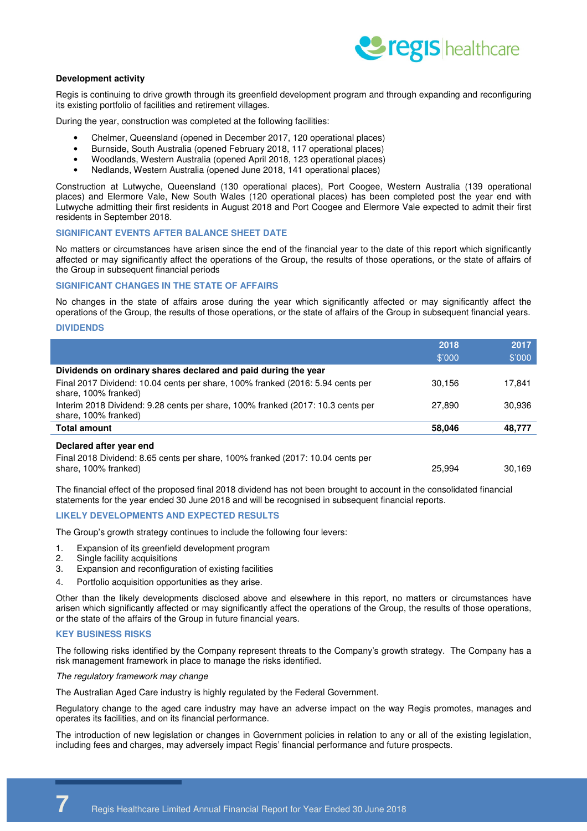

#### **Development activity**

Regis is continuing to drive growth through its greenfield development program and through expanding and reconfiguring its existing portfolio of facilities and retirement villages.

During the year, construction was completed at the following facilities:

- Chelmer, Queensland (opened in December 2017, 120 operational places)
- Burnside, South Australia (opened February 2018, 117 operational places)
- Woodlands, Western Australia (opened April 2018, 123 operational places)
- Nedlands, Western Australia (opened June 2018, 141 operational places)

Construction at Lutwyche, Queensland (130 operational places), Port Coogee, Western Australia (139 operational places) and Elermore Vale, New South Wales (120 operational places) has been completed post the year end with Lutwyche admitting their first residents in August 2018 and Port Coogee and Elermore Vale expected to admit their first residents in September 2018.

#### **SIGNIFICANT EVENTS AFTER BALANCE SHEET DATE**

No matters or circumstances have arisen since the end of the financial year to the date of this report which significantly affected or may significantly affect the operations of the Group, the results of those operations, or the state of affairs of the Group in subsequent financial periods

#### **SIGNIFICANT CHANGES IN THE STATE OF AFFAIRS**

No changes in the state of affairs arose during the year which significantly affected or may significantly affect the operations of the Group, the results of those operations, or the state of affairs of the Group in subsequent financial years.

#### **DIVIDENDS**

|                                                                                                         | 2018   | 2017   |
|---------------------------------------------------------------------------------------------------------|--------|--------|
|                                                                                                         | \$'000 | \$'000 |
| Dividends on ordinary shares declared and paid during the year                                          |        |        |
| Final 2017 Dividend: 10.04 cents per share, 100% franked (2016: 5.94 cents per<br>share, 100% franked)  | 30,156 | 17,841 |
| Interim 2018 Dividend: 9.28 cents per share, 100% franked (2017: 10.3 cents per<br>share, 100% franked) | 27,890 | 30,936 |
| <b>Total amount</b>                                                                                     | 58,046 | 48,777 |
| Declared after year end                                                                                 |        |        |
| Final 2018 Dividend: 8.65 cents per share, 100% franked (2017: 10.04 cents per<br>share, 100% franked)  | 25.994 | 30,169 |

The financial effect of the proposed final 2018 dividend has not been brought to account in the consolidated financial statements for the year ended 30 June 2018 and will be recognised in subsequent financial reports.

#### **LIKELY DEVELOPMENTS AND EXPECTED RESULTS**

The Group's growth strategy continues to include the following four levers:

- 1. Expansion of its greenfield development program
- 2. Single facility acquisitions
- 3. Expansion and reconfiguration of existing facilities
- 4. Portfolio acquisition opportunities as they arise.

Other than the likely developments disclosed above and elsewhere in this report, no matters or circumstances have arisen which significantly affected or may significantly affect the operations of the Group, the results of those operations, or the state of the affairs of the Group in future financial years.

#### **KEY BUSINESS RISKS**

The following risks identified by the Company represent threats to the Company's growth strategy. The Company has a risk management framework in place to manage the risks identified.

The regulatory framework may change

The Australian Aged Care industry is highly regulated by the Federal Government.

Regulatory change to the aged care industry may have an adverse impact on the way Regis promotes, manages and operates its facilities, and on its financial performance.

The introduction of new legislation or changes in Government policies in relation to any or all of the existing legislation, including fees and charges, may adversely impact Regis' financial performance and future prospects.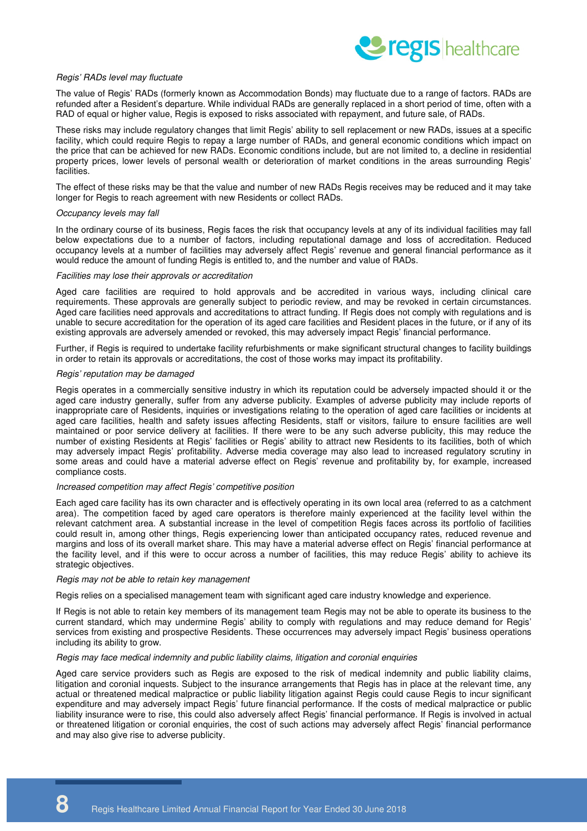

#### Regis' RADs level may fluctuate

The value of Regis' RADs (formerly known as Accommodation Bonds) may fluctuate due to a range of factors. RADs are refunded after a Resident's departure. While individual RADs are generally replaced in a short period of time, often with a RAD of equal or higher value, Regis is exposed to risks associated with repayment, and future sale, of RADs.

These risks may include regulatory changes that limit Regis' ability to sell replacement or new RADs, issues at a specific facility, which could require Regis to repay a large number of RADs, and general economic conditions which impact on the price that can be achieved for new RADs. Economic conditions include, but are not limited to, a decline in residential property prices, lower levels of personal wealth or deterioration of market conditions in the areas surrounding Regis' facilities.

The effect of these risks may be that the value and number of new RADs Regis receives may be reduced and it may take longer for Regis to reach agreement with new Residents or collect RADs.

#### Occupancy levels may fall

In the ordinary course of its business, Regis faces the risk that occupancy levels at any of its individual facilities may fall below expectations due to a number of factors, including reputational damage and loss of accreditation. Reduced occupancy levels at a number of facilities may adversely affect Regis' revenue and general financial performance as it would reduce the amount of funding Regis is entitled to, and the number and value of RADs.

#### Facilities may lose their approvals or accreditation

Aged care facilities are required to hold approvals and be accredited in various ways, including clinical care requirements. These approvals are generally subject to periodic review, and may be revoked in certain circumstances. Aged care facilities need approvals and accreditations to attract funding. If Regis does not comply with regulations and is unable to secure accreditation for the operation of its aged care facilities and Resident places in the future, or if any of its existing approvals are adversely amended or revoked, this may adversely impact Regis' financial performance.

Further, if Regis is required to undertake facility refurbishments or make significant structural changes to facility buildings in order to retain its approvals or accreditations, the cost of those works may impact its profitability.

#### Regis' reputation may be damaged

Regis operates in a commercially sensitive industry in which its reputation could be adversely impacted should it or the aged care industry generally, suffer from any adverse publicity. Examples of adverse publicity may include reports of inappropriate care of Residents, inquiries or investigations relating to the operation of aged care facilities or incidents at aged care facilities, health and safety issues affecting Residents, staff or visitors, failure to ensure facilities are well maintained or poor service delivery at facilities. If there were to be any such adverse publicity, this may reduce the number of existing Residents at Regis' facilities or Regis' ability to attract new Residents to its facilities, both of which may adversely impact Regis' profitability. Adverse media coverage may also lead to increased regulatory scrutiny in some areas and could have a material adverse effect on Regis' revenue and profitability by, for example, increased compliance costs.

#### Increased competition may affect Regis' competitive position

Each aged care facility has its own character and is effectively operating in its own local area (referred to as a catchment area). The competition faced by aged care operators is therefore mainly experienced at the facility level within the relevant catchment area. A substantial increase in the level of competition Regis faces across its portfolio of facilities could result in, among other things, Regis experiencing lower than anticipated occupancy rates, reduced revenue and margins and loss of its overall market share. This may have a material adverse effect on Regis' financial performance at the facility level, and if this were to occur across a number of facilities, this may reduce Regis' ability to achieve its strategic objectives.

#### Regis may not be able to retain key management

Regis relies on a specialised management team with significant aged care industry knowledge and experience.

If Regis is not able to retain key members of its management team Regis may not be able to operate its business to the current standard, which may undermine Regis' ability to comply with regulations and may reduce demand for Regis' services from existing and prospective Residents. These occurrences may adversely impact Regis' business operations including its ability to grow.

#### Regis may face medical indemnity and public liability claims, litigation and coronial enquiries

Aged care service providers such as Regis are exposed to the risk of medical indemnity and public liability claims, litigation and coronial inquests. Subject to the insurance arrangements that Regis has in place at the relevant time, any actual or threatened medical malpractice or public liability litigation against Regis could cause Regis to incur significant expenditure and may adversely impact Regis' future financial performance. If the costs of medical malpractice or public liability insurance were to rise, this could also adversely affect Regis' financial performance. If Regis is involved in actual or threatened litigation or coronial enquiries, the cost of such actions may adversely affect Regis' financial performance and may also give rise to adverse publicity.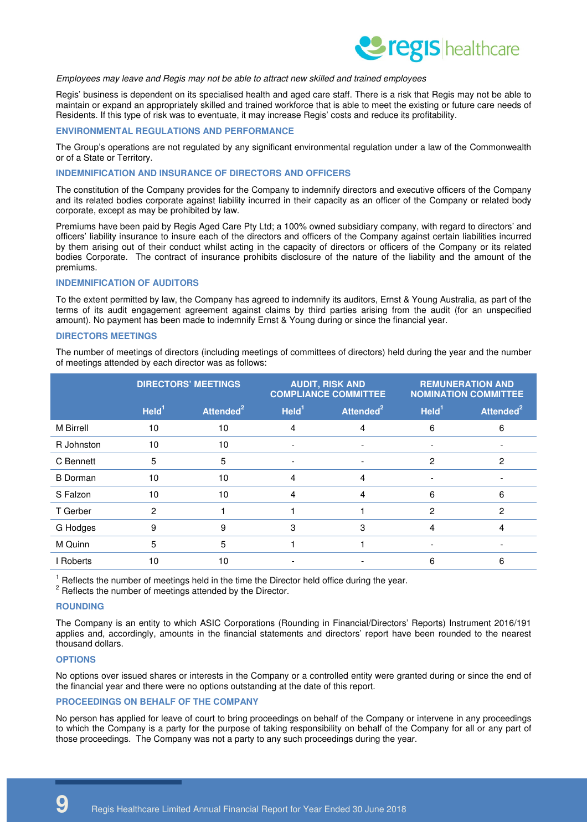

#### Employees may leave and Regis may not be able to attract new skilled and trained employees

Regis' business is dependent on its specialised health and aged care staff. There is a risk that Regis may not be able to maintain or expand an appropriately skilled and trained workforce that is able to meet the existing or future care needs of Residents. If this type of risk was to eventuate, it may increase Regis' costs and reduce its profitability.

#### **ENVIRONMENTAL REGULATIONS AND PERFORMANCE**

The Group's operations are not regulated by any significant environmental regulation under a law of the Commonwealth or of a State or Territory.

#### **INDEMNIFICATION AND INSURANCE OF DIRECTORS AND OFFICERS**

The constitution of the Company provides for the Company to indemnify directors and executive officers of the Company and its related bodies corporate against liability incurred in their capacity as an officer of the Company or related body corporate, except as may be prohibited by law.

Premiums have been paid by Regis Aged Care Pty Ltd; a 100% owned subsidiary company, with regard to directors' and officers' liability insurance to insure each of the directors and officers of the Company against certain liabilities incurred by them arising out of their conduct whilst acting in the capacity of directors or officers of the Company or its related bodies Corporate. The contract of insurance prohibits disclosure of the nature of the liability and the amount of the premiums.

#### **INDEMNIFICATION OF AUDITORS**

To the extent permitted by law, the Company has agreed to indemnify its auditors, Ernst & Young Australia, as part of the terms of its audit engagement agreement against claims by third parties arising from the audit (for an unspecified amount). No payment has been made to indemnify Ernst & Young during or since the financial year.

#### **DIRECTORS MEETINGS**

The number of meetings of directors (including meetings of committees of directors) held during the year and the number of meetings attended by each director was as follows:

|                 | <b>DIRECTORS' MEETINGS</b> |                       | <b>AUDIT, RISK AND</b><br><b>COMPLIANCE COMMITTEE</b> |                       | <b>REMUNERATION AND</b><br><b>NOMINATION COMMITTEE</b> |                       |
|-----------------|----------------------------|-----------------------|-------------------------------------------------------|-----------------------|--------------------------------------------------------|-----------------------|
|                 | HeId <sup>1</sup>          | Attended <sup>2</sup> | Held <sup>1</sup>                                     | Attended <sup>2</sup> | $\text{Held}^1$                                        | Attended <sup>2</sup> |
| M Birrell       | 10                         | 10                    | 4                                                     | 4                     | 6                                                      | 6                     |
| R Johnston      | 10                         | 10                    |                                                       |                       |                                                        |                       |
| C Bennett       | 5                          | 5                     |                                                       |                       | 2                                                      | 2                     |
| <b>B</b> Dorman | 10                         | 10                    | 4                                                     | 4                     |                                                        |                       |
| S Falzon        | 10                         | 10                    | 4                                                     | 4                     | 6                                                      | 6                     |
| T Gerber        | $\mathfrak{p}$             |                       |                                                       |                       | 2                                                      | 2                     |
| G Hodges        | 9                          | 9                     | 3                                                     | 3                     | 4                                                      | 4                     |
| M Quinn         | 5                          | 5                     |                                                       |                       |                                                        |                       |
| I Roberts       | 10                         | 10                    |                                                       |                       | 6                                                      | 6                     |

 $1$ <sub>.</sub> Reflects the number of meetings held in the time the Director held office during the year.

 $2$  Reflects the number of meetings attended by the Director.

#### **ROUNDING**

The Company is an entity to which ASIC Corporations (Rounding in Financial/Directors' Reports) Instrument 2016/191 applies and, accordingly, amounts in the financial statements and directors' report have been rounded to the nearest thousand dollars.

#### **OPTIONS**

No options over issued shares or interests in the Company or a controlled entity were granted during or since the end of the financial year and there were no options outstanding at the date of this report.

#### **PROCEEDINGS ON BEHALF OF THE COMPANY**

No person has applied for leave of court to bring proceedings on behalf of the Company or intervene in any proceedings to which the Company is a party for the purpose of taking responsibility on behalf of the Company for all or any part of those proceedings. The Company was not a party to any such proceedings during the year.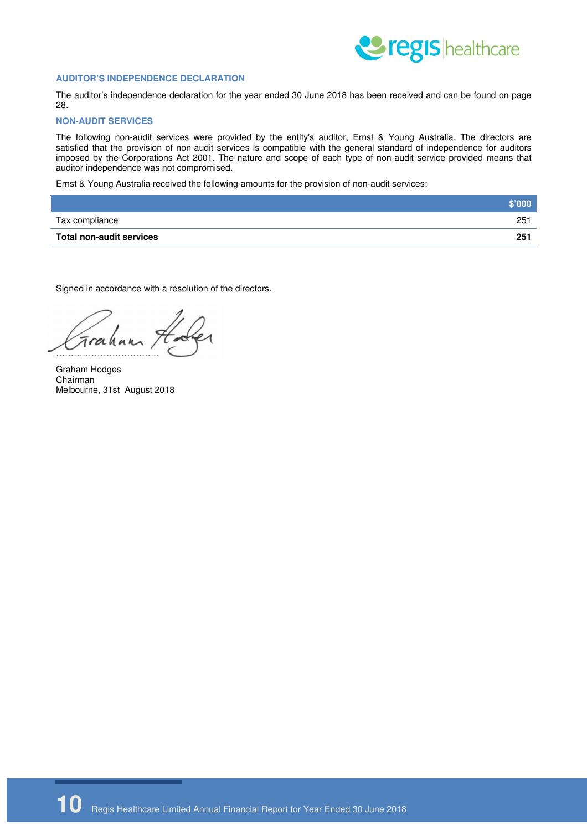

#### **AUDITOR'S INDEPENDENCE DECLARATION**

The auditor's independence declaration for the year ended 30 June 2018 has been received and can be found on page 28.

#### **NON-AUDIT SERVICES**

The following non-audit services were provided by the entity's auditor, Ernst & Young Australia. The directors are satisfied that the provision of non-audit services is compatible with the general standard of independence for auditors imposed by the Corporations Act 2001. The nature and scope of each type of non-audit service provided means that auditor independence was not compromised.

Ernst & Young Australia received the following amounts for the provision of non-audit services:

|                          | $$^{\circ}$ 000 $^{\circ}$ |
|--------------------------|----------------------------|
| Tax compliance           | $25^{\circ}$               |
| Total non-audit services | 251                        |

Signed in accordance with a resolution of the directors.

Tral ……………………………..

Graham Hodges Chairman Melbourne, 31st August 2018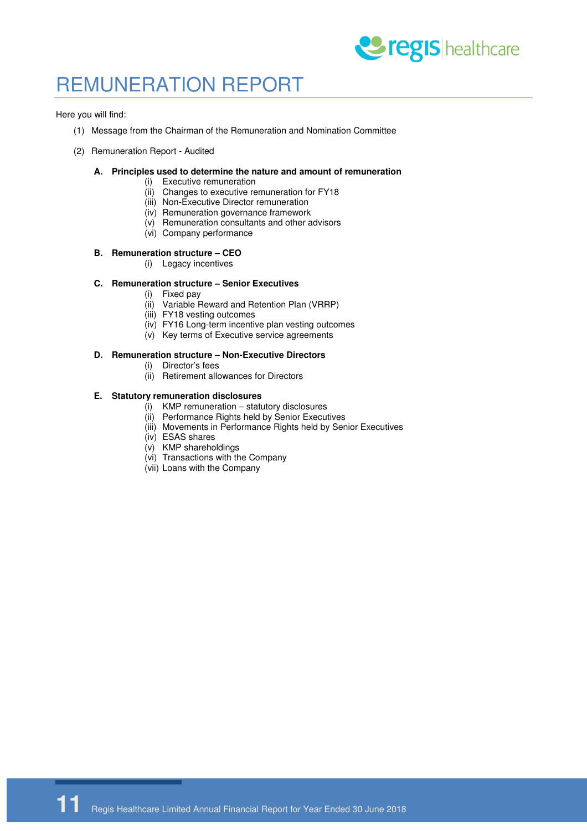

# REMUNERATION REPORT

Here you will find:

- (1) Message from the Chairman of the Remuneration and Nomination Committee
- (2) Remuneration Report Audited

#### **A. Principles used to determine the nature and amount of remuneration**

- (i) Executive remuneration
- (ii) Changes to executive remuneration for FY18
- (iii) Non-Executive Director remuneration
- (iv) Remuneration governance framework
- (v) Remuneration consultants and other advisors
- (vi) Company performance

#### **B. Remuneration structure – CEO**

(i) Legacy incentives

#### **C. Remuneration structure – Senior Executives**

- (i) Fixed pay
- (ii) Variable Reward and Retention Plan (VRRP)
- (iii) FY18 vesting outcomes
- (iv) FY16 Long-term incentive plan vesting outcomes
- (v) Key terms of Executive service agreements

#### **D. Remuneration structure – Non-Executive Directors**

- (i) Director's fees
- (ii) Retirement allowances for Directors

#### **E. Statutory remuneration disclosures**

- (i) KMP remuneration statutory disclosures
- (ii) Performance Rights held by Senior Executives
- (iii) Movements in Performance Rights held by Senior Executives
- (iv) ESAS shares
- (v) KMP shareholdings
- (vi) Transactions with the Company
- (vii) Loans with the Company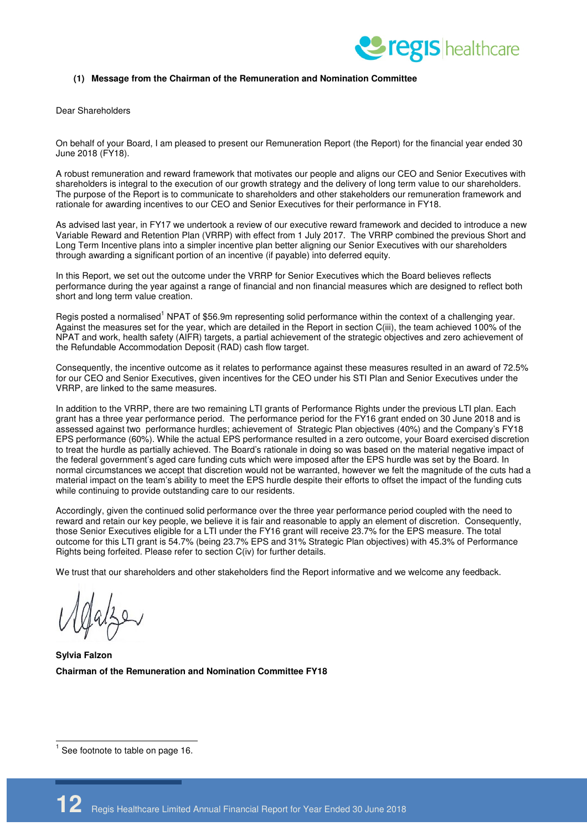

#### **(1) Message from the Chairman of the Remuneration and Nomination Committee**

Dear Shareholders

On behalf of your Board, I am pleased to present our Remuneration Report (the Report) for the financial year ended 30 June 2018 (FY18).

A robust remuneration and reward framework that motivates our people and aligns our CEO and Senior Executives with shareholders is integral to the execution of our growth strategy and the delivery of long term value to our shareholders. The purpose of the Report is to communicate to shareholders and other stakeholders our remuneration framework and rationale for awarding incentives to our CEO and Senior Executives for their performance in FY18.

As advised last year, in FY17 we undertook a review of our executive reward framework and decided to introduce a new Variable Reward and Retention Plan (VRRP) with effect from 1 July 2017. The VRRP combined the previous Short and Long Term Incentive plans into a simpler incentive plan better aligning our Senior Executives with our shareholders through awarding a significant portion of an incentive (if payable) into deferred equity.

In this Report, we set out the outcome under the VRRP for Senior Executives which the Board believes reflects performance during the year against a range of financial and non financial measures which are designed to reflect both short and long term value creation.

Regis posted a normalised<sup>1</sup> NPAT of \$56.9m representing solid performance within the context of a challenging year. Against the measures set for the year, which are detailed in the Report in section C(iii), the team achieved 100% of the NPAT and work, health safety (AIFR) targets, a partial achievement of the strategic objectives and zero achievement of the Refundable Accommodation Deposit (RAD) cash flow target.

Consequently, the incentive outcome as it relates to performance against these measures resulted in an award of 72.5% for our CEO and Senior Executives, given incentives for the CEO under his STI Plan and Senior Executives under the VRRP, are linked to the same measures.

In addition to the VRRP, there are two remaining LTI grants of Performance Rights under the previous LTI plan. Each grant has a three year performance period. The performance period for the FY16 grant ended on 30 June 2018 and is assessed against two performance hurdles; achievement of Strategic Plan objectives (40%) and the Company's FY18 EPS performance (60%). While the actual EPS performance resulted in a zero outcome, your Board exercised discretion to treat the hurdle as partially achieved. The Board's rationale in doing so was based on the material negative impact of the federal government's aged care funding cuts which were imposed after the EPS hurdle was set by the Board. In normal circumstances we accept that discretion would not be warranted, however we felt the magnitude of the cuts had a material impact on the team's ability to meet the EPS hurdle despite their efforts to offset the impact of the funding cuts while continuing to provide outstanding care to our residents.

Accordingly, given the continued solid performance over the three year performance period coupled with the need to reward and retain our key people, we believe it is fair and reasonable to apply an element of discretion. Consequently, those Senior Executives eligible for a LTI under the FY16 grant will receive 23.7% for the EPS measure. The total outcome for this LTI grant is 54.7% (being 23.7% EPS and 31% Strategic Plan objectives) with 45.3% of Performance Rights being forfeited. Please refer to section C(iv) for further details.

We trust that our shareholders and other stakeholders find the Report informative and we welcome any feedback.

**Sylvia Falzon Chairman of the Remuneration and Nomination Committee FY18** 

<sup>1&</sup>lt;br><sup>1</sup> See footnote to table on page 16.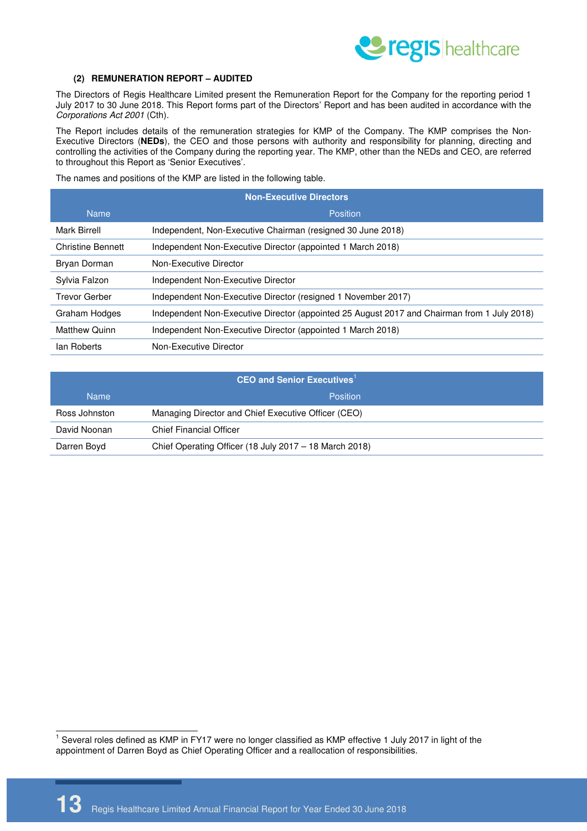

#### **(2) REMUNERATION REPORT – AUDITED**

The Directors of Regis Healthcare Limited present the Remuneration Report for the Company for the reporting period 1 July 2017 to 30 June 2018. This Report forms part of the Directors' Report and has been audited in accordance with the Corporations Act 2001 (Cth).

The Report includes details of the remuneration strategies for KMP of the Company. The KMP comprises the Non-Executive Directors (**NEDs**), the CEO and those persons with authority and responsibility for planning, directing and controlling the activities of the Company during the reporting year. The KMP, other than the NEDs and CEO, are referred to throughout this Report as 'Senior Executives'.

The names and positions of the KMP are listed in the following table.

| <b>Non-Executive Directors</b> |                                                                                             |  |
|--------------------------------|---------------------------------------------------------------------------------------------|--|
| <b>Name</b>                    | <b>Position</b>                                                                             |  |
| Mark Birrell                   | Independent, Non-Executive Chairman (resigned 30 June 2018)                                 |  |
| <b>Christine Bennett</b>       | Independent Non-Executive Director (appointed 1 March 2018)                                 |  |
| Bryan Dorman                   | Non-Executive Director                                                                      |  |
| Sylvia Falzon                  | Independent Non-Executive Director                                                          |  |
| <b>Trevor Gerber</b>           | Independent Non-Executive Director (resigned 1 November 2017)                               |  |
| Graham Hodges                  | Independent Non-Executive Director (appointed 25 August 2017 and Chairman from 1 July 2018) |  |
| <b>Matthew Quinn</b>           | Independent Non-Executive Director (appointed 1 March 2018)                                 |  |
| lan Roberts                    | Non-Executive Director                                                                      |  |

| <b>CEO and Senior Executives</b> |                                                        |  |  |  |
|----------------------------------|--------------------------------------------------------|--|--|--|
| <b>Name</b>                      | Position                                               |  |  |  |
| Ross Johnston                    | Managing Director and Chief Executive Officer (CEO)    |  |  |  |
| David Noonan                     | Chief Financial Officer                                |  |  |  |
| Darren Boyd                      | Chief Operating Officer (18 July 2017 – 18 March 2018) |  |  |  |

 1 Several roles defined as KMP in FY17 were no longer classified as KMP effective 1 July 2017 in light of the appointment of Darren Boyd as Chief Operating Officer and a reallocation of responsibilities.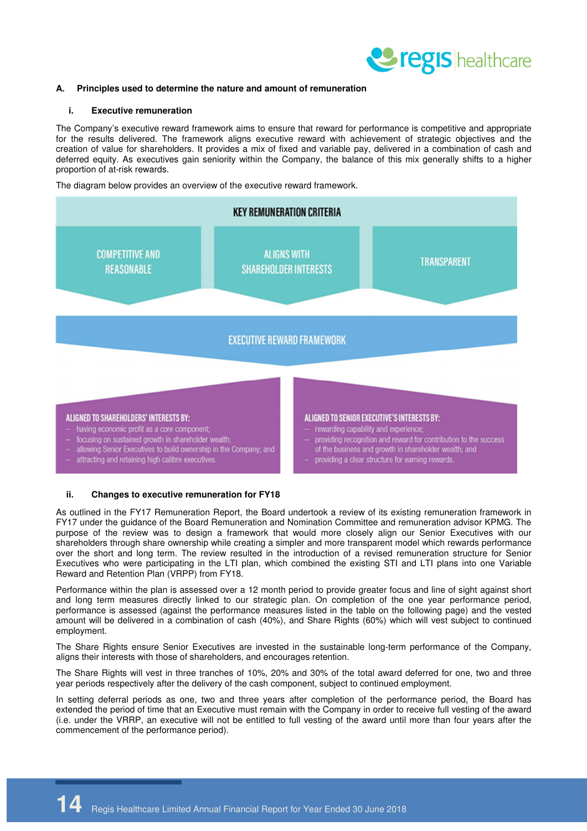

#### **A. Principles used to determine the nature and amount of remuneration**

#### **i. Executive remuneration**

The Company's executive reward framework aims to ensure that reward for performance is competitive and appropriate for the results delivered. The framework aligns executive reward with achievement of strategic objectives and the creation of value for shareholders. It provides a mix of fixed and variable pay, delivered in a combination of cash and deferred equity. As executives gain seniority within the Company, the balance of this mix generally shifts to a higher proportion of at-risk rewards.

The diagram below provides an overview of the executive reward framework.



#### **ii. Changes to executive remuneration for FY18**

As outlined in the FY17 Remuneration Report, the Board undertook a review of its existing remuneration framework in FY17 under the guidance of the Board Remuneration and Nomination Committee and remuneration advisor KPMG. The purpose of the review was to design a framework that would more closely align our Senior Executives with our shareholders through share ownership while creating a simpler and more transparent model which rewards performance over the short and long term. The review resulted in the introduction of a revised remuneration structure for Senior Executives who were participating in the LTI plan, which combined the existing STI and LTI plans into one Variable Reward and Retention Plan (VRPP) from FY18.

Performance within the plan is assessed over a 12 month period to provide greater focus and line of sight against short and long term measures directly linked to our strategic plan. On completion of the one year performance period, performance is assessed (against the performance measures listed in the table on the following page) and the vested amount will be delivered in a combination of cash (40%), and Share Rights (60%) which will vest subject to continued employment.

The Share Rights ensure Senior Executives are invested in the sustainable long-term performance of the Company, aligns their interests with those of shareholders, and encourages retention.

The Share Rights will vest in three tranches of 10%, 20% and 30% of the total award deferred for one, two and three year periods respectively after the delivery of the cash component, subject to continued employment.

In setting deferral periods as one, two and three years after completion of the performance period, the Board has extended the period of time that an Executive must remain with the Company in order to receive full vesting of the award (i.e. under the VRRP, an executive will not be entitled to full vesting of the award until more than four years after the commencement of the performance period).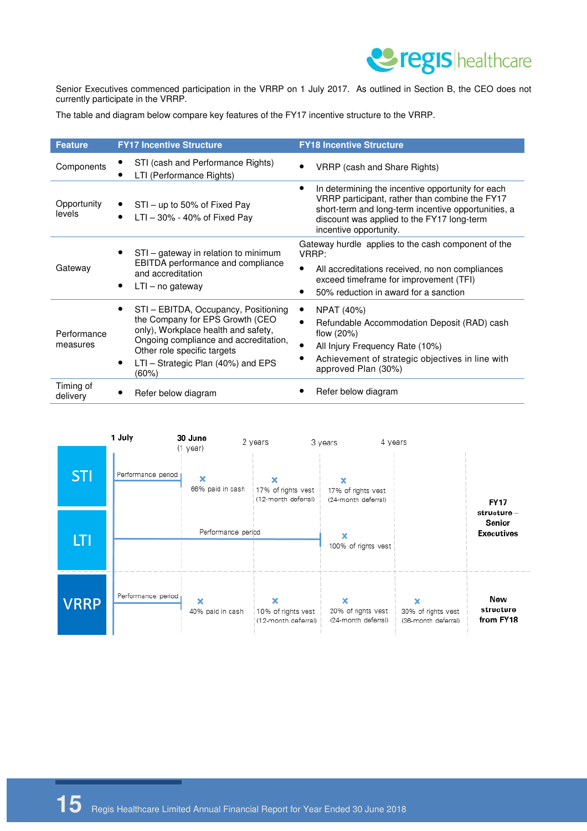

Senior Executives commenced participation in the VRRP on 1 July 2017. As outlined in Section B, the CEO does not currently participate in the VRRP.

The table and diagram below compare key features of the FY17 incentive structure to the VRRP.

| <b>Feature</b>          | <b>FY17 Incentive Structure</b>                                                                                                                                                                                                          | <b>FY18 Incentive Structure</b>                                                                                                                                                                                                                 |
|-------------------------|------------------------------------------------------------------------------------------------------------------------------------------------------------------------------------------------------------------------------------------|-------------------------------------------------------------------------------------------------------------------------------------------------------------------------------------------------------------------------------------------------|
| Components              | STI (cash and Performance Rights)<br>LTI (Performance Rights)                                                                                                                                                                            | VRRP (cash and Share Rights)<br>$\bullet$                                                                                                                                                                                                       |
| Opportunity<br>levels   | STI – up to 50% of Fixed Pay<br>$LTI - 30\% - 40\%$ of Fixed Pay                                                                                                                                                                         | In determining the incentive opportunity for each<br>$\bullet$<br>VRRP participant, rather than combine the FY17<br>short-term and long-term incentive opportunities, a<br>discount was applied to the FY17 long-term<br>incentive opportunity. |
| Gateway                 | STI – gateway in relation to minimum<br>EBITDA performance and compliance<br>and accreditation<br>$LTI - no gateway$                                                                                                                     | Gateway hurdle applies to the cash component of the<br>VRRP:<br>All accreditations received, no non compliances<br>$\bullet$<br>exceed timeframe for improvement (TFI)<br>50% reduction in award for a sanction                                 |
| Performance<br>measures | STI - EBITDA, Occupancy, Positioning<br>the Company for EPS Growth (CEO<br>only), Workplace health and safety,<br>Ongoing compliance and accreditation,<br>Other role specific targets<br>$LTI - Strategyic Plan$ (40%) and EPS<br>(60%) | NPAT (40%)<br>$\bullet$<br>Refundable Accommodation Deposit (RAD) cash<br>flow $(20\%)$<br>All Injury Frequency Rate (10%)<br>Achievement of strategic objectives in line with<br>approved Plan (30%)                                           |
| Timing of<br>delivery   | Refer below diagram                                                                                                                                                                                                                      | Refer below diagram                                                                                                                                                                                                                             |

|             | 1 July             | 30 June<br>$(1$ year) | 2 years                                        | 3 years<br>4 years                             |                                           |                                           |
|-------------|--------------------|-----------------------|------------------------------------------------|------------------------------------------------|-------------------------------------------|-------------------------------------------|
| <b>STI</b>  | Performance period | ×<br>66% paid in cash | 17% of rights vest<br>(12-month deferral)      | ×<br>17% of rights vest<br>(24-month deferral) |                                           | <b>FY17</b>                               |
| LTI         |                    | Performance period    |                                                | ×<br>100% of rights vest                       |                                           | structure-<br>Senior<br><b>Executives</b> |
| <b>VRRP</b> | Performance period | ×<br>40% paid in cash | ×<br>10% of rights vest<br>(12-month deferral) | ×<br>20% of rights vest<br>(24-month deferral) | 30% of rights vest<br>(36-month deferral) | New<br>structure<br>from FY18             |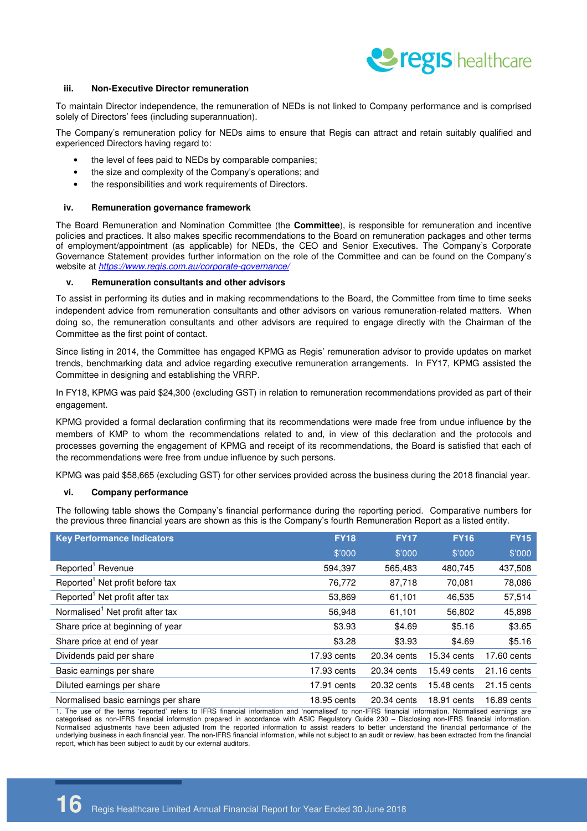

#### **iii. Non-Executive Director remuneration**

To maintain Director independence, the remuneration of NEDs is not linked to Company performance and is comprised solely of Directors' fees (including superannuation).

The Company's remuneration policy for NEDs aims to ensure that Regis can attract and retain suitably qualified and experienced Directors having regard to:

- the level of fees paid to NEDs by comparable companies;
- the size and complexity of the Company's operations; and
- the responsibilities and work requirements of Directors.

#### **iv. Remuneration governance framework**

The Board Remuneration and Nomination Committee (the **Committee**), is responsible for remuneration and incentive policies and practices. It also makes specific recommendations to the Board on remuneration packages and other terms of employment/appointment (as applicable) for NEDs, the CEO and Senior Executives. The Company's Corporate Governance Statement provides further information on the role of the Committee and can be found on the Company's website at https://www.regis.com.au/corporate-governance/

#### **v. Remuneration consultants and other advisors**

To assist in performing its duties and in making recommendations to the Board, the Committee from time to time seeks independent advice from remuneration consultants and other advisors on various remuneration-related matters. When doing so, the remuneration consultants and other advisors are required to engage directly with the Chairman of the Committee as the first point of contact.

Since listing in 2014, the Committee has engaged KPMG as Regis' remuneration advisor to provide updates on market trends, benchmarking data and advice regarding executive remuneration arrangements. In FY17, KPMG assisted the Committee in designing and establishing the VRRP.

In FY18, KPMG was paid \$24,300 (excluding GST) in relation to remuneration recommendations provided as part of their engagement.

KPMG provided a formal declaration confirming that its recommendations were made free from undue influence by the members of KMP to whom the recommendations related to and, in view of this declaration and the protocols and processes governing the engagement of KPMG and receipt of its recommendations, the Board is satisfied that each of the recommendations were free from undue influence by such persons.

KPMG was paid \$58,665 (excluding GST) for other services provided across the business during the 2018 financial year.

#### **vi. Company performance**

The following table shows the Company's financial performance during the reporting period. Comparative numbers for the previous three financial years are shown as this is the Company's fourth Remuneration Report as a listed entity.

| <b>Key Performance Indicators</b>            | <b>FY18</b> | <b>FY17</b> | <b>FY16</b> | <b>FY15</b> |
|----------------------------------------------|-------------|-------------|-------------|-------------|
|                                              | \$'000      | \$'000      | \$'000      | \$'000      |
| Reported <sup>1</sup> Revenue                | 594,397     | 565,483     | 480.745     | 437,508     |
| Reported <sup>1</sup> Net profit before tax  | 76,772      | 87,718      | 70,081      | 78,086      |
| Reported <sup>1</sup> Net profit after tax   | 53,869      | 61,101      | 46,535      | 57,514      |
| Normalised <sup>1</sup> Net profit after tax | 56,948      | 61,101      | 56,802      | 45,898      |
| Share price at beginning of year             | \$3.93      | \$4.69      | \$5.16      | \$3.65      |
| Share price at end of year                   | \$3.28      | \$3.93      | \$4.69      | \$5.16      |
| Dividends paid per share                     | 17.93 cents | 20.34 cents | 15.34 cents | 17.60 cents |
| Basic earnings per share                     | 17.93 cents | 20.34 cents | 15.49 cents | 21.16 cents |
| Diluted earnings per share                   | 17.91 cents | 20.32 cents | 15.48 cents | 21.15 cents |
| Normalised basic earnings per share          | 18.95 cents | 20.34 cents | 18.91 cents | 16.89 cents |

1. The use of the terms 'reported' refers to IFRS financial information and 'normalised' to non-IFRS financial information. Normalised earnings are categorised as non-IFRS financial information prepared in accordance with ASIC Regulatory Guide 230 – Disclosing non-IFRS financial information. Normalised adjustments have been adjusted from the reported information to assist readers to better understand the financial performance of the underlying business in each financial year. The non-IFRS financial information, while not subject to an audit or review, has been extracted from the financial report, which has been subject to audit by our external auditors.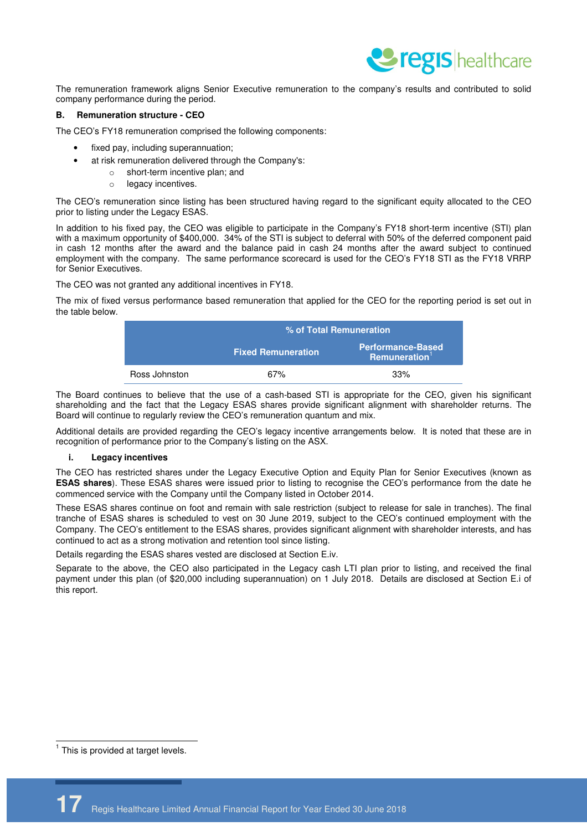

The remuneration framework aligns Senior Executive remuneration to the company's results and contributed to solid company performance during the period.

#### **B. Remuneration structure - CEO**

The CEO's FY18 remuneration comprised the following components:

- fixed pay, including superannuation;
- at risk remuneration delivered through the Company's:
	- o short-term incentive plan; and
	- o legacy incentives.

The CEO's remuneration since listing has been structured having regard to the significant equity allocated to the CEO prior to listing under the Legacy ESAS.

In addition to his fixed pay, the CEO was eligible to participate in the Company's FY18 short-term incentive (STI) plan with a maximum opportunity of \$400,000. 34% of the STI is subject to deferral with 50% of the deferred component paid in cash 12 months after the award and the balance paid in cash 24 months after the award subject to continued employment with the company. The same performance scorecard is used for the CEO's FY18 STI as the FY18 VRRP for Senior Executives.

The CEO was not granted any additional incentives in FY18.

The mix of fixed versus performance based remuneration that applied for the CEO for the reporting period is set out in the table below.

|               | <b>1% of Total Remuneration</b> |                                                       |  |  |
|---------------|---------------------------------|-------------------------------------------------------|--|--|
|               | <b>Fixed Remuneration</b>       | <b>Performance-Based</b><br>Remuneration <sup>1</sup> |  |  |
| Ross Johnston | 67%                             | 33%                                                   |  |  |

The Board continues to believe that the use of a cash-based STI is appropriate for the CEO, given his significant shareholding and the fact that the Legacy ESAS shares provide significant alignment with shareholder returns. The Board will continue to regularly review the CEO's remuneration quantum and mix.

Additional details are provided regarding the CEO's legacy incentive arrangements below. It is noted that these are in recognition of performance prior to the Company's listing on the ASX.

#### **i. Legacy incentives**

The CEO has restricted shares under the Legacy Executive Option and Equity Plan for Senior Executives (known as **ESAS shares**). These ESAS shares were issued prior to listing to recognise the CEO's performance from the date he commenced service with the Company until the Company listed in October 2014.

These ESAS shares continue on foot and remain with sale restriction (subject to release for sale in tranches). The final tranche of ESAS shares is scheduled to vest on 30 June 2019, subject to the CEO's continued employment with the Company. The CEO's entitlement to the ESAS shares, provides significant alignment with shareholder interests, and has continued to act as a strong motivation and retention tool since listing.

Details regarding the ESAS shares vested are disclosed at Section E.iv.

Separate to the above, the CEO also participated in the Legacy cash LTI plan prior to listing, and received the final payment under this plan (of \$20,000 including superannuation) on 1 July 2018. Details are disclosed at Section E.i of this report.

<sup>1&</sup>lt;br><sup>1</sup> This is provided at target levels.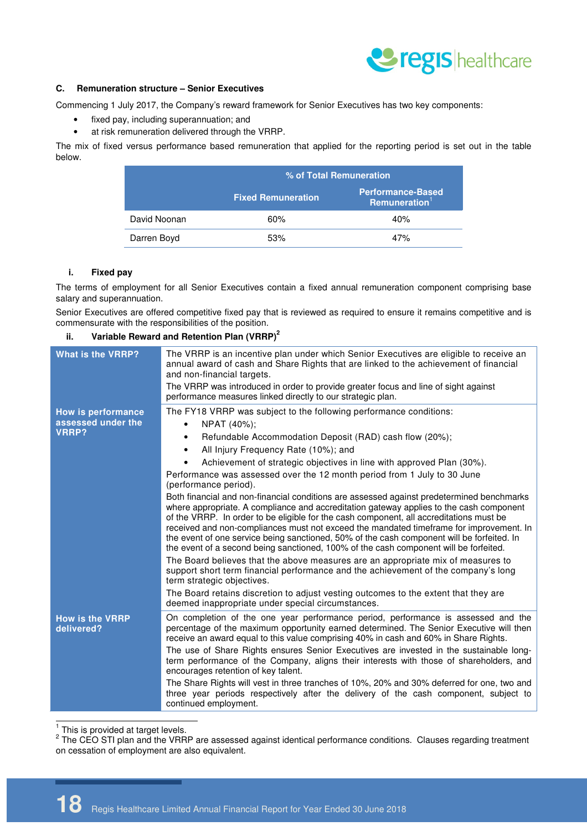

#### **C. Remuneration structure – Senior Executives**

Commencing 1 July 2017, the Company's reward framework for Senior Executives has two key components:

- fixed pay, including superannuation; and
- at risk remuneration delivered through the VRRP.

The mix of fixed versus performance based remuneration that applied for the reporting period is set out in the table below.

|              | <b>I% of Total Remuneration</b>                                                    |     |  |  |
|--------------|------------------------------------------------------------------------------------|-----|--|--|
|              | <b>Performance-Based</b><br><b>Fixed Remuneration</b><br>Remuneration <sup>1</sup> |     |  |  |
| David Noonan | 60%                                                                                | 40% |  |  |
| Darren Boyd  | 53%                                                                                | 47% |  |  |

#### **i. Fixed pay**

The terms of employment for all Senior Executives contain a fixed annual remuneration component comprising base salary and superannuation.

Senior Executives are offered competitive fixed pay that is reviewed as required to ensure it remains competitive and is commensurate with the responsibilities of the position.

#### **ii. Variable Reward and Retention Plan (VRRP)<sup>2</sup>**

| What is the VRRP?                                        | The VRRP is an incentive plan under which Senior Executives are eligible to receive an<br>annual award of cash and Share Rights that are linked to the achievement of financial<br>and non-financial targets.<br>The VRRP was introduced in order to provide greater focus and line of sight against                                                                                                                                                                                                                                                                                                                                                                                                                                        |  |  |  |  |  |
|----------------------------------------------------------|---------------------------------------------------------------------------------------------------------------------------------------------------------------------------------------------------------------------------------------------------------------------------------------------------------------------------------------------------------------------------------------------------------------------------------------------------------------------------------------------------------------------------------------------------------------------------------------------------------------------------------------------------------------------------------------------------------------------------------------------|--|--|--|--|--|
|                                                          | performance measures linked directly to our strategic plan.                                                                                                                                                                                                                                                                                                                                                                                                                                                                                                                                                                                                                                                                                 |  |  |  |  |  |
| <b>How is performance</b><br>assessed under the<br>VRRP? | The FY18 VRRP was subject to the following performance conditions:<br>NPAT (40%);<br>$\bullet$<br>Refundable Accommodation Deposit (RAD) cash flow (20%);<br>$\bullet$                                                                                                                                                                                                                                                                                                                                                                                                                                                                                                                                                                      |  |  |  |  |  |
|                                                          | All Injury Frequency Rate (10%); and<br>$\bullet$                                                                                                                                                                                                                                                                                                                                                                                                                                                                                                                                                                                                                                                                                           |  |  |  |  |  |
|                                                          | Achievement of strategic objectives in line with approved Plan (30%).<br>$\bullet$                                                                                                                                                                                                                                                                                                                                                                                                                                                                                                                                                                                                                                                          |  |  |  |  |  |
|                                                          | Performance was assessed over the 12 month period from 1 July to 30 June<br>(performance period).                                                                                                                                                                                                                                                                                                                                                                                                                                                                                                                                                                                                                                           |  |  |  |  |  |
|                                                          | Both financial and non-financial conditions are assessed against predetermined benchmarks<br>where appropriate. A compliance and accreditation gateway applies to the cash component<br>of the VRRP. In order to be eligible for the cash component, all accreditations must be<br>received and non-compliances must not exceed the mandated timeframe for improvement. In<br>the event of one service being sanctioned, 50% of the cash component will be forfeited. In<br>the event of a second being sanctioned, 100% of the cash component will be forfeited.<br>The Board believes that the above measures are an appropriate mix of measures to<br>support short term financial performance and the achievement of the company's long |  |  |  |  |  |
|                                                          | term strategic objectives.                                                                                                                                                                                                                                                                                                                                                                                                                                                                                                                                                                                                                                                                                                                  |  |  |  |  |  |
|                                                          | The Board retains discretion to adjust vesting outcomes to the extent that they are<br>deemed inappropriate under special circumstances.                                                                                                                                                                                                                                                                                                                                                                                                                                                                                                                                                                                                    |  |  |  |  |  |
| <b>How is the VRRP</b><br>delivered?                     | On completion of the one year performance period, performance is assessed and the<br>percentage of the maximum opportunity earned determined. The Senior Executive will then<br>receive an award equal to this value comprising 40% in cash and 60% in Share Rights.                                                                                                                                                                                                                                                                                                                                                                                                                                                                        |  |  |  |  |  |
|                                                          | The use of Share Rights ensures Senior Executives are invested in the sustainable long-<br>term performance of the Company, aligns their interests with those of shareholders, and<br>encourages retention of key talent.                                                                                                                                                                                                                                                                                                                                                                                                                                                                                                                   |  |  |  |  |  |
|                                                          | The Share Rights will vest in three tranches of 10%, 20% and 30% deferred for one, two and<br>three year periods respectively after the delivery of the cash component, subject to<br>continued employment.                                                                                                                                                                                                                                                                                                                                                                                                                                                                                                                                 |  |  |  |  |  |

|<br>1 This is provided at target levels.

 $2$  The CEO STI plan and the VRRP are assessed against identical performance conditions. Clauses regarding treatment on cessation of employment are also equivalent.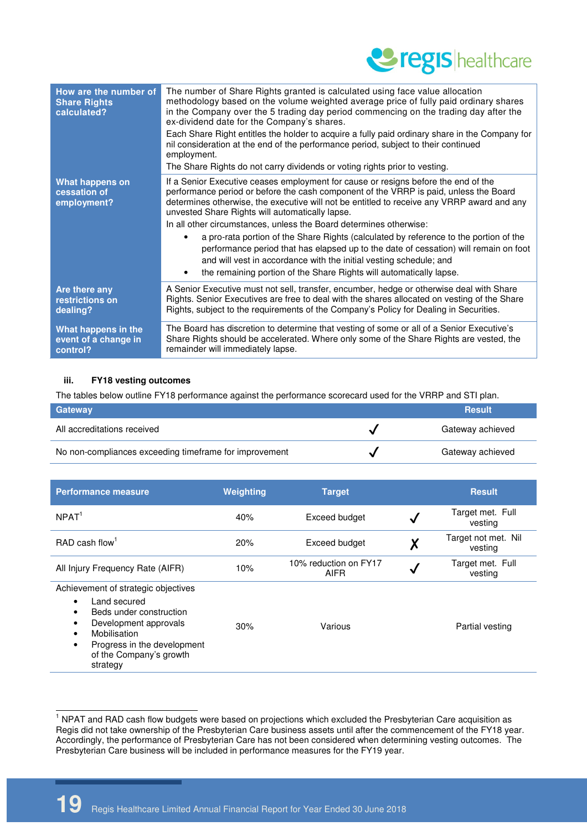

| How are the number of<br><b>Share Rights</b><br>calculated? | The number of Share Rights granted is calculated using face value allocation<br>methodology based on the volume weighted average price of fully paid ordinary shares<br>in the Company over the 5 trading day period commencing on the trading day after the<br>ex-dividend date for the Company's shares.<br>Each Share Right entitles the holder to acquire a fully paid ordinary share in the Company for<br>nil consideration at the end of the performance period, subject to their continued<br>employment.<br>The Share Rights do not carry dividends or voting rights prior to vesting.                                                                                                                                  |
|-------------------------------------------------------------|----------------------------------------------------------------------------------------------------------------------------------------------------------------------------------------------------------------------------------------------------------------------------------------------------------------------------------------------------------------------------------------------------------------------------------------------------------------------------------------------------------------------------------------------------------------------------------------------------------------------------------------------------------------------------------------------------------------------------------|
| What happens on<br>cessation of<br>employment?              | If a Senior Executive ceases employment for cause or resigns before the end of the<br>performance period or before the cash component of the VRRP is paid, unless the Board<br>determines otherwise, the executive will not be entitled to receive any VRRP award and any<br>unvested Share Rights will automatically lapse.<br>In all other circumstances, unless the Board determines otherwise:<br>a pro-rata portion of the Share Rights (calculated by reference to the portion of the<br>performance period that has elapsed up to the date of cessation) will remain on foot<br>and will vest in accordance with the initial vesting schedule; and<br>the remaining portion of the Share Rights will automatically lapse. |
| Are there any<br>restrictions on<br>dealing?                | A Senior Executive must not sell, transfer, encumber, hedge or otherwise deal with Share<br>Rights. Senior Executives are free to deal with the shares allocated on vesting of the Share<br>Rights, subject to the requirements of the Company's Policy for Dealing in Securities.                                                                                                                                                                                                                                                                                                                                                                                                                                               |
| What happens in the<br>event of a change in<br>control?     | The Board has discretion to determine that vesting of some or all of a Senior Executive's<br>Share Rights should be accelerated. Where only some of the Share Rights are vested, the<br>remainder will immediately lapse.                                                                                                                                                                                                                                                                                                                                                                                                                                                                                                        |

#### **iii. FY18 vesting outcomes**

The tables below outline FY18 performance against the performance scorecard used for the VRRP and STI plan.

| Gateway                                                | <b>Result</b>    |
|--------------------------------------------------------|------------------|
| All accreditations received                            | Gateway achieved |
| No non-compliances exceeding timeframe for improvement | Gateway achieved |

| <b>Performance measure</b>                                                                                                                                                                                              | <b>Weighting</b> | <b>Target</b>                 |              | <b>Result</b>                  |
|-------------------------------------------------------------------------------------------------------------------------------------------------------------------------------------------------------------------------|------------------|-------------------------------|--------------|--------------------------------|
| NPATH <sup>1</sup>                                                                                                                                                                                                      | 40%              | Exceed budget                 |              | Target met. Full<br>vesting    |
| $BAD$ cash flow <sup>1</sup>                                                                                                                                                                                            | 20%              | Exceed budget                 |              | Target not met. Nil<br>vesting |
| All Injury Frequency Rate (AIFR)                                                                                                                                                                                        | 10%              | 10% reduction on FY17<br>AIFR | $\checkmark$ | Target met. Full<br>vesting    |
| Achievement of strategic objectives<br>Land secured<br>$\bullet$<br>Beds under construction<br>Development approvals<br>Mobilisation<br>Progress in the development<br>$\bullet$<br>of the Company's growth<br>strategy | 30%              | Various                       |              | Partial vesting                |

 1 NPAT and RAD cash flow budgets were based on projections which excluded the Presbyterian Care acquisition as Regis did not take ownership of the Presbyterian Care business assets until after the commencement of the FY18 year. Accordingly, the performance of Presbyterian Care has not been considered when determining vesting outcomes. The Presbyterian Care business will be included in performance measures for the FY19 year.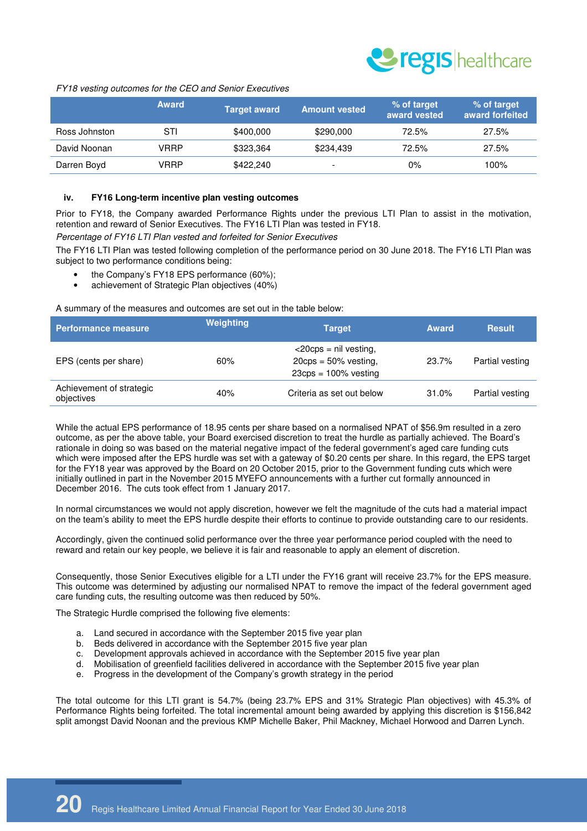

#### FY18 vesting outcomes for the CEO and Senior Executives

|               | <b>Award</b> | <b>Target award</b> | <b>Amount vested</b>     | % of target<br>award vested | % of target<br>award forfeited |
|---------------|--------------|---------------------|--------------------------|-----------------------------|--------------------------------|
| Ross Johnston | STI          | \$400,000           | \$290,000                | 72.5%                       | 27.5%                          |
| David Noonan  | VRRP         | \$323.364           | \$234.439                | 72.5%                       | 27.5%                          |
| Darren Boyd   | VRRP         | \$422,240           | $\overline{\phantom{a}}$ | $0\%$                       | $100\%$                        |

#### **iv. FY16 Long-term incentive plan vesting outcomes**

Prior to FY18, the Company awarded Performance Rights under the previous LTI Plan to assist in the motivation, retention and reward of Senior Executives. The FY16 LTI Plan was tested in FY18.

Percentage of FY16 LTI Plan vested and forfeited for Senior Executives

The FY16 LTI Plan was tested following completion of the performance period on 30 June 2018. The FY16 LTI Plan was subject to two performance conditions being:

- the Company's FY18 EPS performance (60%);
- achievement of Strategic Plan objectives (40%)

A summary of the measures and outcomes are set out in the table below:

| <b>Performance measure</b>             | Weighting | <b>Target</b>                                                                                  | <b>Award</b> | <b>Result</b>   |
|----------------------------------------|-----------|------------------------------------------------------------------------------------------------|--------------|-----------------|
| EPS (cents per share)                  | 60%       | $<$ 20cps = nil vesting,<br>$20 \text{cps} = 50\%$ vesting,<br>$23 \text{cps} = 100\%$ vesting | 23.7%        | Partial vesting |
| Achievement of strategic<br>objectives | 40%       | Criteria as set out below                                                                      | 31.0%        | Partial vesting |

While the actual EPS performance of 18.95 cents per share based on a normalised NPAT of \$56.9m resulted in a zero outcome, as per the above table, your Board exercised discretion to treat the hurdle as partially achieved. The Board's rationale in doing so was based on the material negative impact of the federal government's aged care funding cuts which were imposed after the EPS hurdle was set with a gateway of \$0.20 cents per share. In this regard, the EPS target for the FY18 year was approved by the Board on 20 October 2015, prior to the Government funding cuts which were initially outlined in part in the November 2015 MYEFO announcements with a further cut formally announced in December 2016. The cuts took effect from 1 January 2017.

In normal circumstances we would not apply discretion, however we felt the magnitude of the cuts had a material impact on the team's ability to meet the EPS hurdle despite their efforts to continue to provide outstanding care to our residents.

Accordingly, given the continued solid performance over the three year performance period coupled with the need to reward and retain our key people, we believe it is fair and reasonable to apply an element of discretion.

Consequently, those Senior Executives eligible for a LTI under the FY16 grant will receive 23.7% for the EPS measure. This outcome was determined by adjusting our normalised NPAT to remove the impact of the federal government aged care funding cuts, the resulting outcome was then reduced by 50%.

The Strategic Hurdle comprised the following five elements:

- a. Land secured in accordance with the September 2015 five year plan
- 
- b. Beds delivered in accordance with the September 2015 five year plan<br>c. Development approvals achieved in accordance with the September 2015 five year plan c. Development approvals achieved in accordance with the September 2015 five year plan
- d. Mobilisation of greenfield facilities delivered in accordance with the September 2015 five year plan
- e. Progress in the development of the Company's growth strategy in the period

The total outcome for this LTI grant is 54.7% (being 23.7% EPS and 31% Strategic Plan objectives) with 45.3% of Performance Rights being forfeited. The total incremental amount being awarded by applying this discretion is \$156,842 split amongst David Noonan and the previous KMP Michelle Baker, Phil Mackney, Michael Horwood and Darren Lynch.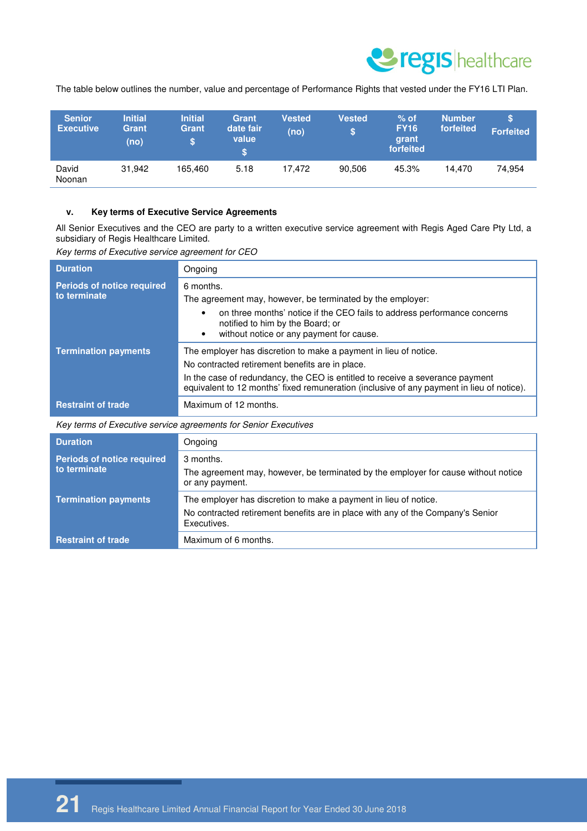

The table below outlines the number, value and percentage of Performance Rights that vested under the FY16 LTI Plan.

| <b>Senior</b><br><b>Executive</b> | <b>Initial</b><br>Grant<br>(no) | <b>Initial</b><br>Grant<br>Ð | Grant<br>date fair<br>value<br>S | Vested<br>(no) | <b>Vested</b><br>\$ | $%$ of<br><b>FY16</b><br>grant<br>forfeited | <b>Number</b><br>forfeited | S<br><b>Forfeited</b> |
|-----------------------------------|---------------------------------|------------------------------|----------------------------------|----------------|---------------------|---------------------------------------------|----------------------------|-----------------------|
| David<br>Noonan                   | 31.942                          | 165.460                      | 5.18                             | 17.472         | 90.506              | 45.3%                                       | 14.470                     | 74.954                |

### **v. Key terms of Executive Service Agreements**

All Senior Executives and the CEO are party to a written executive service agreement with Regis Aged Care Pty Ltd, a subsidiary of Regis Healthcare Limited.

Key terms of Executive service agreement for CEO

| <b>Duration</b>                                   | Ongoing                                                                                                                                                                                                                                                                                           |
|---------------------------------------------------|---------------------------------------------------------------------------------------------------------------------------------------------------------------------------------------------------------------------------------------------------------------------------------------------------|
| <b>Periods of notice required</b><br>to terminate | 6 months.<br>The agreement may, however, be terminated by the employer:<br>on three months' notice if the CEO fails to address performance concerns<br>$\bullet$<br>notified to him by the Board; or<br>without notice or any payment for cause.<br>٠                                             |
| <b>Termination payments</b>                       | The employer has discretion to make a payment in lieu of notice.<br>No contracted retirement benefits are in place.<br>In the case of redundancy, the CEO is entitled to receive a severance payment<br>equivalent to 12 months' fixed remuneration (inclusive of any payment in lieu of notice). |
| <b>Restraint of trade</b>                         | Maximum of 12 months.                                                                                                                                                                                                                                                                             |
|                                                   | Key terms of Executive service agreements for Senior Executives                                                                                                                                                                                                                                   |
| <b>Duration</b>                                   | Ongoing                                                                                                                                                                                                                                                                                           |
| <b>Periods of notice required</b><br>to terminate | 3 months.<br>The agreement may, however, be terminated by the employer for cause without notice<br>or any payment.                                                                                                                                                                                |
| <b>Termination payments</b>                       | The employer has discretion to make a payment in lieu of notice.<br>No contracted retirement benefits are in place with any of the Company's Senior<br>Executives.                                                                                                                                |
| <b>Restraint of trade</b>                         | Maximum of 6 months.                                                                                                                                                                                                                                                                              |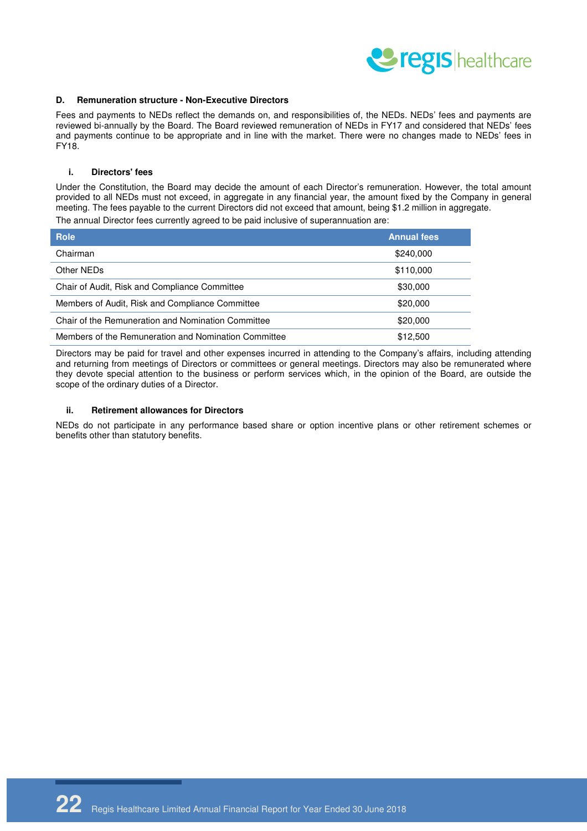

#### **D. Remuneration structure - Non-Executive Directors**

Fees and payments to NEDs reflect the demands on, and responsibilities of, the NEDs. NEDs' fees and payments are reviewed bi-annually by the Board. The Board reviewed remuneration of NEDs in FY17 and considered that NEDs' fees and payments continue to be appropriate and in line with the market. There were no changes made to NEDs' fees in FY18.

#### **i. Directors' fees**

Under the Constitution, the Board may decide the amount of each Director's remuneration. However, the total amount provided to all NEDs must not exceed, in aggregate in any financial year, the amount fixed by the Company in general meeting. The fees payable to the current Directors did not exceed that amount, being \$1.2 million in aggregate. The annual Director fees currently agreed to be paid inclusive of superannuation are:

| <b>Role</b>                                          | <b>Annual fees</b> |
|------------------------------------------------------|--------------------|
| Chairman                                             | \$240,000          |
| Other NEDs                                           | \$110,000          |
| Chair of Audit, Risk and Compliance Committee        | \$30,000           |
| Members of Audit, Risk and Compliance Committee      | \$20,000           |
| Chair of the Remuneration and Nomination Committee   | \$20,000           |
| Members of the Remuneration and Nomination Committee | \$12,500           |

Directors may be paid for travel and other expenses incurred in attending to the Company's affairs, including attending and returning from meetings of Directors or committees or general meetings. Directors may also be remunerated where they devote special attention to the business or perform services which, in the opinion of the Board, are outside the scope of the ordinary duties of a Director.

#### **ii. Retirement allowances for Directors**

NEDs do not participate in any performance based share or option incentive plans or other retirement schemes or benefits other than statutory benefits.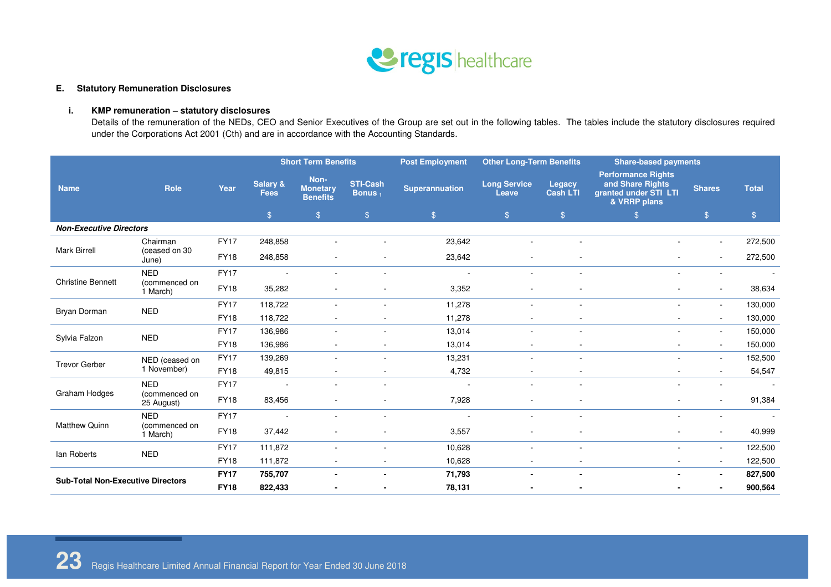

#### **E. Statutory Remuneration Disclosures**

#### **i. KMP remuneration – statutory disclosures**

Details of the remuneration of the NEDs, CEO and Senior Executives of the Group are set out in the following tables. The tables include the statutory disclosures required under the Corporations Act 2001 (Cth) and are in accordance with the Accounting Standards.

|                                          |                             |             | <b>Short Term Benefits</b> |                                            |                                       | <b>Post Employment</b>   | <b>Other Long-Term Benefits</b>     |                           | <b>Share-based payments</b>                                                            |                          |               |
|------------------------------------------|-----------------------------|-------------|----------------------------|--------------------------------------------|---------------------------------------|--------------------------|-------------------------------------|---------------------------|----------------------------------------------------------------------------------------|--------------------------|---------------|
| <b>Name</b>                              | Role                        | Year        | Salary &<br><b>Fees</b>    | Non-<br><b>Monetary</b><br><b>Benefits</b> | <b>STI-Cash</b><br>Bonus <sub>1</sub> | <b>Superannuation</b>    | <b>Long Service</b><br><b>Leave</b> | Legacy<br><b>Cash LTI</b> | <b>Performance Rights</b><br>and Share Rights<br>granted under STI LTI<br>& VRRP plans | <b>Shares</b>            | <b>Total</b>  |
|                                          |                             |             | $\frac{1}{2}$              | $\mathcal{L}$                              | $\mathcal{S}$                         | $\mathcal{S}$            | $\mathcal{S}$                       | $\frac{1}{2}$             | $$^{\circ}$                                                                            | $\mathcal{S}$            | $\frac{1}{2}$ |
| <b>Non-Executive Directors</b>           |                             |             |                            |                                            |                                       |                          |                                     |                           |                                                                                        |                          |               |
| Mark Birrell                             | Chairman                    | <b>FY17</b> | 248,858                    |                                            |                                       | 23,642                   |                                     |                           |                                                                                        | $\overline{\phantom{a}}$ | 272,500       |
|                                          | (ceased on 30<br>June)      | <b>FY18</b> | 248,858                    |                                            |                                       | 23,642                   |                                     |                           |                                                                                        | $\sim$                   | 272,500       |
| <b>NED</b><br><b>Christine Bennett</b>   |                             | <b>FY17</b> | $\sim$                     | $\sim$                                     | $\overline{\phantom{a}}$              | $\sim$                   | $\sim$                              | $\overline{\phantom{a}}$  | $\overline{\phantom{a}}$                                                               |                          | $\sim$        |
|                                          | (commenced on<br>1 March)   | <b>FY18</b> | 35,282                     |                                            |                                       | 3,352                    |                                     |                           |                                                                                        |                          | 38,634        |
| <b>Bryan Dorman</b><br><b>NED</b>        |                             | <b>FY17</b> | 118,722                    |                                            |                                       | 11,278                   |                                     |                           |                                                                                        |                          | 130,000       |
|                                          |                             | <b>FY18</b> | 118,722                    | $\sim$                                     |                                       | 11,278                   | $\overline{\phantom{a}}$            | $\overline{\phantom{a}}$  | $\overline{\phantom{a}}$                                                               |                          | 130,000       |
|                                          | <b>NED</b>                  | <b>FY17</b> | 136,986                    | $\sim$                                     |                                       | 13,014                   |                                     | $\overline{\phantom{a}}$  |                                                                                        | $\sim$                   | 150,000       |
| Sylvia Falzon                            |                             | <b>FY18</b> | 136,986                    | $\sim$                                     |                                       | 13,014                   |                                     | $\overline{\phantom{a}}$  |                                                                                        |                          | 150,000       |
| <b>Trevor Gerber</b>                     | NED (ceased on              | <b>FY17</b> | 139,269                    | $\sim$                                     | $\overline{\phantom{a}}$              | 13,231                   | $\sim$                              | $\sim$                    | $\sim$                                                                                 | $\sim$                   | 152,500       |
|                                          | 1 November)                 | <b>FY18</b> | 49,815                     | $\sim$                                     |                                       | 4,732                    | $\sim$                              | $\sim$                    | $\sim$                                                                                 | $\sim$                   | 54,547        |
|                                          | <b>NED</b>                  | <b>FY17</b> | $\sim$                     | $\overline{\phantom{a}}$                   | $\overline{\phantom{a}}$              | $\overline{\phantom{a}}$ | $\overline{\phantom{a}}$            | $\overline{\phantom{a}}$  | $\overline{\phantom{a}}$                                                               |                          | $\sim$        |
| Graham Hodges                            | (commenced on<br>25 August) | <b>FY18</b> | 83,456                     |                                            |                                       | 7,928                    |                                     |                           |                                                                                        |                          | 91,384        |
|                                          | <b>NED</b>                  | <b>FY17</b> | $\sim$                     | $\overline{\phantom{a}}$                   | $\overline{\phantom{a}}$              | $\overline{\phantom{a}}$ | $\sim$                              | $\overline{\phantom{a}}$  | $\overline{\phantom{a}}$                                                               |                          | $\sim$        |
| <b>Matthew Quinn</b>                     | (commenced on<br>1 March)   | <b>FY18</b> | 37,442                     | $\overline{\phantom{a}}$                   |                                       | 3,557                    |                                     |                           |                                                                                        |                          | 40,999        |
| lan Roberts                              | <b>NED</b>                  | <b>FY17</b> | 111,872                    | $\overline{\phantom{a}}$                   |                                       | 10,628                   | $\overline{\phantom{a}}$            | $\sim$                    | $\overline{\phantom{a}}$                                                               | $\sim$                   | 122,500       |
|                                          |                             | <b>FY18</b> | 111,872                    | $\sim$                                     | $\overline{\phantom{a}}$              | 10,628                   | $\sim$                              | $\sim$                    | $\sim$                                                                                 | $\sim$                   | 122,500       |
|                                          |                             | <b>FY17</b> | 755,707                    | $\blacksquare$                             | $\blacksquare$                        | 71,793                   |                                     | $\blacksquare$            | $\blacksquare$                                                                         | $\blacksquare$           | 827,500       |
| <b>Sub-Total Non-Executive Directors</b> |                             | <b>FY18</b> | 822,433                    |                                            |                                       | 78,131                   |                                     |                           |                                                                                        |                          | 900,564       |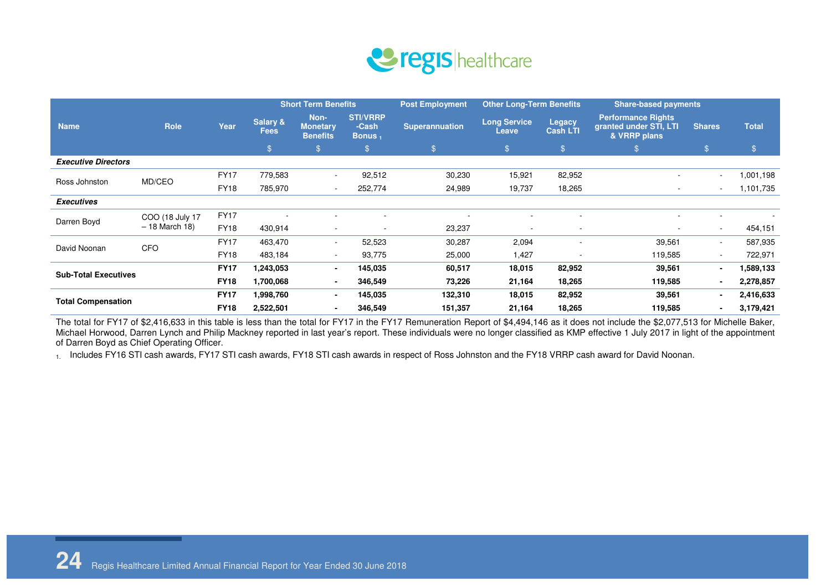

|                             |                                    |             | <b>Short Term Benefits</b>         |                                            | <b>Post Employment</b>                         | <b>Other Long-Term Benefits</b> |                              | <b>Share-based payments</b>      |                                                                     |                          |              |
|-----------------------------|------------------------------------|-------------|------------------------------------|--------------------------------------------|------------------------------------------------|---------------------------------|------------------------------|----------------------------------|---------------------------------------------------------------------|--------------------------|--------------|
| <b>Name</b>                 | <b>Role</b>                        | Year        | <b>Salary &amp;</b><br><b>Fees</b> | Non-<br><b>Monetary</b><br><b>Benefits</b> | <b>STI/VRRP</b><br>-Cash<br>Bonus <sub>1</sub> | <b>Superannuation</b>           | <b>Long Service</b><br>Leave | <b>Legacy</b><br><b>Cash LTI</b> | <b>Performance Rights</b><br>granted under STI, LTI<br>& VRRP plans | <b>Shares</b>            | <b>Total</b> |
|                             |                                    |             | $\mathcal{S}$                      | $\mathbb{S}$                               | $\mathcal{L}$                                  | $\mathfrak{L}$                  | $\mathfrak{L}$               | $\mathfrak{F}$                   |                                                                     | $\mathbb{S}$             | $\$\$        |
| <b>Executive Directors</b>  |                                    |             |                                    |                                            |                                                |                                 |                              |                                  |                                                                     |                          |              |
| MD/CEO<br>Ross Johnston     |                                    | <b>FY17</b> | 779,583                            | $\overline{\phantom{a}}$                   | 92,512                                         | 30,230                          | 15,921                       | 82,952                           | ٠                                                                   | $\overline{\phantom{a}}$ | 1,001,198    |
|                             |                                    | <b>FY18</b> | 785,970                            | $\sim$                                     | 252,774                                        | 24,989                          | 19,737                       | 18,265                           | $\sim$                                                              | $\overline{\phantom{a}}$ | 1,101,735    |
| <b>Executives</b>           |                                    |             |                                    |                                            |                                                |                                 |                              |                                  |                                                                     |                          |              |
|                             | COO (18 July 17<br>$-18$ March 18) | <b>FY17</b> |                                    |                                            |                                                |                                 | $\sim$                       | ۰                                | ۰                                                                   |                          |              |
| Darren Boyd                 |                                    | <b>FY18</b> | 430,914                            | $\overline{\phantom{a}}$                   |                                                | 23,237                          | ۰                            |                                  | ۰                                                                   | ۰                        | 454,151      |
| David Noonan                |                                    | <b>FY17</b> | 463,470                            | $\sim$                                     | 52,523                                         | 30,287                          | 2,094                        |                                  | 39,561                                                              | $\sim$                   | 587,935      |
|                             | <b>CFO</b>                         | <b>FY18</b> | 483,184                            | ۰                                          | 93,775                                         | 25,000                          | 1,427                        |                                  | 119,585                                                             | $\sim$                   | 722,971      |
| <b>Sub-Total Executives</b> |                                    | <b>FY17</b> | 1,243,053                          | ۰.                                         | 145,035                                        | 60,517                          | 18,015                       | 82,952                           | 39,561                                                              | $\blacksquare$           | 1,589,133    |
|                             |                                    | <b>FY18</b> | 1,700,068                          | $\sim$                                     | 346,549                                        | 73,226                          | 21,164                       | 18,265                           | 119,585                                                             | $\blacksquare$           | 2,278,857    |
|                             |                                    | <b>FY17</b> | 1,998,760                          | $\blacksquare$                             | 145,035                                        | 132,310                         | 18,015                       | 82,952                           | 39,561                                                              | $\blacksquare$           | 2,416,633    |
| <b>Total Compensation</b>   |                                    | <b>FY18</b> | 2,522,501                          | $\blacksquare$                             | 346,549                                        | 151,357                         | 21,164                       | 18,265                           | 119,585                                                             | $\blacksquare$           | 3,179,421    |

The total for FY17 of \$2,416,633 in this table is less than the total for FY17 in the FY17 Remuneration Report of \$4,494,146 as it does not include the \$2,077,513 for Michelle Baker, Michael Horwood, Darren Lynch and Philip Mackney reported in last year's report. These individuals were no longer classified as KMP effective 1 July 2017 in light of the appointment of Darren Boyd as Chief Operating Officer.

1. Includes FY16 STI cash awards, FY17 STI cash awards, FY18 STI cash awards in respect of Ross Johnston and the FY18 VRRP cash award for David Noonan.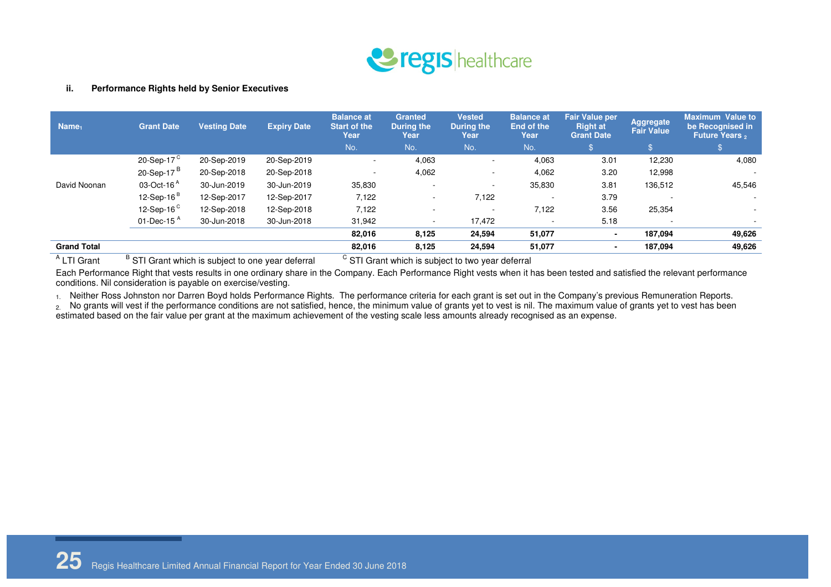

#### **ii. Performance Rights held by Senior Executives**

| Name <sub>1</sub>  | <b>Grant Date</b>         | <b>Vesting Date</b> | <b>Expiry Date</b> | <b>Balance at</b><br><b>Start of the</b><br>Year | <b>Granted</b><br><b>During the</b><br>Year | <b>Vested</b><br><b>During the</b><br>Year | <b>Balance at</b><br>End of the<br>Year | <b>Fair Value per</b><br><b>Right at</b><br><b>Grant Date</b> | <b>Aggregate</b><br><b>Fair Value</b> | <b>Maximum Value to</b><br>be Recognised in<br><b>Future Years</b> <sub>2</sub> |
|--------------------|---------------------------|---------------------|--------------------|--------------------------------------------------|---------------------------------------------|--------------------------------------------|-----------------------------------------|---------------------------------------------------------------|---------------------------------------|---------------------------------------------------------------------------------|
|                    |                           |                     |                    | No.                                              | No.                                         | No.                                        | No.                                     |                                                               |                                       | $\mathbb{S}$                                                                    |
|                    | 20-Sep-17 $\mathrm{^{c}}$ | 20-Sep-2019         | 20-Sep-2019        |                                                  | 4,063                                       | $\overline{\phantom{a}}$                   | 4,063                                   | 3.01                                                          | 12,230                                | 4,080                                                                           |
|                    | 20-Sep-17 $B$             | 20-Sep-2018         | 20-Sep-2018        |                                                  | 4,062                                       | $\overline{\phantom{a}}$                   | 4,062                                   | 3.20                                                          | 12,998                                |                                                                                 |
| David Noonan       | 03-Oct-16 <sup>A</sup>    | 30-Jun-2019         | 30-Jun-2019        | 35,830                                           |                                             | $\overline{\phantom{a}}$                   | 35,830                                  | 3.81                                                          | 136,512                               | 45,546                                                                          |
|                    | 12-Sep-16 $B$             | 12-Sep-2017         | 12-Sep-2017        | 7,122                                            | $\overline{\phantom{a}}$                    | 7,122                                      | $\sim$                                  | 3.79                                                          |                                       |                                                                                 |
|                    | 12-Sep-16 $C$             | 12-Sep-2018         | 12-Sep-2018        | 7,122                                            | ۰                                           | $\overline{\phantom{a}}$                   | 7,122                                   | 3.56                                                          | 25,354                                | ۰.                                                                              |
|                    | 01-Dec-15 $A$             | 30-Jun-2018         | 30-Jun-2018        | 31,942                                           | $\overline{\phantom{a}}$                    | 17,472                                     | $\overline{\phantom{a}}$                | 5.18                                                          | $\overline{\phantom{a}}$              |                                                                                 |
|                    |                           |                     |                    | 82,016                                           | 8,125                                       | 24,594                                     | 51,077                                  | $\overline{\phantom{a}}$                                      | 187.094                               | 49,626                                                                          |
| <b>Grand Total</b> |                           |                     |                    | 82,016                                           | 8,125                                       | 24,594                                     | 51,077                                  |                                                               | 187.094                               | 49,626                                                                          |

 $A$  LTI Grant  $B$  STI Grant which is subject to one year deferral  $C$  STI Grant which is subject to two year deferral

Each Performance Right that vests results in one ordinary share in the Company. Each Performance Right vests when it has been tested and satisfied the relevant performance<br>conditions. Nil consideration is payable on exerci

1. Neither Ross Johnston nor Darren Boyd holds Performance Rights. The performance criteria for each grant is set out in the Company's previous Remuneration Reports.

2. No grants will vest if the performance conditions are not satisfied, hence, the minimum value of grants yet to vest is nil. The maximum value of grants yet to vest has been estimated based on the fair value per grant at the maximum achievement of the vesting scale less amounts already recognised as an expense.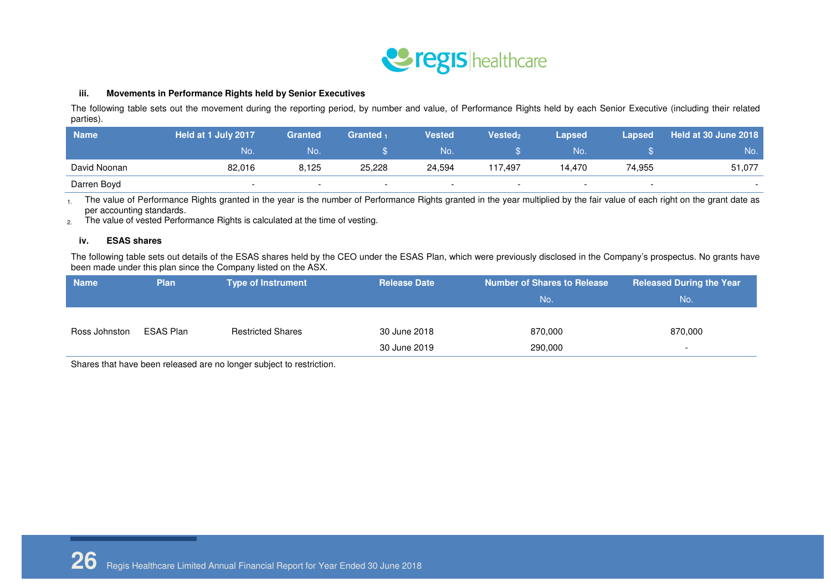

#### **iii. Movements in Performance Rights held by Senior Executives**

The following table sets out the movement during the reporting period, by number and value, of Performance Rights held by each Senior Executive (including their related parties).

| <b>Name</b>  | Held at 1 July 2017      | <b>Granted</b>           | Granted 1                | Vested                   | <b>Vested</b> <sub>2</sub> | <b>Lapsed</b> | <b>Lapsed</b> | Held at 30 June 2018 |
|--------------|--------------------------|--------------------------|--------------------------|--------------------------|----------------------------|---------------|---------------|----------------------|
|              | No.                      | NO.                      |                          | No.                      |                            | NO.           |               | No.                  |
| David Noonan | 82,016                   | 8,125                    | 25,228                   | 24,594                   | 17,497                     | 14,470        | 74.955        | 51,077               |
| Darren Boyd  | $\overline{\phantom{0}}$ | $\overline{\phantom{0}}$ | $\overline{\phantom{0}}$ | $\overline{\phantom{0}}$ |                            |               |               |                      |

<sub>1.</sub> The value of Performance Rights granted in the year is the number of Performance Rights granted in the year multiplied by the fair value of each right on the grant date as per accounting standards.

 $_{2.}$  The value of vested Performance Rights is calculated at the time of vesting.

#### **iv. ESAS shares**

The following table sets out details of the ESAS shares held by the CEO under the ESAS Plan, which were previously disclosed in the Company's prospectus. No grants have been made under this plan since the Company listed on the ASX.

| <b>Name</b>   | <b>Plan</b>      | <b>Type of Instrument</b> | <b>Release Date</b> | <b>Number of Shares to Release</b> | <b>Released During the Year</b> |
|---------------|------------------|---------------------------|---------------------|------------------------------------|---------------------------------|
|               |                  |                           |                     | N <sub>o</sub>                     | .No:                            |
|               |                  |                           |                     |                                    |                                 |
| Ross Johnston | <b>ESAS Plan</b> | <b>Restricted Shares</b>  | 30 June 2018        | 870,000                            | 870,000                         |
|               |                  |                           | 30 June 2019        | 290,000                            | $\overline{\phantom{a}}$        |
|               |                  |                           |                     |                                    |                                 |

Shares that have been released are no longer subject to restriction.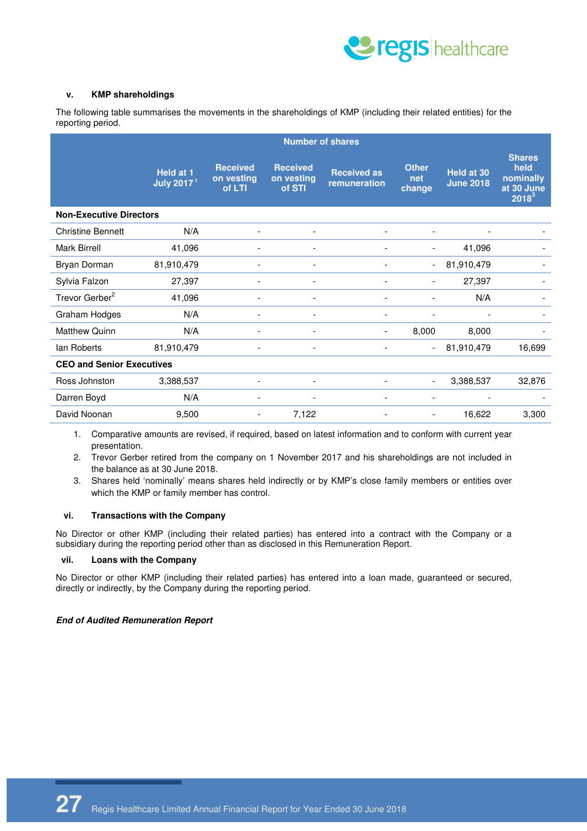

#### **v. KMP shareholdings**

The following table summarises the movements in the shareholdings of KMP (including their related entities) for the reporting period.

|                                  | <b>Number of shares</b>                    |                                         |                                         |                                    |                               |                                |                                                                |  |  |  |  |
|----------------------------------|--------------------------------------------|-----------------------------------------|-----------------------------------------|------------------------------------|-------------------------------|--------------------------------|----------------------------------------------------------------|--|--|--|--|
|                                  | Held at 1<br><b>July 2017</b> <sup>1</sup> | <b>Received</b><br>on vesting<br>of LTI | <b>Received</b><br>on vesting<br>of STI | <b>Received as</b><br>remuneration | <b>Other</b><br>net<br>change | Held at 30<br><b>June 2018</b> | <b>Shares</b><br>held<br>nominally<br>at 30 June<br>$2018^{3}$ |  |  |  |  |
| <b>Non-Executive Directors</b>   |                                            |                                         |                                         |                                    |                               |                                |                                                                |  |  |  |  |
| <b>Christine Bennett</b>         | N/A                                        |                                         |                                         |                                    |                               |                                |                                                                |  |  |  |  |
| <b>Mark Birrell</b>              | 41,096                                     |                                         |                                         |                                    | $\overline{\phantom{a}}$      | 41,096                         |                                                                |  |  |  |  |
| Bryan Dorman                     | 81,910,479                                 | $\overline{\phantom{a}}$                | $\overline{\phantom{a}}$                |                                    | $\overline{\phantom{a}}$      | 81,910,479                     |                                                                |  |  |  |  |
| Sylvia Falzon                    | 27,397                                     | $\overline{\phantom{a}}$                | $\overline{\phantom{a}}$                | $\overline{\phantom{a}}$           | $\overline{\phantom{a}}$      | 27,397                         |                                                                |  |  |  |  |
| Trevor Gerber <sup>2</sup>       | 41,096                                     | $\overline{\phantom{a}}$                | $\overline{\phantom{a}}$                | $\qquad \qquad \blacksquare$       |                               | N/A                            |                                                                |  |  |  |  |
| Graham Hodges                    | N/A                                        | $\overline{a}$                          | $\overline{\phantom{a}}$                | $\qquad \qquad \blacksquare$       |                               |                                |                                                                |  |  |  |  |
| <b>Matthew Quinn</b>             | N/A                                        |                                         |                                         |                                    | 8,000                         | 8,000                          |                                                                |  |  |  |  |
| lan Roberts                      | 81,910,479                                 |                                         | $\overline{\phantom{a}}$                | $\overline{a}$                     | $\overline{\phantom{a}}$      | 81,910,479                     | 16,699                                                         |  |  |  |  |
| <b>CEO and Senior Executives</b> |                                            |                                         |                                         |                                    |                               |                                |                                                                |  |  |  |  |
| Ross Johnston                    | 3,388,537                                  | ٠                                       | $\overline{\phantom{a}}$                |                                    | $\overline{\phantom{a}}$      | 3,388,537                      | 32,876                                                         |  |  |  |  |
| Darren Boyd                      | N/A                                        | $\overline{\phantom{a}}$                | $\overline{\phantom{a}}$                |                                    | $\overline{\phantom{0}}$      |                                |                                                                |  |  |  |  |
| David Noonan                     | 9,500                                      | $\overline{\phantom{a}}$                | 7,122                                   | $\overline{\phantom{a}}$           | $\overline{\phantom{a}}$      | 16,622                         | 3,300                                                          |  |  |  |  |

1. Comparative amounts are revised, if required, based on latest information and to conform with current year presentation.

2. Trevor Gerber retired from the company on 1 November 2017 and his shareholdings are not included in the balance as at 30 June 2018.

3. Shares held 'nominally' means shares held indirectly or by KMP's close family members or entities over which the KMP or family member has control.

#### **vi. Transactions with the Company**

No Director or other KMP (including their related parties) has entered into a contract with the Company or a subsidiary during the reporting period other than as disclosed in this Remuneration Report.

#### **vii. Loans with the Company**

No Director or other KMP (including their related parties) has entered into a loan made, guaranteed or secured, directly or indirectly, by the Company during the reporting period.

#### **End of Audited Remuneration Report**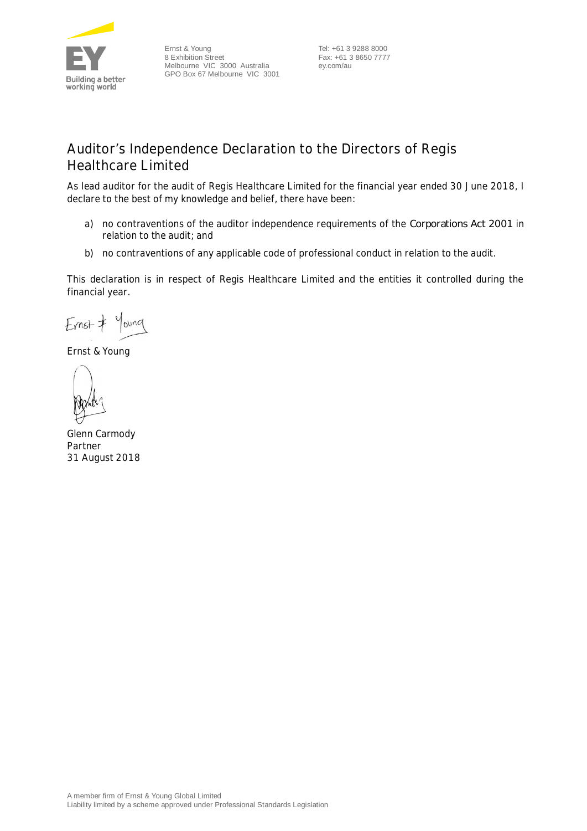

Ernst & Young 8 Exhibition Street Melbourne VIC 3000 Australia GPO Box 67 Melbourne VIC 3001

Tel: +61 3 9288 8000 Fax: +61 3 8650 7777 ey.com/au

## **Auditor's Independence Declaration to the Directors of Regis Healthcare Limited**

As lead auditor for the audit of Regis Healthcare Limited for the financial year ended 30 June 2018, I declare to the best of my knowledge and belief, there have been:

- a) no contraventions of the auditor independence requirements of the *Corporations Act 2001* in relation to the audit; and
- b) no contraventions of any applicable code of professional conduct in relation to the audit.

This declaration is in respect of Regis Healthcare Limited and the entities it controlled during the financial year.

Ernst & Young

Ernst & Young

Glenn Carmody Partner 31 August 2018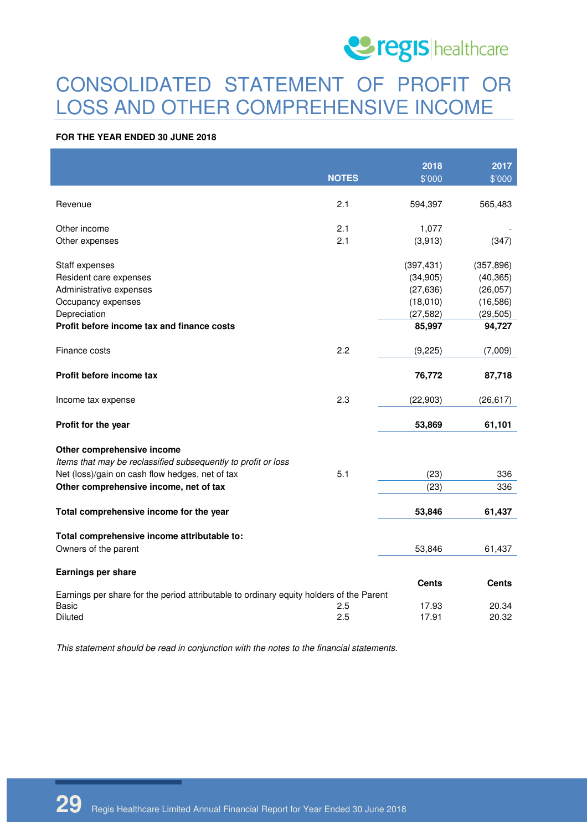

# CONSOLIDATED STATEMENT OF PROFIT OR LOSS AND OTHER COMPREHENSIVE INCOME

#### **FOR THE YEAR ENDED 30 JUNE 2018**

|                                                                                         |              | 2018         | 2017         |
|-----------------------------------------------------------------------------------------|--------------|--------------|--------------|
|                                                                                         | <b>NOTES</b> | \$'000       | \$'000       |
| Revenue                                                                                 | 2.1          |              |              |
|                                                                                         |              | 594,397      | 565,483      |
| Other income                                                                            | 2.1          | 1,077        |              |
| Other expenses                                                                          | 2.1          | (3,913)      | (347)        |
| Staff expenses                                                                          |              | (397, 431)   | (357, 896)   |
| Resident care expenses                                                                  |              | (34, 905)    | (40, 365)    |
| Administrative expenses                                                                 |              | (27, 636)    | (26, 057)    |
| Occupancy expenses                                                                      |              | (18,010)     | (16, 586)    |
| Depreciation                                                                            |              | (27, 582)    | (29, 505)    |
| Profit before income tax and finance costs                                              |              | 85,997       | 94,727       |
| Finance costs                                                                           | 2.2          | (9,225)      | (7,009)      |
| Profit before income tax                                                                |              | 76,772       | 87,718       |
| Income tax expense                                                                      | 2.3          | (22,903)     | (26, 617)    |
| Profit for the year                                                                     |              | 53,869       | 61,101       |
| Other comprehensive income                                                              |              |              |              |
| Items that may be reclassified subsequently to profit or loss                           |              |              |              |
| Net (loss)/gain on cash flow hedges, net of tax                                         | 5.1          | (23)         | 336          |
| Other comprehensive income, net of tax                                                  |              | (23)         | 336          |
| Total comprehensive income for the year                                                 |              | 53,846       | 61,437       |
|                                                                                         |              |              |              |
| Total comprehensive income attributable to:                                             |              |              |              |
| Owners of the parent                                                                    |              | 53,846       | 61,437       |
| <b>Earnings per share</b>                                                               |              |              |              |
|                                                                                         |              | <b>Cents</b> | <b>Cents</b> |
| Earnings per share for the period attributable to ordinary equity holders of the Parent |              |              |              |
| <b>Basic</b>                                                                            | 2.5          | 17.93        | 20.34        |
| Diluted                                                                                 | 2.5          | 17.91        | 20.32        |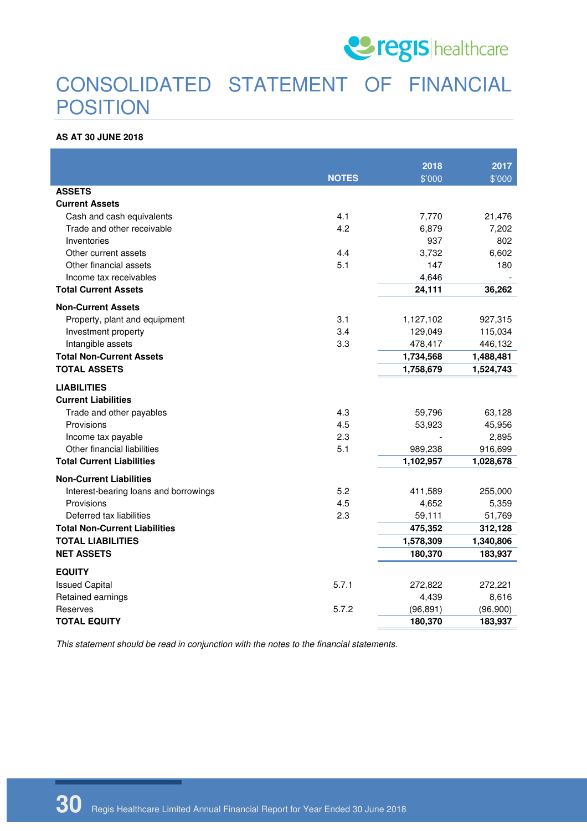

# CONSOLIDATED STATEMENT OF FINANCIAL **POSITION**

#### **AS AT 30 JUNE 2018**

|                                        |              | 2018      | 2017      |
|----------------------------------------|--------------|-----------|-----------|
|                                        | <b>NOTES</b> | \$'000    | \$'000    |
| <b>ASSETS</b>                          |              |           |           |
| <b>Current Assets</b>                  |              |           |           |
| Cash and cash equivalents              | 4.1          | 7,770     | 21,476    |
| Trade and other receivable             | 4.2          | 6,879     | 7,202     |
| Inventories                            |              | 937       | 802       |
| Other current assets                   | 4.4          | 3,732     | 6,602     |
| Other financial assets                 | 5.1          | 147       | 180       |
| Income tax receivables                 |              | 4,646     |           |
| <b>Total Current Assets</b>            |              | 24,111    | 36,262    |
| <b>Non-Current Assets</b>              |              |           |           |
| Property, plant and equipment          | 3.1          | 1,127,102 | 927,315   |
| Investment property                    | 3.4          | 129,049   | 115,034   |
| Intangible assets                      | 3.3          | 478,417   | 446,132   |
| <b>Total Non-Current Assets</b>        |              | 1,734,568 | 1,488,481 |
| <b>TOTAL ASSETS</b>                    |              | 1,758,679 | 1,524,743 |
| <b>LIABILITIES</b>                     |              |           |           |
| <b>Current Liabilities</b>             |              |           |           |
| Trade and other payables               | 4.3          | 59,796    | 63,128    |
| Provisions                             | 4.5          | 53,923    | 45,956    |
| Income tax payable                     | 2.3          |           | 2,895     |
| Other financial liabilities            | 5.1          | 989,238   | 916,699   |
| <b>Total Current Liabilities</b>       |              | 1,102,957 | 1,028,678 |
| <b>Non-Current Liabilities</b>         |              |           |           |
| Interest-bearing loans and borrowings  | 5.2          | 411,589   | 255,000   |
| Provisions                             | 4.5          | 4,652     | 5,359     |
| Deferred tax liabilities               | 2.3          | 59,111    | 51,769    |
| <b>Total Non-Current Liabilities</b>   |              | 475,352   | 312,128   |
| <b>TOTAL LIABILITIES</b>               |              | 1,578,309 | 1,340,806 |
| <b>NET ASSETS</b>                      |              | 180,370   | 183,937   |
|                                        |              |           |           |
| <b>EQUITY</b><br><b>Issued Capital</b> | 5.7.1        | 272,822   | 272,221   |
| Retained earnings                      |              | 4,439     | 8,616     |
| Reserves                               | 5.7.2        | (96, 891) | (96, 900) |
| <b>TOTAL EQUITY</b>                    |              | 180,370   | 183,937   |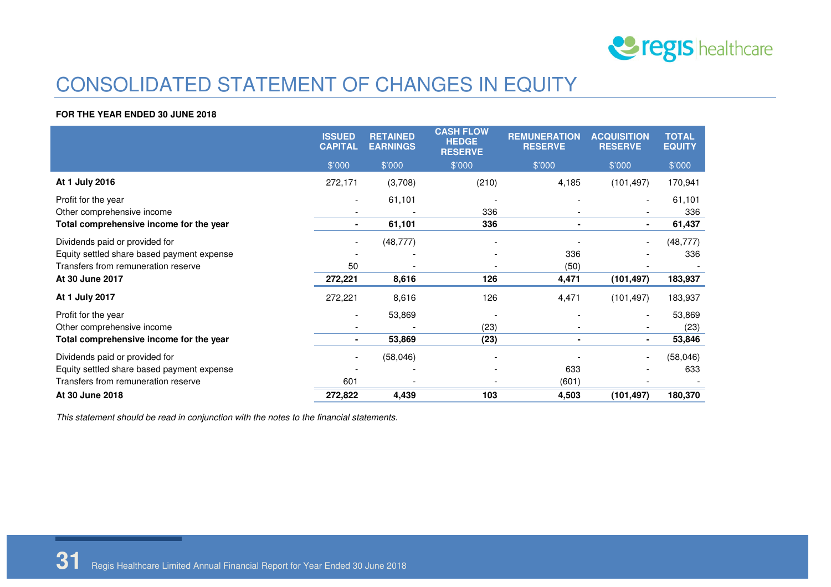

# CONSOLIDATED STATEMENT OF CHANGES IN EQUITY

#### **FOR THE YEAR ENDED 30 JUNE 2018**

|                                            | <b>ISSUED</b><br><b>CAPITAL</b> | <b>RETAINED</b><br><b>EARNINGS</b> | <b>CASH FLOW</b><br><b>HEDGE</b><br><b>RESERVE</b> | <b>REMUNERATION</b><br><b>RESERVE</b> | <b>ACQUISITION</b><br><b>RESERVE</b> | <b>TOTAL</b><br><b>EQUITY</b> |
|--------------------------------------------|---------------------------------|------------------------------------|----------------------------------------------------|---------------------------------------|--------------------------------------|-------------------------------|
|                                            | \$'000                          | \$'000                             | \$'000                                             | \$'000                                | \$'000                               | \$'000                        |
| At 1 July 2016                             | 272,171                         | (3,708)                            | (210)                                              | 4,185                                 | (101, 497)                           | 170,941                       |
| Profit for the year                        |                                 | 61,101                             |                                                    |                                       | $\overline{\phantom{a}}$             | 61,101                        |
| Other comprehensive income                 |                                 |                                    | 336                                                |                                       |                                      | 336                           |
| Total comprehensive income for the year    |                                 | 61,101                             | 336                                                | $\blacksquare$                        | $\blacksquare$                       | 61,437                        |
| Dividends paid or provided for             |                                 | (48, 777)                          |                                                    |                                       | $\overline{\phantom{0}}$             | (48, 777)                     |
| Equity settled share based payment expense |                                 |                                    |                                                    | 336                                   |                                      | 336                           |
| Transfers from remuneration reserve        | 50                              |                                    |                                                    | (50)                                  |                                      |                               |
| At 30 June 2017                            | 272,221                         | 8,616                              | 126                                                | 4,471                                 | (101, 497)                           | 183,937                       |
| At 1 July 2017                             | 272,221                         | 8,616                              | 126                                                | 4,471                                 | (101, 497)                           | 183,937                       |
| Profit for the year                        |                                 | 53,869                             |                                                    |                                       | $\overline{\phantom{0}}$             | 53,869                        |
| Other comprehensive income                 |                                 |                                    | (23)                                               |                                       | $\overline{\phantom{a}}$             | (23)                          |
| Total comprehensive income for the year    | $\blacksquare$                  | 53,869                             | (23)                                               | $\blacksquare$                        | $\blacksquare$                       | 53,846                        |
| Dividends paid or provided for             |                                 | (58,046)                           |                                                    |                                       | -                                    | (58, 046)                     |
| Equity settled share based payment expense |                                 |                                    |                                                    | 633                                   |                                      | 633                           |
| Transfers from remuneration reserve        | 601                             |                                    |                                                    | (601)                                 |                                      |                               |
| At 30 June 2018                            | 272,822                         | 4,439                              | 103                                                | 4,503                                 | (101, 497)                           | 180,370                       |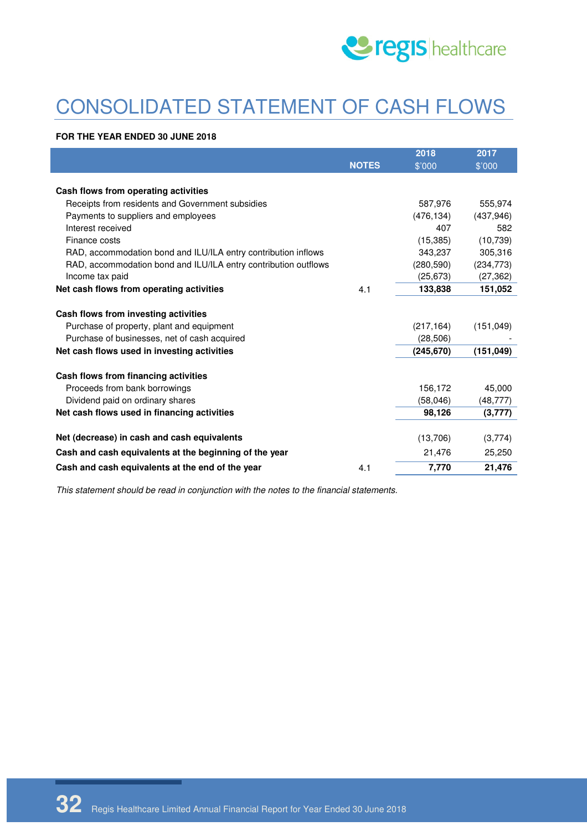

# CONSOLIDATED STATEMENT OF CASH FLOWS

#### **FOR THE YEAR ENDED 30 JUNE 2018**

|                                                                 |              | 2018       | 2017       |
|-----------------------------------------------------------------|--------------|------------|------------|
|                                                                 | <b>NOTES</b> | \$'000     | \$'000     |
|                                                                 |              |            |            |
| Cash flows from operating activities                            |              |            |            |
| Receipts from residents and Government subsidies                |              | 587,976    | 555,974    |
| Payments to suppliers and employees                             |              | (476, 134) | (437, 946) |
| Interest received                                               |              | 407        | 582        |
| Finance costs                                                   |              | (15, 385)  | (10, 739)  |
| RAD, accommodation bond and ILU/ILA entry contribution inflows  |              | 343,237    | 305,316    |
| RAD, accommodation bond and ILU/ILA entry contribution outflows |              | (280, 590) | (234, 773) |
| Income tax paid                                                 |              | (25, 673)  | (27, 362)  |
| Net cash flows from operating activities                        | 4.1          | 133,838    | 151.052    |
| Cash flows from investing activities                            |              |            |            |
| Purchase of property, plant and equipment                       |              | (217, 164) | (151, 049) |
| Purchase of businesses, net of cash acquired                    |              | (28, 506)  |            |
| Net cash flows used in investing activities                     |              | (245, 670) | (151, 049) |
| Cash flows from financing activities                            |              |            |            |
| Proceeds from bank borrowings                                   |              | 156,172    | 45,000     |
| Dividend paid on ordinary shares                                |              | (58,046)   | (48, 777)  |
| Net cash flows used in financing activities                     |              | 98,126     | (3, 777)   |
|                                                                 |              |            |            |
| Net (decrease) in cash and cash equivalents                     |              | (13,706)   | (3,774)    |
| Cash and cash equivalents at the beginning of the year          |              | 21,476     | 25,250     |
| Cash and cash equivalents at the end of the year                | 4.1          | 7,770      | 21,476     |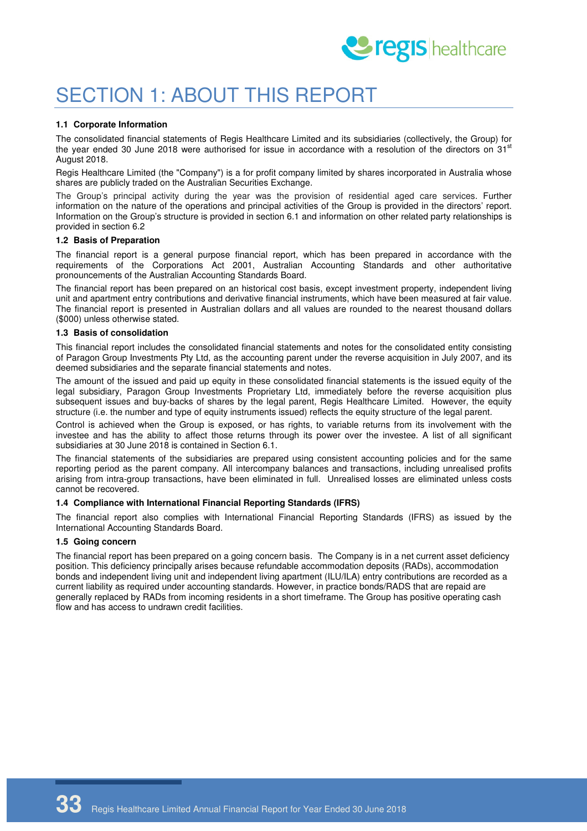

# SECTION 1: ABOUT THIS REPORT

#### **1.1 Corporate Information**

The consolidated financial statements of Regis Healthcare Limited and its subsidiaries (collectively, the Group) for the year ended 30 June 2018 were authorised for issue in accordance with a resolution of the directors on 31<sup>st</sup> August 2018.

Regis Healthcare Limited (the "Company") is a for profit company limited by shares incorporated in Australia whose shares are publicly traded on the Australian Securities Exchange.

The Group's principal activity during the year was the provision of residential aged care services. Further information on the nature of the operations and principal activities of the Group is provided in the directors' report. Information on the Group's structure is provided in section 6.1 and information on other related party relationships is provided in section 6.2

#### **1.2 Basis of Preparation**

The financial report is a general purpose financial report, which has been prepared in accordance with the requirements of the Corporations Act 2001, Australian Accounting Standards and other authoritative pronouncements of the Australian Accounting Standards Board.

The financial report has been prepared on an historical cost basis, except investment property, independent living unit and apartment entry contributions and derivative financial instruments, which have been measured at fair value. The financial report is presented in Australian dollars and all values are rounded to the nearest thousand dollars (\$000) unless otherwise stated.

#### **1.3 Basis of consolidation**

This financial report includes the consolidated financial statements and notes for the consolidated entity consisting of Paragon Group Investments Pty Ltd, as the accounting parent under the reverse acquisition in July 2007, and its deemed subsidiaries and the separate financial statements and notes.

The amount of the issued and paid up equity in these consolidated financial statements is the issued equity of the legal subsidiary, Paragon Group Investments Proprietary Ltd, immediately before the reverse acquisition plus subsequent issues and buy-backs of shares by the legal parent, Regis Healthcare Limited. However, the equity structure (i.e. the number and type of equity instruments issued) reflects the equity structure of the legal parent.

Control is achieved when the Group is exposed, or has rights, to variable returns from its involvement with the investee and has the ability to affect those returns through its power over the investee. A list of all significant subsidiaries at 30 June 2018 is contained in Section 6.1.

The financial statements of the subsidiaries are prepared using consistent accounting policies and for the same reporting period as the parent company. All intercompany balances and transactions, including unrealised profits arising from intra-group transactions, have been eliminated in full. Unrealised losses are eliminated unless costs cannot be recovered.

#### **1.4 Compliance with International Financial Reporting Standards (IFRS)**

The financial report also complies with International Financial Reporting Standards (IFRS) as issued by the International Accounting Standards Board.

#### **1.5 Going concern**

The financial report has been prepared on a going concern basis. The Company is in a net current asset deficiency position. This deficiency principally arises because refundable accommodation deposits (RADs), accommodation bonds and independent living unit and independent living apartment (ILU/ILA) entry contributions are recorded as a current liability as required under accounting standards. However, in practice bonds/RADS that are repaid are generally replaced by RADs from incoming residents in a short timeframe. The Group has positive operating cash flow and has access to undrawn credit facilities.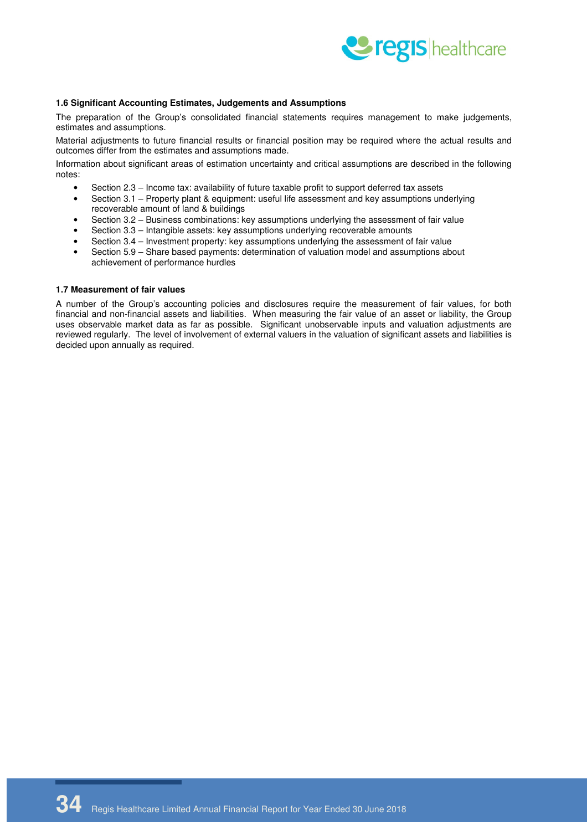

#### **1.6 Significant Accounting Estimates, Judgements and Assumptions**

The preparation of the Group's consolidated financial statements requires management to make judgements, estimates and assumptions.

Material adjustments to future financial results or financial position may be required where the actual results and outcomes differ from the estimates and assumptions made.

Information about significant areas of estimation uncertainty and critical assumptions are described in the following notes:

- Section 2.3 Income tax: availability of future taxable profit to support deferred tax assets
- Section 3.1 Property plant & equipment: useful life assessment and key assumptions underlying recoverable amount of land & buildings
- Section 3.2 Business combinations: key assumptions underlying the assessment of fair value
- Section 3.3 Intangible assets: key assumptions underlying recoverable amounts
- Section 3.4 Investment property: key assumptions underlying the assessment of fair value
- Section 5.9 Share based payments: determination of valuation model and assumptions about achievement of performance hurdles

#### **1.7 Measurement of fair values**

A number of the Group's accounting policies and disclosures require the measurement of fair values, for both financial and non-financial assets and liabilities. When measuring the fair value of an asset or liability, the Group uses observable market data as far as possible. Significant unobservable inputs and valuation adjustments are reviewed regularly. The level of involvement of external valuers in the valuation of significant assets and liabilities is decided upon annually as required.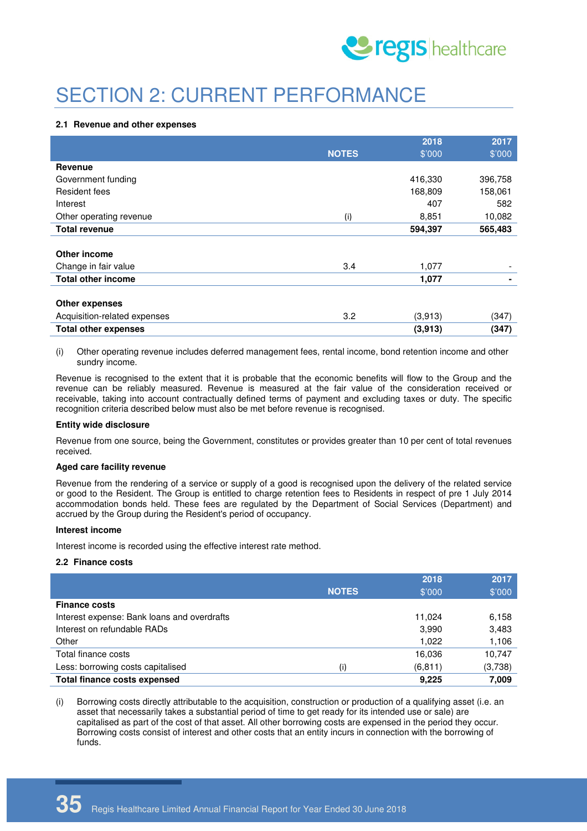

# SECTION 2: CURRENT PERFORMANCE

#### **2.1 Revenue and other expenses**

|                              |              | 2018    | 2017    |
|------------------------------|--------------|---------|---------|
|                              | <b>NOTES</b> | \$'000  | \$'000  |
| Revenue                      |              |         |         |
| Government funding           |              | 416,330 | 396,758 |
| Resident fees                |              | 168,809 | 158,061 |
| Interest                     |              | 407     | 582     |
| Other operating revenue      | (i)          | 8,851   | 10,082  |
| <b>Total revenue</b>         |              | 594,397 | 565,483 |
|                              |              |         |         |
| Other income                 |              |         |         |
| Change in fair value         | 3.4          | 1,077   |         |
| <b>Total other income</b>    |              | 1,077   |         |
|                              |              |         |         |
| <b>Other expenses</b>        |              |         |         |
| Acquisition-related expenses | 3.2          | (3,913) | (347)   |
| <b>Total other expenses</b>  |              | (3,913) | (347)   |

(i) Other operating revenue includes deferred management fees, rental income, bond retention income and other sundry income.

Revenue is recognised to the extent that it is probable that the economic benefits will flow to the Group and the revenue can be reliably measured. Revenue is measured at the fair value of the consideration received or receivable, taking into account contractually defined terms of payment and excluding taxes or duty. The specific recognition criteria described below must also be met before revenue is recognised.

#### **Entity wide disclosure**

Revenue from one source, being the Government, constitutes or provides greater than 10 per cent of total revenues received.

#### **Aged care facility revenue**

Revenue from the rendering of a service or supply of a good is recognised upon the delivery of the related service or good to the Resident. The Group is entitled to charge retention fees to Residents in respect of pre 1 July 2014 accommodation bonds held. These fees are regulated by the Department of Social Services (Department) and accrued by the Group during the Resident's period of occupancy.

#### **Interest income**

Interest income is recorded using the effective interest rate method.

#### **2.2 Finance costs**

|                                             |              | 2018     | 2017    |
|---------------------------------------------|--------------|----------|---------|
|                                             | <b>NOTES</b> | \$'000   | \$'000  |
| <b>Finance costs</b>                        |              |          |         |
| Interest expense: Bank loans and overdrafts |              | 11.024   | 6,158   |
| Interest on refundable RADs                 |              | 3,990    | 3,483   |
| Other                                       |              | 1.022    | 1,106   |
| Total finance costs                         |              | 16.036   | 10.747  |
| Less: borrowing costs capitalised           | (i)          | (6, 811) | (3,738) |
| Total finance costs expensed                |              | 9,225    | 7,009   |

(i) Borrowing costs directly attributable to the acquisition, construction or production of a qualifying asset (i.e. an asset that necessarily takes a substantial period of time to get ready for its intended use or sale) are capitalised as part of the cost of that asset. All other borrowing costs are expensed in the period they occur. Borrowing costs consist of interest and other costs that an entity incurs in connection with the borrowing of funds.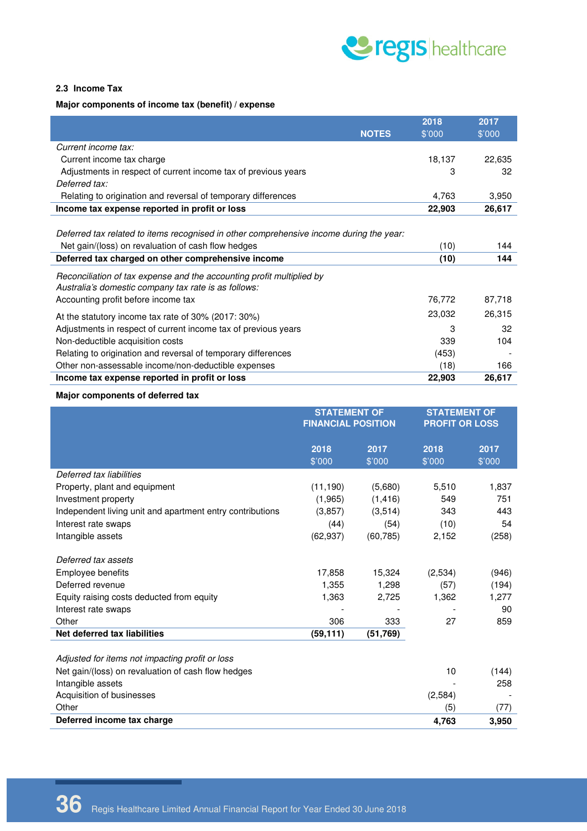

#### **2.3 Income Tax**

#### **Major components of income tax (benefit) / expense**

|                                                                                         | 2018   | 2017   |
|-----------------------------------------------------------------------------------------|--------|--------|
| <b>NOTES</b>                                                                            | \$'000 | \$'000 |
| Current income tax:                                                                     |        |        |
| Current income tax charge                                                               | 18,137 | 22,635 |
| Adjustments in respect of current income tax of previous years                          | 3      | 32     |
| Deferred tax:                                                                           |        |        |
| Relating to origination and reversal of temporary differences                           | 4,763  | 3,950  |
| Income tax expense reported in profit or loss                                           | 22,903 | 26,617 |
|                                                                                         |        |        |
| Deferred tax related to items recognised in other comprehensive income during the year: |        |        |
| Net gain/(loss) on revaluation of cash flow hedges                                      | (10)   | 144    |
| Deferred tax charged on other comprehensive income                                      | (10)   | 144    |
| Reconciliation of tax expense and the accounting profit multiplied by                   |        |        |
| Australia's domestic company tax rate is as follows:                                    |        |        |
| Accounting profit before income tax                                                     | 76,772 | 87,718 |
| At the statutory income tax rate of 30% (2017: 30%)                                     | 23,032 | 26,315 |
| Adjustments in respect of current income tax of previous years                          | 3      | 32     |
| Non-deductible acquisition costs                                                        | 339    | 104    |
| Relating to origination and reversal of temporary differences                           | (453)  |        |
| Other non-assessable income/non-deductible expenses                                     | (18)   | 166    |
| Income tax expense reported in profit or loss                                           | 22,903 | 26,617 |

#### **Major components of deferred tax**

|                                                           | <b>STATEMENT OF</b><br><b>FINANCIAL POSITION</b> |           | <b>STATEMENT OF</b><br><b>PROFIT OR LOSS</b> |        |
|-----------------------------------------------------------|--------------------------------------------------|-----------|----------------------------------------------|--------|
|                                                           | 2018                                             | 2017      | 2018                                         | 2017   |
|                                                           | \$'000                                           | \$'000    | \$'000                                       | \$'000 |
| Deferred tax liabilities                                  |                                                  |           |                                              |        |
| Property, plant and equipment                             | (11, 190)                                        | (5,680)   | 5,510                                        | 1,837  |
| Investment property                                       | (1,965)                                          | (1, 416)  | 549                                          | 751    |
| Independent living unit and apartment entry contributions | (3, 857)                                         | (3,514)   | 343                                          | 443    |
| Interest rate swaps                                       | (44)                                             | (54)      | (10)                                         | 54     |
| Intangible assets                                         | (62, 937)                                        | (60, 785) | 2,152                                        | (258)  |
| Deferred tax assets                                       |                                                  |           |                                              |        |
| Employee benefits                                         | 17,858                                           | 15,324    | (2,534)                                      | (946)  |
| Deferred revenue                                          | 1,355                                            | 1,298     | (57)                                         | (194)  |
| Equity raising costs deducted from equity                 | 1,363                                            | 2,725     | 1,362                                        | 1,277  |
| Interest rate swaps                                       |                                                  |           |                                              | 90     |
| Other                                                     | 306                                              | 333       | 27                                           | 859    |
| Net deferred tax liabilities                              | (59, 111)                                        | (51, 769) |                                              |        |
| Adjusted for items not impacting profit or loss           |                                                  |           |                                              |        |
| Net gain/(loss) on revaluation of cash flow hedges        |                                                  |           | 10                                           | (144)  |
| Intangible assets                                         |                                                  |           |                                              | 258    |
| Acquisition of businesses                                 |                                                  |           | (2,584)                                      |        |
| Other                                                     |                                                  |           | (5)                                          | (77)   |

**Deferred income tax charge 4,763** 3,950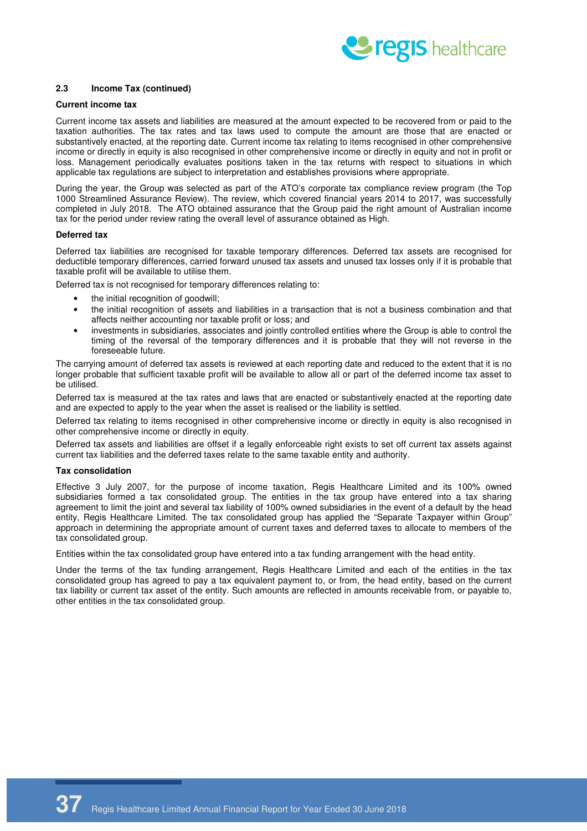

#### **2.3 Income Tax (continued)**

#### **Current income tax**

Current income tax assets and liabilities are measured at the amount expected to be recovered from or paid to the taxation authorities. The tax rates and tax laws used to compute the amount are those that are enacted or substantively enacted, at the reporting date. Current income tax relating to items recognised in other comprehensive income or directly in equity is also recognised in other comprehensive income or directly in equity and not in profit or loss. Management periodically evaluates positions taken in the tax returns with respect to situations in which applicable tax regulations are subject to interpretation and establishes provisions where appropriate.

During the year, the Group was selected as part of the ATO's corporate tax compliance review program (the Top 1000 Streamlined Assurance Review). The review, which covered financial years 2014 to 2017, was successfully completed in July 2018. The ATO obtained assurance that the Group paid the right amount of Australian income tax for the period under review rating the overall level of assurance obtained as High.

#### **Deferred tax**

Deferred tax liabilities are recognised for taxable temporary differences. Deferred tax assets are recognised for deductible temporary differences, carried forward unused tax assets and unused tax losses only if it is probable that taxable profit will be available to utilise them.

Deferred tax is not recognised for temporary differences relating to:

- the initial recognition of goodwill;
- the initial recognition of assets and liabilities in a transaction that is not a business combination and that affects neither accounting nor taxable profit or loss; and
- investments in subsidiaries, associates and jointly controlled entities where the Group is able to control the timing of the reversal of the temporary differences and it is probable that they will not reverse in the foreseeable future.

The carrying amount of deferred tax assets is reviewed at each reporting date and reduced to the extent that it is no longer probable that sufficient taxable profit will be available to allow all or part of the deferred income tax asset to be utilised.

Deferred tax is measured at the tax rates and laws that are enacted or substantively enacted at the reporting date and are expected to apply to the year when the asset is realised or the liability is settled.

Deferred tax relating to items recognised in other comprehensive income or directly in equity is also recognised in other comprehensive income or directly in equity.

Deferred tax assets and liabilities are offset if a legally enforceable right exists to set off current tax assets against current tax liabilities and the deferred taxes relate to the same taxable entity and authority.

#### **Tax consolidation**

Effective 3 July 2007, for the purpose of income taxation, Regis Healthcare Limited and its 100% owned subsidiaries formed a tax consolidated group. The entities in the tax group have entered into a tax sharing agreement to limit the joint and several tax liability of 100% owned subsidiaries in the event of a default by the head entity, Regis Healthcare Limited. The tax consolidated group has applied the "Separate Taxpayer within Group" approach in determining the appropriate amount of current taxes and deferred taxes to allocate to members of the tax consolidated group.

Entities within the tax consolidated group have entered into a tax funding arrangement with the head entity.

Under the terms of the tax funding arrangement, Regis Healthcare Limited and each of the entities in the tax consolidated group has agreed to pay a tax equivalent payment to, or from, the head entity, based on the current tax liability or current tax asset of the entity. Such amounts are reflected in amounts receivable from, or payable to, other entities in the tax consolidated group.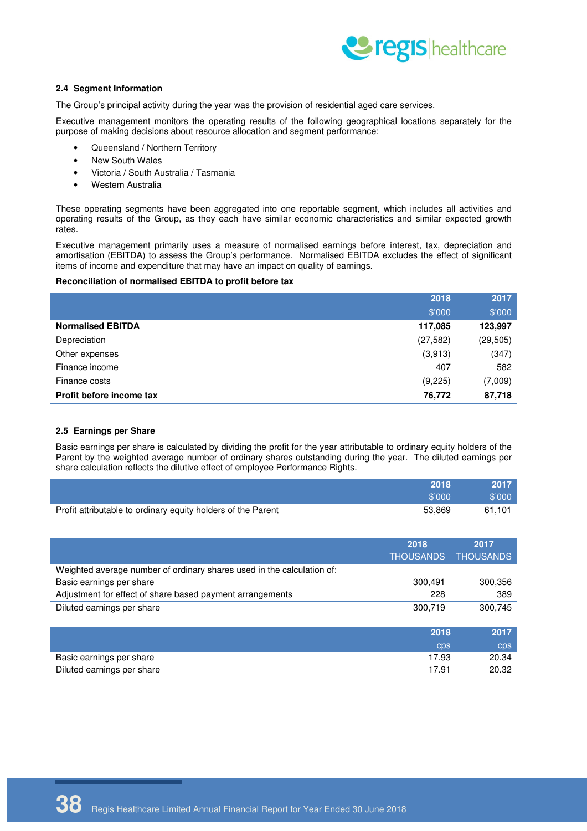

#### **2.4 Segment Information**

The Group's principal activity during the year was the provision of residential aged care services.

Executive management monitors the operating results of the following geographical locations separately for the purpose of making decisions about resource allocation and segment performance:

- Queensland / Northern Territory
- New South Wales
- Victoria / South Australia / Tasmania
- Western Australia

These operating segments have been aggregated into one reportable segment, which includes all activities and operating results of the Group, as they each have similar economic characteristics and similar expected growth rates.

Executive management primarily uses a measure of normalised earnings before interest, tax, depreciation and amortisation (EBITDA) to assess the Group's performance. Normalised EBITDA excludes the effect of significant items of income and expenditure that may have an impact on quality of earnings.

#### **Reconciliation of normalised EBITDA to profit before tax**

|                          | 2018      | 2017      |
|--------------------------|-----------|-----------|
|                          | \$'000    | \$'000    |
| <b>Normalised EBITDA</b> | 117,085   | 123,997   |
| Depreciation             | (27, 582) | (29, 505) |
| Other expenses           | (3,913)   | (347)     |
| Finance income           | 407       | 582       |
| Finance costs            | (9,225)   | (7,009)   |
| Profit before income tax | 76,772    | 87,718    |

#### **2.5 Earnings per Share**

Basic earnings per share is calculated by dividing the profit for the year attributable to ordinary equity holders of the Parent by the weighted average number of ordinary shares outstanding during the year. The diluted earnings per share calculation reflects the dilutive effect of employee Performance Rights.

|                                                              | 2018   | 2017   |
|--------------------------------------------------------------|--------|--------|
|                                                              | \$'000 | \$'000 |
| Profit attributable to ordinary equity holders of the Parent | 53.869 | 61.101 |

|                                                                        | 2018             | 2017             |
|------------------------------------------------------------------------|------------------|------------------|
|                                                                        | <b>THOUSANDS</b> | <b>THOUSANDS</b> |
| Weighted average number of ordinary shares used in the calculation of: |                  |                  |
| Basic earnings per share                                               | 300,491          | 300,356          |
| Adjustment for effect of share based payment arrangements              | 228              | 389              |
| Diluted earnings per share                                             | 300,719          | 300,745          |
|                                                                        |                  |                  |
|                                                                        | 2018             | 2017             |
|                                                                        | cps              | <b>cps</b>       |
| Basic earnings per share                                               | 17.93            | 20.34            |
| Diluted earnings per share                                             | 17.91            | 20.32            |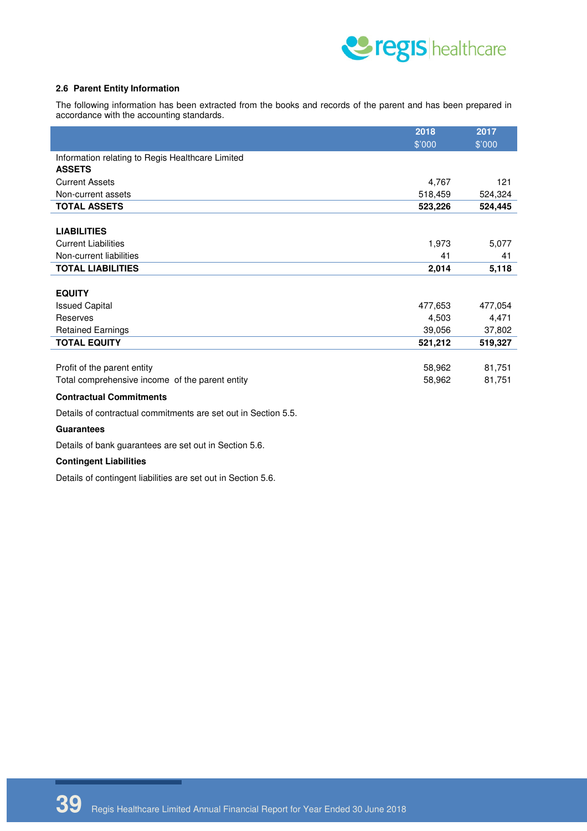

#### **2.6 Parent Entity Information**

The following information has been extracted from the books and records of the parent and has been prepared in accordance with the accounting standards.

|                                                  | 2018    | 2017    |
|--------------------------------------------------|---------|---------|
|                                                  | \$'000  | \$'000  |
| Information relating to Regis Healthcare Limited |         |         |
| <b>ASSETS</b>                                    |         |         |
| <b>Current Assets</b>                            | 4,767   | 121     |
| Non-current assets                               | 518,459 | 524,324 |
| <b>TOTAL ASSETS</b>                              | 523,226 | 524,445 |
|                                                  |         |         |
| <b>LIABILITIES</b>                               |         |         |
| <b>Current Liabilities</b>                       | 1,973   | 5,077   |
| Non-current liabilities                          | 41      | 41      |
| <b>TOTAL LIABILITIES</b>                         | 2,014   | 5,118   |
|                                                  |         |         |
| <b>EQUITY</b>                                    |         |         |
| <b>Issued Capital</b>                            | 477,653 | 477,054 |
| Reserves                                         | 4,503   | 4,471   |
| <b>Retained Earnings</b>                         | 39,056  | 37,802  |
| <b>TOTAL EQUITY</b>                              | 521,212 | 519,327 |
|                                                  |         |         |
| Profit of the parent entity                      | 58,962  | 81,751  |
| Total comprehensive income of the parent entity  | 58,962  | 81,751  |
| <b>Contractual Commitments</b>                   |         |         |

Details of contractual commitments are set out in Section 5.5.

#### **Guarantees**

Details of bank guarantees are set out in Section 5.6.

#### **Contingent Liabilities**

Details of contingent liabilities are set out in Section 5.6.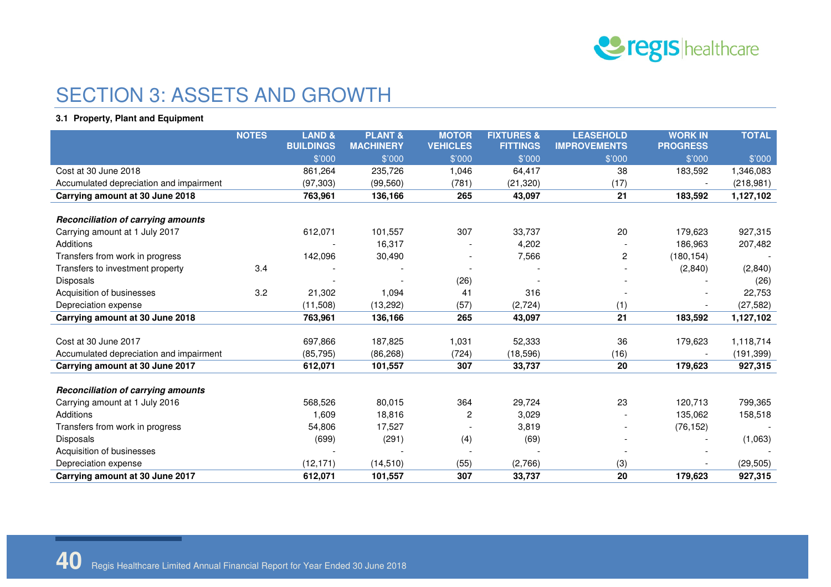

# SECTION 3: ASSETS AND GROWTH

#### **3.1 Property, Plant and Equipment**

|                                           | <b>NOTES</b> | <b>LAND &amp;</b><br><b>BUILDINGS</b> | <b>PLANT &amp;</b><br><b>MACHINERY</b> | <b>MOTOR</b><br><b>VEHICLES</b> | <b>FIXTURES &amp;</b><br><b>FITTINGS</b> | <b>LEASEHOLD</b><br><b>IMPROVEMENTS</b> | <b>WORK IN</b><br><b>PROGRESS</b> | <b>TOTAL</b> |
|-------------------------------------------|--------------|---------------------------------------|----------------------------------------|---------------------------------|------------------------------------------|-----------------------------------------|-----------------------------------|--------------|
|                                           |              | \$'000                                | \$'000                                 | \$'000                          | \$'000                                   | \$'000                                  | \$'000                            | \$'000       |
| Cost at 30 June 2018                      |              | 861,264                               | 235,726                                | 1,046                           | 64,417                                   | 38                                      | 183,592                           | 1,346,083    |
| Accumulated depreciation and impairment   |              | (97, 303)                             | (99, 560)                              | (781)                           | (21, 320)                                | (17)                                    |                                   | (218, 981)   |
| Carrying amount at 30 June 2018           |              | 763,961                               | 136,166                                | 265                             | 43,097                                   | 21                                      | 183,592                           | 1,127,102    |
|                                           |              |                                       |                                        |                                 |                                          |                                         |                                   |              |
| <b>Reconciliation of carrying amounts</b> |              |                                       |                                        |                                 |                                          |                                         |                                   |              |
| Carrying amount at 1 July 2017            |              | 612,071                               | 101,557                                | 307                             | 33,737                                   | 20                                      | 179,623                           | 927,315      |
| Additions                                 |              |                                       | 16,317                                 |                                 | 4,202                                    |                                         | 186,963                           | 207,482      |
| Transfers from work in progress           |              | 142,096                               | 30,490                                 |                                 | 7,566                                    | $\overline{c}$                          | (180, 154)                        |              |
| Transfers to investment property          | 3.4          |                                       |                                        |                                 |                                          |                                         | (2,840)                           | (2,840)      |
| <b>Disposals</b>                          |              |                                       |                                        | (26)                            |                                          |                                         |                                   | (26)         |
| Acquisition of businesses                 | 3.2          | 21,302                                | 1,094                                  | 41                              | 316                                      |                                         |                                   | 22,753       |
| Depreciation expense                      |              | (11,508)                              | (13, 292)                              | (57)                            | (2,724)                                  | (1)                                     |                                   | (27, 582)    |
| Carrying amount at 30 June 2018           |              | 763,961                               | 136,166                                | 265                             | 43,097                                   | 21                                      | 183,592                           | 1,127,102    |
|                                           |              |                                       |                                        |                                 |                                          |                                         |                                   |              |
| Cost at 30 June 2017                      |              | 697,866                               | 187,825                                | 1,031                           | 52,333                                   | 36                                      | 179,623                           | 1,118,714    |
| Accumulated depreciation and impairment   |              | (85, 795)                             | (86, 268)                              | (724)                           | (18,596)                                 | (16)                                    |                                   | (191, 399)   |
| Carrying amount at 30 June 2017           |              | 612,071                               | 101,557                                | 307                             | 33,737                                   | 20                                      | 179,623                           | 927,315      |
|                                           |              |                                       |                                        |                                 |                                          |                                         |                                   |              |
| <b>Reconciliation of carrying amounts</b> |              |                                       |                                        |                                 |                                          |                                         |                                   |              |
| Carrying amount at 1 July 2016            |              | 568,526                               | 80,015                                 | 364                             | 29,724                                   | 23                                      | 120,713                           | 799,365      |
| <b>Additions</b>                          |              | 1,609                                 | 18,816                                 | $\overline{c}$                  | 3,029                                    |                                         | 135,062                           | 158,518      |
| Transfers from work in progress           |              | 54,806                                | 17,527                                 |                                 | 3,819                                    |                                         | (76, 152)                         |              |
| Disposals                                 |              | (699)                                 | (291)                                  | (4)                             | (69)                                     |                                         |                                   | (1,063)      |
| Acquisition of businesses                 |              |                                       |                                        |                                 |                                          |                                         |                                   |              |
| Depreciation expense                      |              | (12, 171)                             | (14, 510)                              | (55)                            | (2,766)                                  | (3)                                     |                                   | (29, 505)    |
| Carrying amount at 30 June 2017           |              | 612,071                               | 101,557                                | 307                             | 33,737                                   | 20                                      | 179,623                           | 927,315      |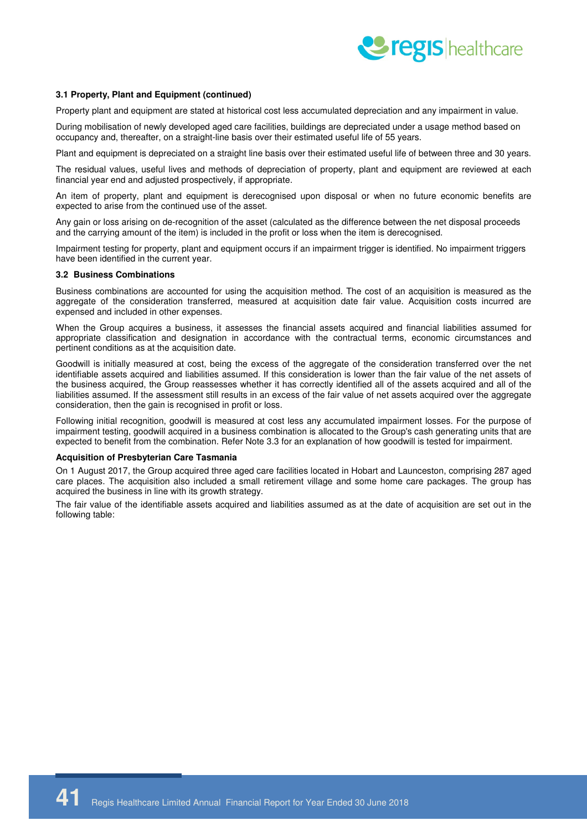

#### **3.1 Property, Plant and Equipment (continued)**

Property plant and equipment are stated at historical cost less accumulated depreciation and any impairment in value.

During mobilisation of newly developed aged care facilities, buildings are depreciated under a usage method based on occupancy and, thereafter, on a straight-line basis over their estimated useful life of 55 years.

Plant and equipment is depreciated on a straight line basis over their estimated useful life of between three and 30 years.

The residual values, useful lives and methods of depreciation of property, plant and equipment are reviewed at each financial year end and adjusted prospectively, if appropriate.

An item of property, plant and equipment is derecognised upon disposal or when no future economic benefits are expected to arise from the continued use of the asset.

Any gain or loss arising on de-recognition of the asset (calculated as the difference between the net disposal proceeds and the carrying amount of the item) is included in the profit or loss when the item is derecognised.

Impairment testing for property, plant and equipment occurs if an impairment trigger is identified. No impairment triggers have been identified in the current year.

#### **3.2 Business Combinations**

Business combinations are accounted for using the acquisition method. The cost of an acquisition is measured as the aggregate of the consideration transferred, measured at acquisition date fair value. Acquisition costs incurred are expensed and included in other expenses.

When the Group acquires a business, it assesses the financial assets acquired and financial liabilities assumed for appropriate classification and designation in accordance with the contractual terms, economic circumstances and pertinent conditions as at the acquisition date.

Goodwill is initially measured at cost, being the excess of the aggregate of the consideration transferred over the net identifiable assets acquired and liabilities assumed. If this consideration is lower than the fair value of the net assets of the business acquired, the Group reassesses whether it has correctly identified all of the assets acquired and all of the liabilities assumed. If the assessment still results in an excess of the fair value of net assets acquired over the aggregate consideration, then the gain is recognised in profit or loss.

Following initial recognition, goodwill is measured at cost less any accumulated impairment losses. For the purpose of impairment testing, goodwill acquired in a business combination is allocated to the Group's cash generating units that are expected to benefit from the combination. Refer Note 3.3 for an explanation of how goodwill is tested for impairment.

#### **Acquisition of Presbyterian Care Tasmania**

On 1 August 2017, the Group acquired three aged care facilities located in Hobart and Launceston, comprising 287 aged care places. The acquisition also included a small retirement village and some home care packages. The group has acquired the business in line with its growth strategy.

The fair value of the identifiable assets acquired and liabilities assumed as at the date of acquisition are set out in the following table: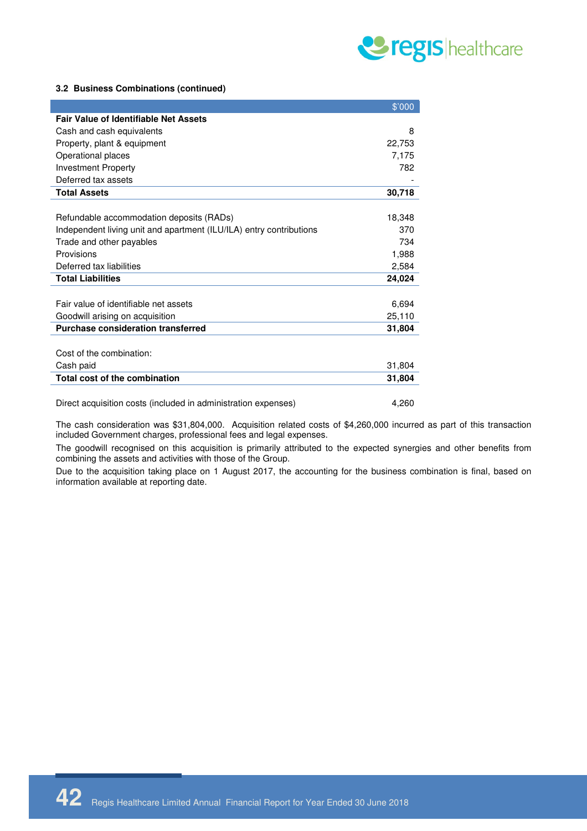

#### **3.2 Business Combinations (continued)**

|                                                                     | \$'000 |
|---------------------------------------------------------------------|--------|
| <b>Fair Value of Identifiable Net Assets</b>                        |        |
| Cash and cash equivalents                                           | 8      |
| Property, plant & equipment                                         | 22,753 |
| Operational places                                                  | 7,175  |
| <b>Investment Property</b>                                          | 782    |
| Deferred tax assets                                                 |        |
| <b>Total Assets</b>                                                 | 30,718 |
|                                                                     |        |
| Refundable accommodation deposits (RADs)                            | 18,348 |
| Independent living unit and apartment (ILU/ILA) entry contributions | 370    |
| Trade and other payables                                            | 734    |
| Provisions                                                          | 1,988  |
| Deferred tax liabilities                                            | 2,584  |
| <b>Total Liabilities</b>                                            | 24,024 |
|                                                                     |        |
| Fair value of identifiable net assets                               | 6,694  |
| Goodwill arising on acquisition                                     | 25,110 |
| <b>Purchase consideration transferred</b>                           | 31,804 |
|                                                                     |        |
| Cost of the combination:                                            |        |
| Cash paid                                                           | 31,804 |
| Total cost of the combination                                       | 31,804 |
|                                                                     |        |

Direct acquisition costs (included in administration expenses) 4,260

The cash consideration was \$31,804,000. Acquisition related costs of \$4,260,000 incurred as part of this transaction included Government charges, professional fees and legal expenses.

The goodwill recognised on this acquisition is primarily attributed to the expected synergies and other benefits from combining the assets and activities with those of the Group.

Due to the acquisition taking place on 1 August 2017, the accounting for the business combination is final, based on information available at reporting date.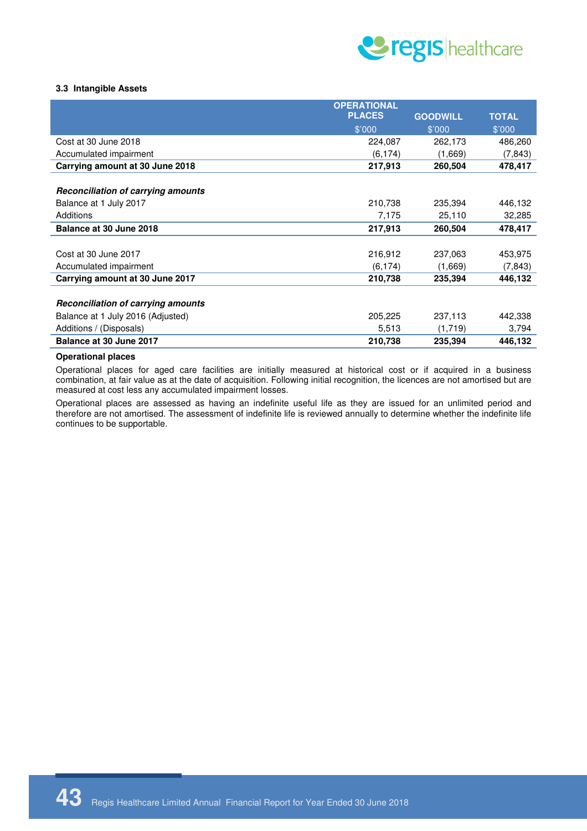

#### **3.3 Intangible Assets**

|                                           | <b>OPERATIONAL</b> |                 |              |
|-------------------------------------------|--------------------|-----------------|--------------|
|                                           | <b>PLACES</b>      | <b>GOODWILL</b> | <b>TOTAL</b> |
|                                           | \$'000             | \$'000          | \$'000       |
| Cost at 30 June 2018                      | 224,087            | 262,173         | 486,260      |
| Accumulated impairment                    | (6, 174)           | (1,669)         | (7,843)      |
| Carrying amount at 30 June 2018           | 217,913            | 260,504         | 478,417      |
|                                           |                    |                 |              |
| <b>Reconciliation of carrying amounts</b> |                    |                 |              |
| Balance at 1 July 2017                    | 210,738            | 235,394         | 446,132      |
| Additions                                 | 7,175              | 25,110          | 32,285       |
| Balance at 30 June 2018                   | 217,913            | 260,504         | 478,417      |
|                                           |                    |                 |              |
| Cost at 30 June 2017                      | 216,912            | 237,063         | 453,975      |
| Accumulated impairment                    | (6, 174)           | (1,669)         | (7, 843)     |
| Carrying amount at 30 June 2017           | 210,738            | 235,394         | 446,132      |
|                                           |                    |                 |              |
| <b>Reconciliation of carrying amounts</b> |                    |                 |              |
| Balance at 1 July 2016 (Adjusted)         | 205,225            | 237,113         | 442,338      |
| Additions / (Disposals)                   | 5,513              | (1,719)         | 3,794        |
| Balance at 30 June 2017                   | 210,738            | 235,394         | 446,132      |
|                                           |                    |                 |              |

#### **Operational places**

Operational places for aged care facilities are initially measured at historical cost or if acquired in a business combination, at fair value as at the date of acquisition. Following initial recognition, the licences are not amortised but are measured at cost less any accumulated impairment losses.

Operational places are assessed as having an indefinite useful life as they are issued for an unlimited period and therefore are not amortised. The assessment of indefinite life is reviewed annually to determine whether the indefinite life continues to be supportable.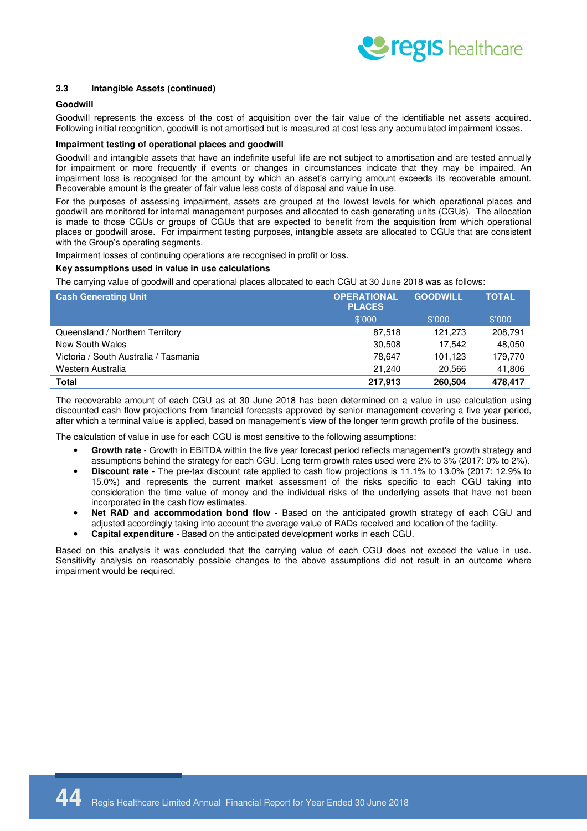

#### **3.3 Intangible Assets (continued)**

#### **Goodwill**

Goodwill represents the excess of the cost of acquisition over the fair value of the identifiable net assets acquired. Following initial recognition, goodwill is not amortised but is measured at cost less any accumulated impairment losses.

#### **Impairment testing of operational places and goodwill**

Goodwill and intangible assets that have an indefinite useful life are not subject to amortisation and are tested annually for impairment or more frequently if events or changes in circumstances indicate that they may be impaired. An impairment loss is recognised for the amount by which an asset's carrying amount exceeds its recoverable amount. Recoverable amount is the greater of fair value less costs of disposal and value in use.

For the purposes of assessing impairment, assets are grouped at the lowest levels for which operational places and goodwill are monitored for internal management purposes and allocated to cash-generating units (CGUs). The allocation is made to those CGUs or groups of CGUs that are expected to benefit from the acquisition from which operational places or goodwill arose. For impairment testing purposes, intangible assets are allocated to CGUs that are consistent with the Group's operating segments.

Impairment losses of continuing operations are recognised in profit or loss.

#### **Key assumptions used in value in use calculations**

The carrying value of goodwill and operational places allocated to each CGU at 30 June 2018 was as follows:

| <b>Cash Generating Unit</b>           | <b>OPERATIONAL</b><br><b>PLACES</b> | <b>GOODWILL</b> | <b>TOTAL</b> |
|---------------------------------------|-------------------------------------|-----------------|--------------|
|                                       | \$'000                              | \$'000          | \$'000       |
| Queensland / Northern Territory       | 87,518                              | 121,273         | 208,791      |
| New South Wales                       | 30,508                              | 17.542          | 48,050       |
| Victoria / South Australia / Tasmania | 78.647                              | 101,123         | 179,770      |
| Western Australia                     | 21.240                              | 20,566          | 41,806       |
| <b>Total</b>                          | 217,913                             | 260,504         | 478.417      |

The recoverable amount of each CGU as at 30 June 2018 has been determined on a value in use calculation using discounted cash flow projections from financial forecasts approved by senior management covering a five year period, after which a terminal value is applied, based on management's view of the longer term growth profile of the business.

The calculation of value in use for each CGU is most sensitive to the following assumptions:

- **Growth rate** Growth in EBITDA within the five year forecast period reflects management's growth strategy and assumptions behind the strategy for each CGU. Long term growth rates used were 2% to 3% (2017: 0% to 2%).
- **Discount rate** The pre-tax discount rate applied to cash flow projections is 11.1% to 13.0% (2017: 12.9% to 15.0%) and represents the current market assessment of the risks specific to each CGU taking into consideration the time value of money and the individual risks of the underlying assets that have not been incorporated in the cash flow estimates.
- **Net RAD and accommodation bond flow** Based on the anticipated growth strategy of each CGU and adjusted accordingly taking into account the average value of RADs received and location of the facility.
- **Capital expenditure** Based on the anticipated development works in each CGU.

Based on this analysis it was concluded that the carrying value of each CGU does not exceed the value in use. Sensitivity analysis on reasonably possible changes to the above assumptions did not result in an outcome where impairment would be required.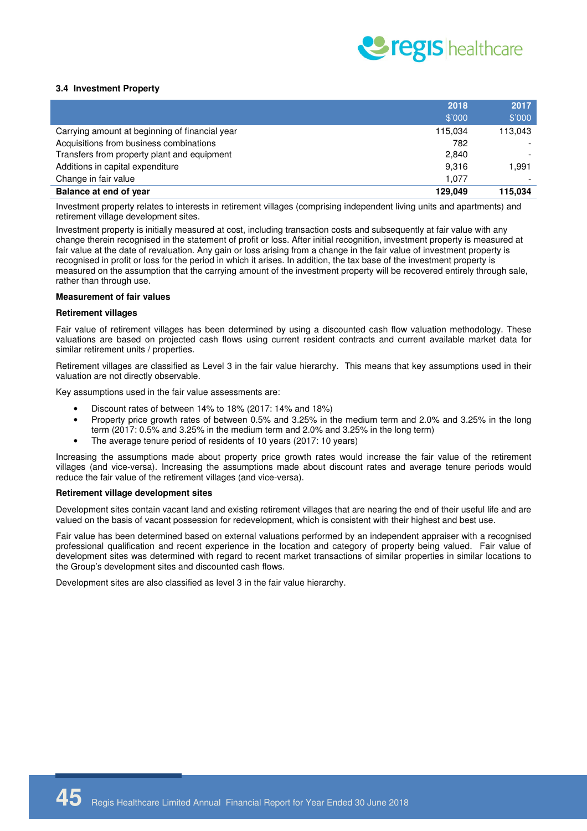

#### **3.4 Investment Property**

|                                                | 2018    | 2017    |
|------------------------------------------------|---------|---------|
|                                                | \$'000  | \$'000  |
| Carrying amount at beginning of financial year | 115.034 | 113.043 |
| Acquisitions from business combinations        | 782     |         |
| Transfers from property plant and equipment    | 2,840   |         |
| Additions in capital expenditure               | 9,316   | 1.991   |
| Change in fair value                           | 1.077   |         |
| Balance at end of year                         | 129.049 | 115.034 |

Investment property relates to interests in retirement villages (comprising independent living units and apartments) and retirement village development sites.

Investment property is initially measured at cost, including transaction costs and subsequently at fair value with any change therein recognised in the statement of profit or loss. After initial recognition, investment property is measured at fair value at the date of revaluation. Any gain or loss arising from a change in the fair value of investment property is recognised in profit or loss for the period in which it arises. In addition, the tax base of the investment property is measured on the assumption that the carrying amount of the investment property will be recovered entirely through sale, rather than through use.

#### **Measurement of fair values**

#### **Retirement villages**

Fair value of retirement villages has been determined by using a discounted cash flow valuation methodology. These valuations are based on projected cash flows using current resident contracts and current available market data for similar retirement units / properties.

Retirement villages are classified as Level 3 in the fair value hierarchy. This means that key assumptions used in their valuation are not directly observable.

Key assumptions used in the fair value assessments are:

- Discount rates of between 14% to 18% (2017: 14% and 18%)
- Property price growth rates of between 0.5% and 3.25% in the medium term and 2.0% and 3.25% in the long term (2017: 0.5% and 3.25% in the medium term and 2.0% and 3.25% in the long term)
- The average tenure period of residents of 10 years (2017: 10 years)

Increasing the assumptions made about property price growth rates would increase the fair value of the retirement villages (and vice-versa). Increasing the assumptions made about discount rates and average tenure periods would reduce the fair value of the retirement villages (and vice-versa).

#### **Retirement village development sites**

Development sites contain vacant land and existing retirement villages that are nearing the end of their useful life and are valued on the basis of vacant possession for redevelopment, which is consistent with their highest and best use.

Fair value has been determined based on external valuations performed by an independent appraiser with a recognised professional qualification and recent experience in the location and category of property being valued. Fair value of development sites was determined with regard to recent market transactions of similar properties in similar locations to the Group's development sites and discounted cash flows.

Development sites are also classified as level 3 in the fair value hierarchy.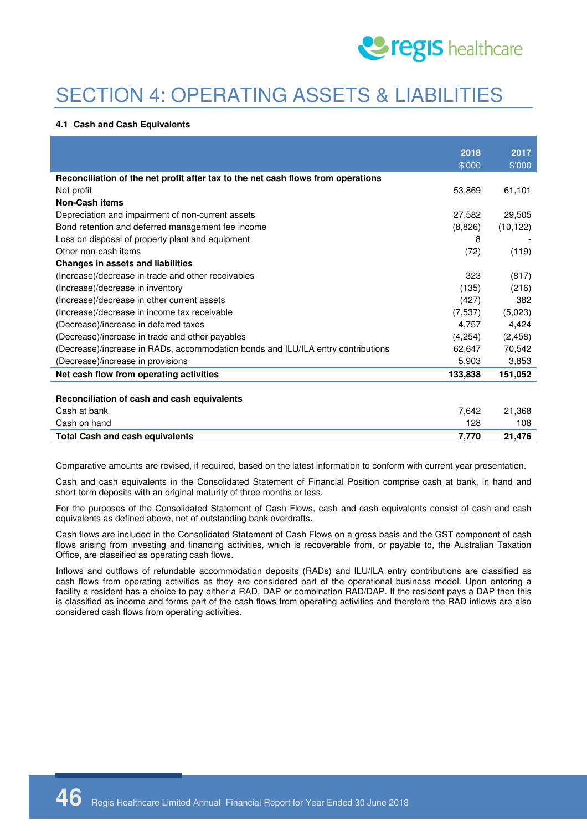

# SECTION 4: OPERATING ASSETS & LIABILITIES

#### **4.1 Cash and Cash Equivalents**

|                                                                                  | 2018    | 2017      |
|----------------------------------------------------------------------------------|---------|-----------|
|                                                                                  | \$'000  | \$'000    |
| Reconciliation of the net profit after tax to the net cash flows from operations |         |           |
| Net profit                                                                       | 53,869  | 61,101    |
| <b>Non-Cash items</b>                                                            |         |           |
| Depreciation and impairment of non-current assets                                | 27,582  | 29,505    |
| Bond retention and deferred management fee income                                | (8,826) | (10, 122) |
| Loss on disposal of property plant and equipment                                 | 8       |           |
| Other non-cash items                                                             | (72)    | (119)     |
| <b>Changes in assets and liabilities</b>                                         |         |           |
| (Increase)/decrease in trade and other receivables                               | 323     | (817)     |
| (Increase)/decrease in inventory                                                 | (135)   | (216)     |
| (Increase)/decrease in other current assets                                      | (427)   | 382       |
| (Increase)/decrease in income tax receivable                                     | (7.537) | (5,023)   |
| (Decrease)/increase in deferred taxes                                            | 4,757   | 4,424     |
| (Decrease)/increase in trade and other payables                                  | (4,254) | (2, 458)  |
| (Decrease)/increase in RADs, accommodation bonds and ILU/ILA entry contributions | 62,647  | 70,542    |
| (Decrease)/increase in provisions                                                | 5,903   | 3,853     |
| Net cash flow from operating activities                                          | 133,838 | 151,052   |
|                                                                                  |         |           |
| Reconciliation of cash and cash equivalents                                      |         |           |
| Cash at bank                                                                     | 7,642   | 21,368    |
| Cash on hand                                                                     | 128     | 108       |
| <b>Total Cash and cash equivalents</b>                                           | 7,770   | 21,476    |

Comparative amounts are revised, if required, based on the latest information to conform with current year presentation.

Cash and cash equivalents in the Consolidated Statement of Financial Position comprise cash at bank, in hand and short-term deposits with an original maturity of three months or less.

For the purposes of the Consolidated Statement of Cash Flows, cash and cash equivalents consist of cash and cash equivalents as defined above, net of outstanding bank overdrafts.

Cash flows are included in the Consolidated Statement of Cash Flows on a gross basis and the GST component of cash flows arising from investing and financing activities, which is recoverable from, or payable to, the Australian Taxation Office, are classified as operating cash flows.

Inflows and outflows of refundable accommodation deposits (RADs) and ILU/ILA entry contributions are classified as cash flows from operating activities as they are considered part of the operational business model. Upon entering a facility a resident has a choice to pay either a RAD, DAP or combination RAD/DAP. If the resident pays a DAP then this is classified as income and forms part of the cash flows from operating activities and therefore the RAD inflows are also considered cash flows from operating activities.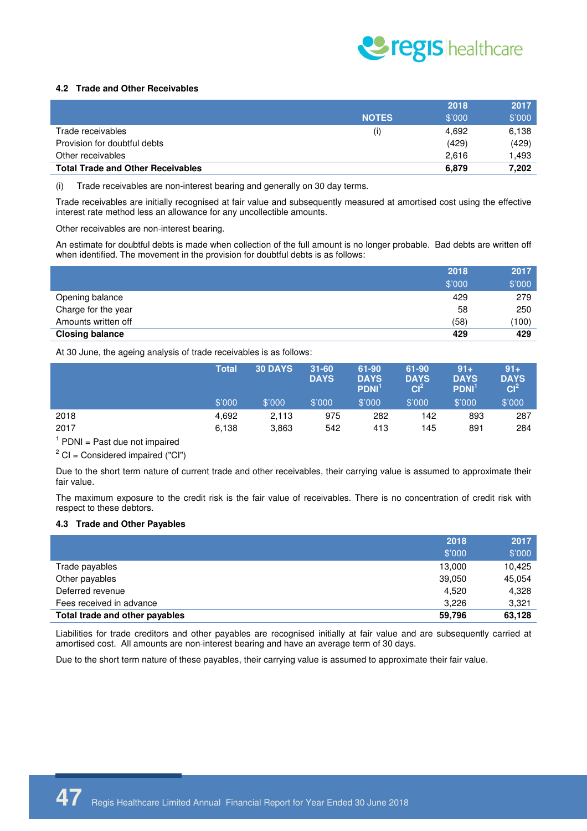

#### **4.2 Trade and Other Receivables**

|                                          |              | 2018   | 2017   |
|------------------------------------------|--------------|--------|--------|
|                                          | <b>NOTES</b> | \$'000 | \$'000 |
| Trade receivables                        | (i)          | 4.692  | 6.138  |
| Provision for doubtful debts             |              | (429)  | (429)  |
| Other receivables                        |              | 2.616  | 1.493  |
| <b>Total Trade and Other Receivables</b> |              | 6,879  | 7,202  |

(i) Trade receivables are non-interest bearing and generally on 30 day terms.

Trade receivables are initially recognised at fair value and subsequently measured at amortised cost using the effective interest rate method less an allowance for any uncollectible amounts.

Other receivables are non-interest bearing.

An estimate for doubtful debts is made when collection of the full amount is no longer probable. Bad debts are written off when identified. The movement in the provision for doubtful debts is as follows:

|                        | 2018   | 2017   |
|------------------------|--------|--------|
|                        | \$'000 | \$'000 |
| Opening balance        | 429    | 279    |
| Charge for the year    | 58     | 250    |
| Amounts written off    | (58)   | (100)  |
| <b>Closing balance</b> | 429    | 429    |

At 30 June, the ageing analysis of trade receivables is as follows:

|      | <b>Total</b> | <b>30 DAYS</b> | $31 - 60$<br><b>DAYS</b> | 61-90<br><b>DAYS</b><br>PDNI <sup>1</sup> | 61-90<br><b>DAYS</b><br>Cl <sup>2</sup> | $91+$<br><b>DAYS</b><br>PDNI <sup>1</sup> | $91+$<br><b>DAYS</b><br>Cl <sup>2</sup> |
|------|--------------|----------------|--------------------------|-------------------------------------------|-----------------------------------------|-------------------------------------------|-----------------------------------------|
|      | \$'000       | \$'000         | \$'000                   | \$'000                                    | \$'000                                  | \$'000                                    | \$'000                                  |
| 2018 | 4.692        | 2,113          | 975                      | 282                                       | 142                                     | 893                                       | 287                                     |
| 2017 | 6,138        | 3,863          | 542                      | 413                                       | 145                                     | 891                                       | 284                                     |
|      |              |                |                          |                                           |                                         |                                           |                                         |

 $<sup>1</sup>$  PDNI = Past due not impaired</sup>

 $2^2$  CI = Considered impaired ("CI")

Due to the short term nature of current trade and other receivables, their carrying value is assumed to approximate their fair value.

The maximum exposure to the credit risk is the fair value of receivables. There is no concentration of credit risk with respect to these debtors.

#### **4.3 Trade and Other Payables**

|                                | 2018   | 2017   |
|--------------------------------|--------|--------|
|                                | \$'000 | \$'000 |
| Trade payables                 | 13,000 | 10,425 |
| Other payables                 | 39,050 | 45,054 |
| Deferred revenue               | 4.520  | 4,328  |
| Fees received in advance       | 3.226  | 3,321  |
| Total trade and other payables | 59,796 | 63,128 |

Liabilities for trade creditors and other payables are recognised initially at fair value and are subsequently carried at amortised cost. All amounts are non-interest bearing and have an average term of 30 days.

Due to the short term nature of these payables, their carrying value is assumed to approximate their fair value.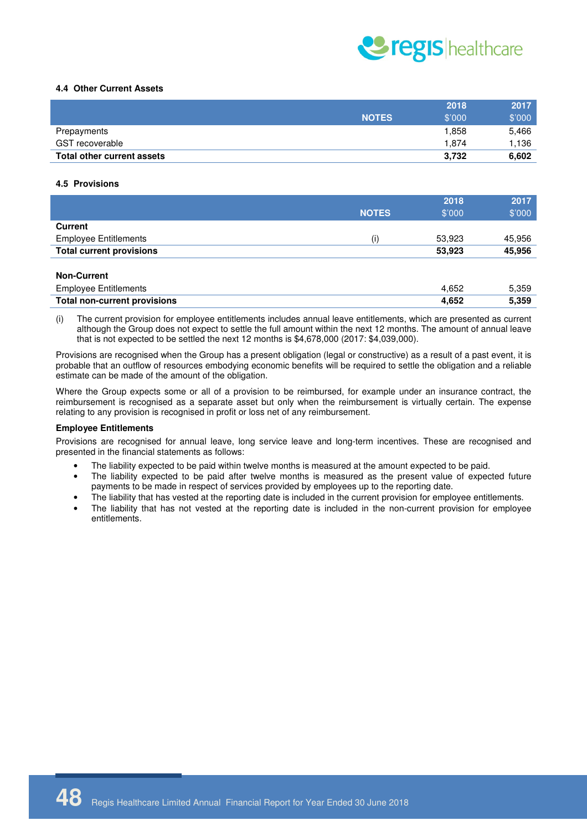

#### **4.4 Other Current Assets**

|                            |              | 2018   | 2017   |
|----------------------------|--------------|--------|--------|
|                            | <b>NOTES</b> | \$'000 | \$'000 |
| Prepayments                |              | 1,858  | 5,466  |
| GST recoverable            |              | 1.874  | 1,136  |
| Total other current assets |              | 3,732  | 6,602  |

#### **4.5 Provisions**

|                                 |              | 2018   | 2017   |
|---------------------------------|--------------|--------|--------|
|                                 | <b>NOTES</b> | \$'000 | \$'000 |
| Current                         |              |        |        |
| <b>Employee Entitlements</b>    | (1)          | 53,923 | 45,956 |
| <b>Total current provisions</b> |              | 53,923 | 45,956 |
|                                 |              |        |        |

| <b>Non-Current</b>           |       |       |
|------------------------------|-------|-------|
| <b>Employee Entitlements</b> | 4.652 | 5.359 |
| Total non-current provisions | 4.652 | 5.359 |

(i) The current provision for employee entitlements includes annual leave entitlements, which are presented as current although the Group does not expect to settle the full amount within the next 12 months. The amount of annual leave that is not expected to be settled the next 12 months is \$4,678,000 (2017: \$4,039,000).

Provisions are recognised when the Group has a present obligation (legal or constructive) as a result of a past event, it is probable that an outflow of resources embodying economic benefits will be required to settle the obligation and a reliable estimate can be made of the amount of the obligation.

Where the Group expects some or all of a provision to be reimbursed, for example under an insurance contract, the reimbursement is recognised as a separate asset but only when the reimbursement is virtually certain. The expense relating to any provision is recognised in profit or loss net of any reimbursement.

#### **Employee Entitlements**

Provisions are recognised for annual leave, long service leave and long-term incentives. These are recognised and presented in the financial statements as follows:

- The liability expected to be paid within twelve months is measured at the amount expected to be paid.
- The liability expected to be paid after twelve months is measured as the present value of expected future payments to be made in respect of services provided by employees up to the reporting date.
- The liability that has vested at the reporting date is included in the current provision for employee entitlements.
- The liability that has not vested at the reporting date is included in the non-current provision for employee entitlements.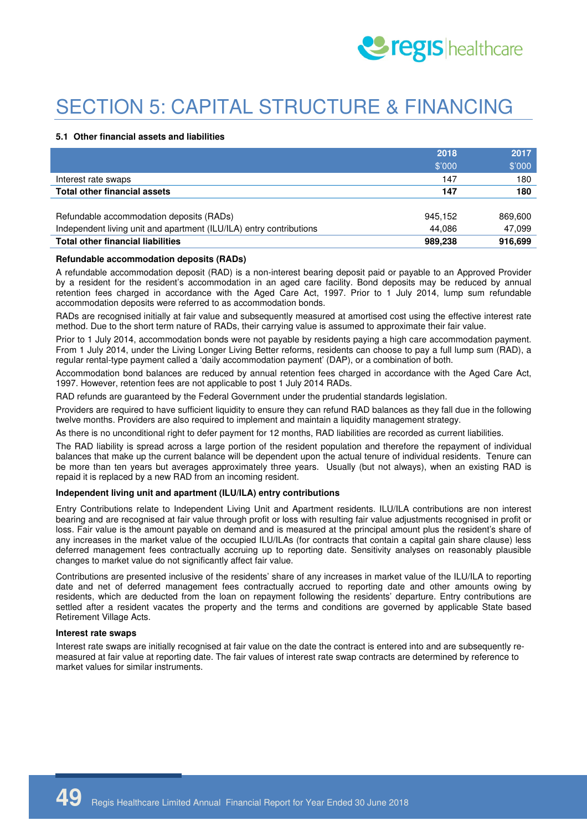

# SECTION 5: CAPITAL STRUCTURE & FINANCING

#### **5.1 Other financial assets and liabilities**

|                                                                     | 2018    | 2017    |
|---------------------------------------------------------------------|---------|---------|
|                                                                     | \$'000  | \$'000  |
| Interest rate swaps                                                 | 147     | 180     |
| <b>Total other financial assets</b>                                 | 147     | 180     |
|                                                                     |         |         |
| Refundable accommodation deposits (RADs)                            | 945.152 | 869,600 |
| Independent living unit and apartment (ILU/ILA) entry contributions | 44.086  | 47.099  |
| <b>Total other financial liabilities</b>                            | 989.238 | 916.699 |

#### **Refundable accommodation deposits (RADs)**

A refundable accommodation deposit (RAD) is a non-interest bearing deposit paid or payable to an Approved Provider by a resident for the resident's accommodation in an aged care facility. Bond deposits may be reduced by annual retention fees charged in accordance with the Aged Care Act, 1997. Prior to 1 July 2014, lump sum refundable accommodation deposits were referred to as accommodation bonds.

RADs are recognised initially at fair value and subsequently measured at amortised cost using the effective interest rate method. Due to the short term nature of RADs, their carrying value is assumed to approximate their fair value.

Prior to 1 July 2014, accommodation bonds were not payable by residents paying a high care accommodation payment. From 1 July 2014, under the Living Longer Living Better reforms, residents can choose to pay a full lump sum (RAD), a regular rental-type payment called a 'daily accommodation payment' (DAP), or a combination of both.

Accommodation bond balances are reduced by annual retention fees charged in accordance with the Aged Care Act, 1997. However, retention fees are not applicable to post 1 July 2014 RADs.

RAD refunds are guaranteed by the Federal Government under the prudential standards legislation.

Providers are required to have sufficient liquidity to ensure they can refund RAD balances as they fall due in the following twelve months. Providers are also required to implement and maintain a liquidity management strategy.

As there is no unconditional right to defer payment for 12 months, RAD liabilities are recorded as current liabilities.

The RAD liability is spread across a large portion of the resident population and therefore the repayment of individual balances that make up the current balance will be dependent upon the actual tenure of individual residents. Tenure can be more than ten years but averages approximately three years. Usually (but not always), when an existing RAD is repaid it is replaced by a new RAD from an incoming resident.

#### **Independent living unit and apartment (ILU/ILA) entry contributions**

Entry Contributions relate to Independent Living Unit and Apartment residents. ILU/ILA contributions are non interest bearing and are recognised at fair value through profit or loss with resulting fair value adjustments recognised in profit or loss. Fair value is the amount payable on demand and is measured at the principal amount plus the resident's share of any increases in the market value of the occupied ILU/ILAs (for contracts that contain a capital gain share clause) less deferred management fees contractually accruing up to reporting date. Sensitivity analyses on reasonably plausible changes to market value do not significantly affect fair value.

Contributions are presented inclusive of the residents' share of any increases in market value of the ILU/ILA to reporting date and net of deferred management fees contractually accrued to reporting date and other amounts owing by residents, which are deducted from the loan on repayment following the residents' departure. Entry contributions are settled after a resident vacates the property and the terms and conditions are governed by applicable State based Retirement Village Acts.

#### **Interest rate swaps**

Interest rate swaps are initially recognised at fair value on the date the contract is entered into and are subsequently remeasured at fair value at reporting date. The fair values of interest rate swap contracts are determined by reference to market values for similar instruments.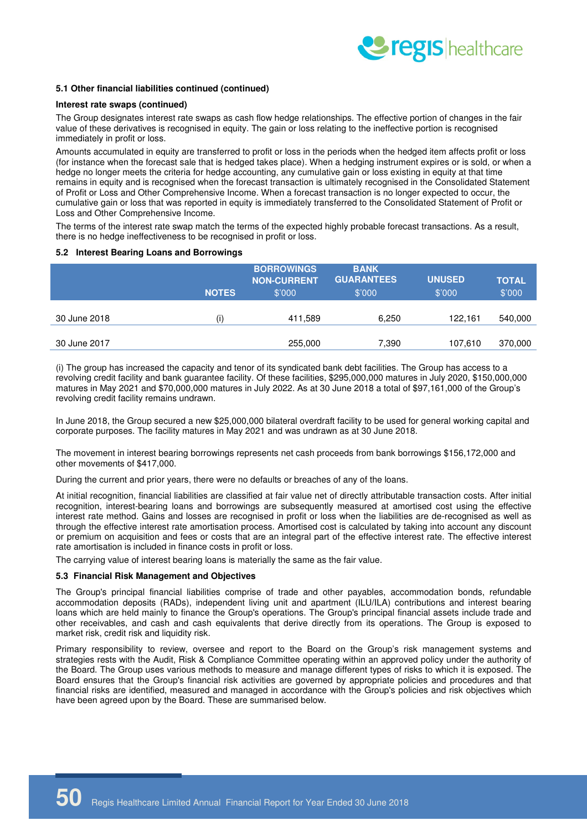

#### **5.1 Other financial liabilities continued (continued)**

#### **Interest rate swaps (continued)**

The Group designates interest rate swaps as cash flow hedge relationships. The effective portion of changes in the fair value of these derivatives is recognised in equity. The gain or loss relating to the ineffective portion is recognised immediately in profit or loss.

Amounts accumulated in equity are transferred to profit or loss in the periods when the hedged item affects profit or loss (for instance when the forecast sale that is hedged takes place). When a hedging instrument expires or is sold, or when a hedge no longer meets the criteria for hedge accounting, any cumulative gain or loss existing in equity at that time remains in equity and is recognised when the forecast transaction is ultimately recognised in the Consolidated Statement of Profit or Loss and Other Comprehensive Income. When a forecast transaction is no longer expected to occur, the cumulative gain or loss that was reported in equity is immediately transferred to the Consolidated Statement of Profit or Loss and Other Comprehensive Income.

The terms of the interest rate swap match the terms of the expected highly probable forecast transactions. As a result, there is no hedge ineffectiveness to be recognised in profit or loss.

#### **5.2 Interest Bearing Loans and Borrowings**

|              | <b>NOTES</b> | <b>BORROWINGS</b><br><b>NON-CURRENT</b><br>\$'000 | <b>BANK</b><br><b>GUARANTEES</b><br>\$'000 | <b>UNUSED</b><br>\$'000 | <b>TOTAL</b><br>\$'000 |
|--------------|--------------|---------------------------------------------------|--------------------------------------------|-------------------------|------------------------|
| 30 June 2018 | (i)          | 411,589                                           | 6,250                                      | 122,161                 | 540,000                |
| 30 June 2017 |              | 255,000                                           | 7,390                                      | 107,610                 | 370,000                |

(i) The group has increased the capacity and tenor of its syndicated bank debt facilities. The Group has access to a revolving credit facility and bank guarantee facility. Of these facilities, \$295,000,000 matures in July 2020, \$150,000,000 matures in May 2021 and \$70,000,000 matures in July 2022. As at 30 June 2018 a total of \$97,161,000 of the Group's revolving credit facility remains undrawn.

In June 2018, the Group secured a new \$25,000,000 bilateral overdraft facility to be used for general working capital and corporate purposes. The facility matures in May 2021 and was undrawn as at 30 June 2018.

The movement in interest bearing borrowings represents net cash proceeds from bank borrowings \$156,172,000 and other movements of \$417,000.

During the current and prior years, there were no defaults or breaches of any of the loans.

At initial recognition, financial liabilities are classified at fair value net of directly attributable transaction costs. After initial recognition, interest-bearing loans and borrowings are subsequently measured at amortised cost using the effective interest rate method. Gains and losses are recognised in profit or loss when the liabilities are de-recognised as well as through the effective interest rate amortisation process. Amortised cost is calculated by taking into account any discount or premium on acquisition and fees or costs that are an integral part of the effective interest rate. The effective interest rate amortisation is included in finance costs in profit or loss.

The carrying value of interest bearing loans is materially the same as the fair value.

#### **5.3 Financial Risk Management and Objectives**

The Group's principal financial liabilities comprise of trade and other payables, accommodation bonds, refundable accommodation deposits (RADs), independent living unit and apartment (ILU/ILA) contributions and interest bearing loans which are held mainly to finance the Group's operations. The Group's principal financial assets include trade and other receivables, and cash and cash equivalents that derive directly from its operations. The Group is exposed to market risk, credit risk and liquidity risk.

Primary responsibility to review, oversee and report to the Board on the Group's risk management systems and strategies rests with the Audit, Risk & Compliance Committee operating within an approved policy under the authority of the Board. The Group uses various methods to measure and manage different types of risks to which it is exposed. The Board ensures that the Group's financial risk activities are governed by appropriate policies and procedures and that financial risks are identified, measured and managed in accordance with the Group's policies and risk objectives which have been agreed upon by the Board. These are summarised below.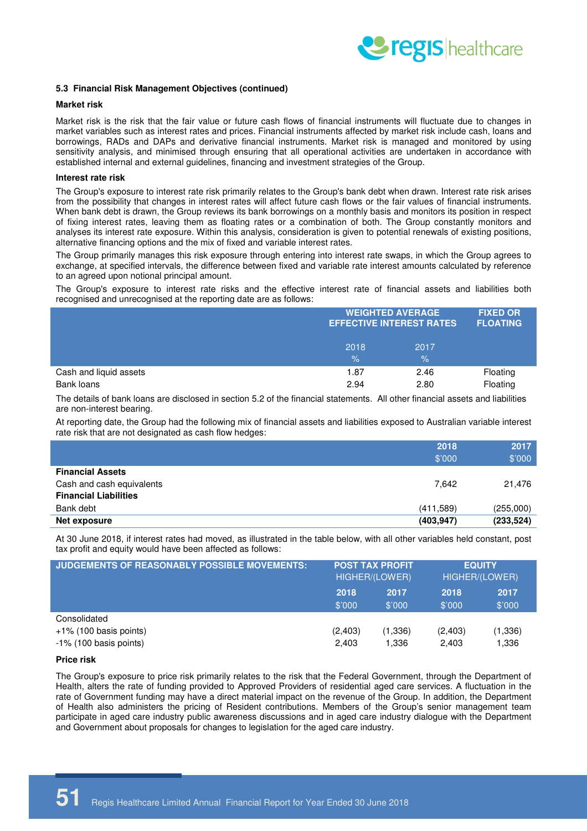

#### **5.3 Financial Risk Management Objectives (continued)**

#### **Market risk**

Market risk is the risk that the fair value or future cash flows of financial instruments will fluctuate due to changes in market variables such as interest rates and prices. Financial instruments affected by market risk include cash, loans and borrowings, RADs and DAPs and derivative financial instruments. Market risk is managed and monitored by using sensitivity analysis, and minimised through ensuring that all operational activities are undertaken in accordance with established internal and external guidelines, financing and investment strategies of the Group.

#### **Interest rate risk**

The Group's exposure to interest rate risk primarily relates to the Group's bank debt when drawn. Interest rate risk arises from the possibility that changes in interest rates will affect future cash flows or the fair values of financial instruments. When bank debt is drawn, the Group reviews its bank borrowings on a monthly basis and monitors its position in respect of fixing interest rates, leaving them as floating rates or a combination of both. The Group constantly monitors and analyses its interest rate exposure. Within this analysis, consideration is given to potential renewals of existing positions, alternative financing options and the mix of fixed and variable interest rates.

The Group primarily manages this risk exposure through entering into interest rate swaps, in which the Group agrees to exchange, at specified intervals, the difference between fixed and variable rate interest amounts calculated by reference to an agreed upon notional principal amount.

The Group's exposure to interest rate risks and the effective interest rate of financial assets and liabilities both recognised and unrecognised at the reporting date are as follows:

|                                      |                       | <b>WEIGHTED AVERAGE</b><br><b>EFFECTIVE INTEREST RATES</b> |                      |
|--------------------------------------|-----------------------|------------------------------------------------------------|----------------------|
|                                      | 2018<br>$\frac{9}{6}$ | 2017<br>$\sqrt{2}$                                         |                      |
| Cash and liquid assets<br>Bank loans | 1.87<br>2.94          | 2.46<br>2.80                                               | Floating<br>Floating |

The details of bank loans are disclosed in section 5.2 of the financial statements. All other financial assets and liabilities are non-interest bearing.

At reporting date, the Group had the following mix of financial assets and liabilities exposed to Australian variable interest rate risk that are not designated as cash flow hedges:

|                              | 2018       | 2017       |
|------------------------------|------------|------------|
|                              | \$'000     | \$'000     |
| <b>Financial Assets</b>      |            |            |
| Cash and cash equivalents    | 7.642      | 21.476     |
| <b>Financial Liabilities</b> |            |            |
| Bank debt                    | (411,589)  | (255,000)  |
| Net exposure                 | (403, 947) | (233, 524) |

At 30 June 2018, if interest rates had moved, as illustrated in the table below, with all other variables held constant, post tax profit and equity would have been affected as follows:

| <b>JUDGEMENTS OF REASONABLY POSSIBLE MOVEMENTS:</b>                    | <b>POST TAX PROFIT</b><br>HIGHER/(LOWER) |                  | <b>EQUITY</b><br>HIGHER/(LOWER) |                   |
|------------------------------------------------------------------------|------------------------------------------|------------------|---------------------------------|-------------------|
|                                                                        | 2018<br>\$'000                           | 2017<br>\$'000   | 2018<br>\$'000                  | 2017<br>\$'000    |
| Consolidated<br>$+1\%$ (100 basis points)<br>$-1\%$ (100 basis points) | (2,403)<br>2.403                         | (1,336)<br>1.336 | (2,403)<br>2.403                | (1, 336)<br>1,336 |

#### **Price risk**

The Group's exposure to price risk primarily relates to the risk that the Federal Government, through the Department of Health, alters the rate of funding provided to Approved Providers of residential aged care services. A fluctuation in the rate of Government funding may have a direct material impact on the revenue of the Group. In addition, the Department of Health also administers the pricing of Resident contributions. Members of the Group's senior management team participate in aged care industry public awareness discussions and in aged care industry dialogue with the Department and Government about proposals for changes to legislation for the aged care industry.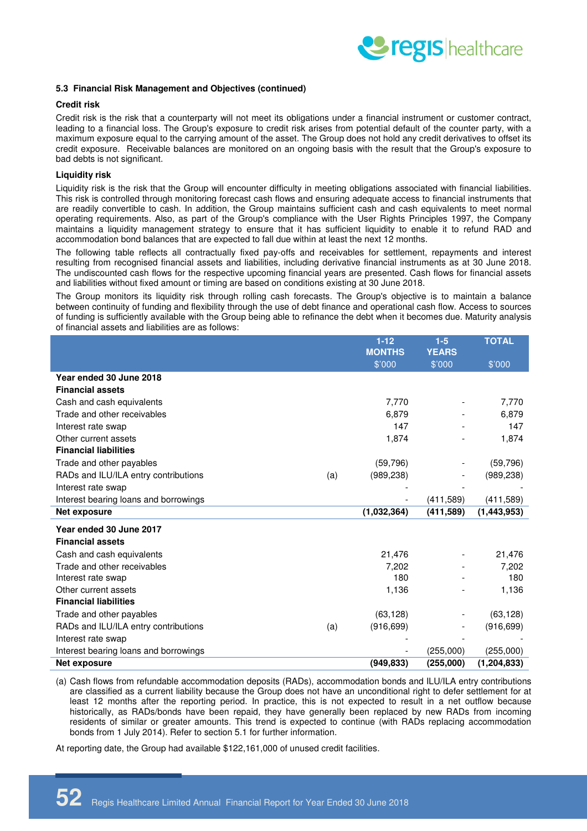

#### **5.3 Financial Risk Management and Objectives (continued)**

#### **Credit risk**

Credit risk is the risk that a counterparty will not meet its obligations under a financial instrument or customer contract, leading to a financial loss. The Group's exposure to credit risk arises from potential default of the counter party, with a maximum exposure equal to the carrying amount of the asset. The Group does not hold any credit derivatives to offset its credit exposure. Receivable balances are monitored on an ongoing basis with the result that the Group's exposure to bad debts is not significant.

#### **Liquidity risk**

Liquidity risk is the risk that the Group will encounter difficulty in meeting obligations associated with financial liabilities. This risk is controlled through monitoring forecast cash flows and ensuring adequate access to financial instruments that are readily convertible to cash. In addition, the Group maintains sufficient cash and cash equivalents to meet normal operating requirements. Also, as part of the Group's compliance with the User Rights Principles 1997, the Company maintains a liquidity management strategy to ensure that it has sufficient liquidity to enable it to refund RAD and accommodation bond balances that are expected to fall due within at least the next 12 months.

The following table reflects all contractually fixed pay-offs and receivables for settlement, repayments and interest resulting from recognised financial assets and liabilities, including derivative financial instruments as at 30 June 2018. The undiscounted cash flows for the respective upcoming financial years are presented. Cash flows for financial assets and liabilities without fixed amount or timing are based on conditions existing at 30 June 2018.

The Group monitors its liquidity risk through rolling cash forecasts. The Group's objective is to maintain a balance between continuity of funding and flexibility through the use of debt finance and operational cash flow. Access to sources of funding is sufficiently available with the Group being able to refinance the debt when it becomes due. Maturity analysis of financial assets and liabilities are as follows:

|                                             | $1 - 12$      | $1-5$        | <b>TOTAL</b>  |
|---------------------------------------------|---------------|--------------|---------------|
|                                             | <b>MONTHS</b> | <b>YEARS</b> |               |
|                                             | \$'000        | \$'000       | \$'000        |
| Year ended 30 June 2018                     |               |              |               |
| <b>Financial assets</b>                     |               |              |               |
| Cash and cash equivalents                   | 7,770         |              | 7,770         |
| Trade and other receivables                 | 6,879         |              | 6,879         |
| Interest rate swap                          | 147           |              | 147           |
| Other current assets                        | 1,874         |              | 1,874         |
| <b>Financial liabilities</b>                |               |              |               |
| Trade and other payables                    | (59, 796)     |              | (59, 796)     |
| RADs and ILU/ILA entry contributions<br>(a) | (989, 238)    |              | (989, 238)    |
| Interest rate swap                          |               |              |               |
| Interest bearing loans and borrowings       |               | (411,589)    | (411,589)     |
| <b>Net exposure</b>                         | (1,032,364)   | (411, 589)   | (1,443,953)   |
| Year ended 30 June 2017                     |               |              |               |
| <b>Financial assets</b>                     |               |              |               |
| Cash and cash equivalents                   | 21,476        |              | 21,476        |
| Trade and other receivables                 | 7.202         |              | 7,202         |
| Interest rate swap                          | 180           |              | 180           |
| Other current assets                        | 1,136         |              | 1,136         |
| <b>Financial liabilities</b>                |               |              |               |
| Trade and other payables                    | (63, 128)     |              | (63, 128)     |
| RADs and ILU/ILA entry contributions<br>(a) | (916, 699)    |              | (916, 699)    |
| Interest rate swap                          |               |              |               |
| Interest bearing loans and borrowings       |               | (255,000)    | (255,000)     |
| Net exposure                                | (949, 833)    | (255,000)    | (1, 204, 833) |

(a) Cash flows from refundable accommodation deposits (RADs), accommodation bonds and ILU/ILA entry contributions are classified as a current liability because the Group does not have an unconditional right to defer settlement for at least 12 months after the reporting period. In practice, this is not expected to result in a net outflow because historically, as RADs/bonds have been repaid, they have generally been replaced by new RADs from incoming residents of similar or greater amounts. This trend is expected to continue (with RADs replacing accommodation bonds from 1 July 2014). Refer to section 5.1 for further information.

At reporting date, the Group had available \$122,161,000 of unused credit facilities.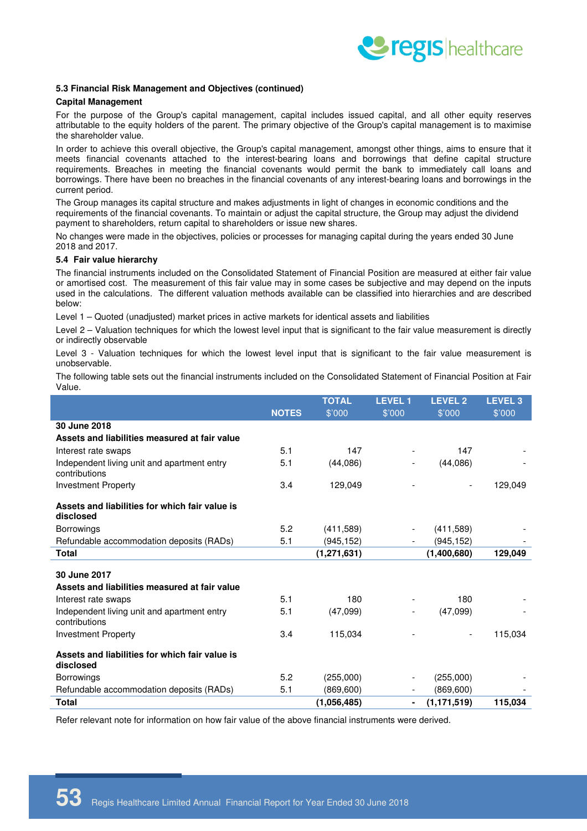

#### **5.3 Financial Risk Management and Objectives (continued)**

#### **Capital Management**

For the purpose of the Group's capital management, capital includes issued capital, and all other equity reserves attributable to the equity holders of the parent. The primary objective of the Group's capital management is to maximise the shareholder value.

In order to achieve this overall objective, the Group's capital management, amongst other things, aims to ensure that it meets financial covenants attached to the interest-bearing loans and borrowings that define capital structure requirements. Breaches in meeting the financial covenants would permit the bank to immediately call loans and borrowings. There have been no breaches in the financial covenants of any interest-bearing loans and borrowings in the current period.

The Group manages its capital structure and makes adjustments in light of changes in economic conditions and the requirements of the financial covenants. To maintain or adjust the capital structure, the Group may adjust the dividend payment to shareholders, return capital to shareholders or issue new shares.

No changes were made in the objectives, policies or processes for managing capital during the years ended 30 June 2018 and 2017.

#### **5.4 Fair value hierarchy**

The financial instruments included on the Consolidated Statement of Financial Position are measured at either fair value or amortised cost. The measurement of this fair value may in some cases be subjective and may depend on the inputs used in the calculations. The different valuation methods available can be classified into hierarchies and are described below:

Level 1 – Quoted (unadjusted) market prices in active markets for identical assets and liabilities

Level 2 – Valuation techniques for which the lowest level input that is significant to the fair value measurement is directly or indirectly observable

Level 3 - Valuation techniques for which the lowest level input that is significant to the fair value measurement is unobservable.

The following table sets out the financial instruments included on the Consolidated Statement of Financial Position at Fair Value.

|                                                              |              | <b>TOTAL</b>  | <b>LEVEL 1</b> | <b>LEVEL 2</b> | <b>LEVEL 3</b> |
|--------------------------------------------------------------|--------------|---------------|----------------|----------------|----------------|
|                                                              | <b>NOTES</b> | \$'000        | \$'000         | \$'000         | \$'000         |
| 30 June 2018                                                 |              |               |                |                |                |
| Assets and liabilities measured at fair value                |              |               |                |                |                |
| Interest rate swaps                                          | 5.1          | 147           |                | 147            |                |
| Independent living unit and apartment entry<br>contributions | 5.1          | (44,086)      |                | (44,086)       |                |
| <b>Investment Property</b>                                   | 3.4          | 129,049       |                |                | 129,049        |
| Assets and liabilities for which fair value is<br>disclosed  |              |               |                |                |                |
| Borrowings                                                   | 5.2          | (411,589)     |                | (411,589)      |                |
| Refundable accommodation deposits (RADs)                     | 5.1          | (945, 152)    |                | (945, 152)     |                |
| <b>Total</b>                                                 |              | (1, 271, 631) |                | (1,400,680)    | 129,049        |
| 30 June 2017                                                 |              |               |                |                |                |
| Assets and liabilities measured at fair value                |              |               |                |                |                |
| Interest rate swaps                                          | 5.1          | 180           |                | 180            |                |
| Independent living unit and apartment entry<br>contributions | 5.1          | (47,099)      |                | (47,099)       |                |
| <b>Investment Property</b>                                   | 3.4          | 115,034       |                |                | 115,034        |
| Assets and liabilities for which fair value is<br>disclosed  |              |               |                |                |                |
| Borrowings                                                   | 5.2          | (255,000)     |                | (255,000)      |                |
| Refundable accommodation deposits (RADs)                     | 5.1          | (869, 600)    |                | (869, 600)     |                |
| <b>Total</b>                                                 |              | (1,056,485)   |                | (1, 171, 519)  | 115,034        |

Refer relevant note for information on how fair value of the above financial instruments were derived.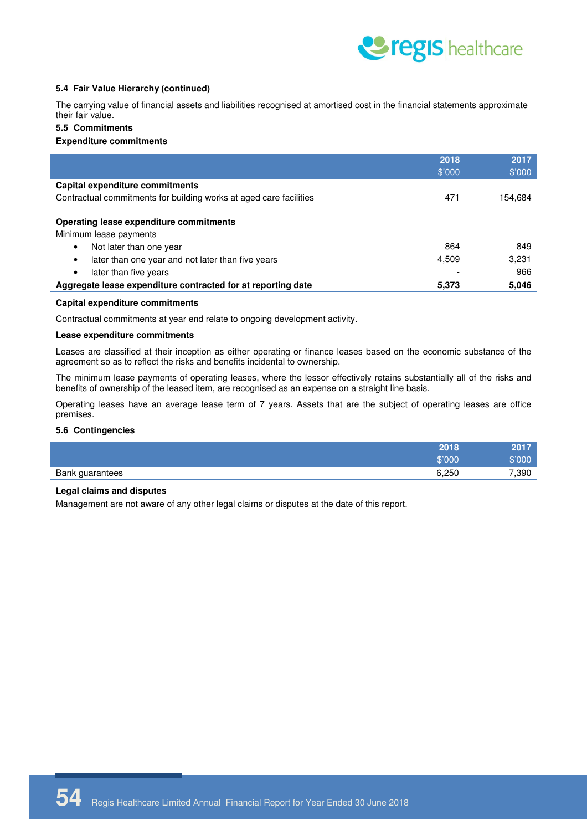

#### **5.4 Fair Value Hierarchy (continued)**

The carrying value of financial assets and liabilities recognised at amortised cost in the financial statements approximate their fair value.

#### **5.5 Commitments**

#### **Expenditure commitments**

|                                                                                                       | 2018<br>\$'000 | 2017<br>\$'000 |
|-------------------------------------------------------------------------------------------------------|----------------|----------------|
| Capital expenditure commitments<br>Contractual commitments for building works at aged care facilities | 471            | 154.684        |
| Operating lease expenditure commitments<br>Minimum lease payments                                     |                |                |
| Not later than one year<br>$\bullet$                                                                  | 864            | 849            |
| later than one year and not later than five years<br>٠                                                | 4,509          | 3,231          |
| later than five years<br>$\bullet$                                                                    |                | 966            |
| Aggregate lease expenditure contracted for at reporting date                                          | 5,373          | 5,046          |
|                                                                                                       |                |                |

#### **Capital expenditure commitments**

Contractual commitments at year end relate to ongoing development activity.

#### **Lease expenditure commitments**

Leases are classified at their inception as either operating or finance leases based on the economic substance of the agreement so as to reflect the risks and benefits incidental to ownership.

The minimum lease payments of operating leases, where the lessor effectively retains substantially all of the risks and benefits of ownership of the leased item, are recognised as an expense on a straight line basis.

Operating leases have an average lease term of 7 years. Assets that are the subject of operating leases are office premises.

#### **5.6 Contingencies**

|                        | 2018   | 2017   |
|------------------------|--------|--------|
|                        | \$'000 | \$'000 |
| <b>Bank guarantees</b> | 6,250  | 7,390  |

#### **Legal claims and disputes**

Management are not aware of any other legal claims or disputes at the date of this report.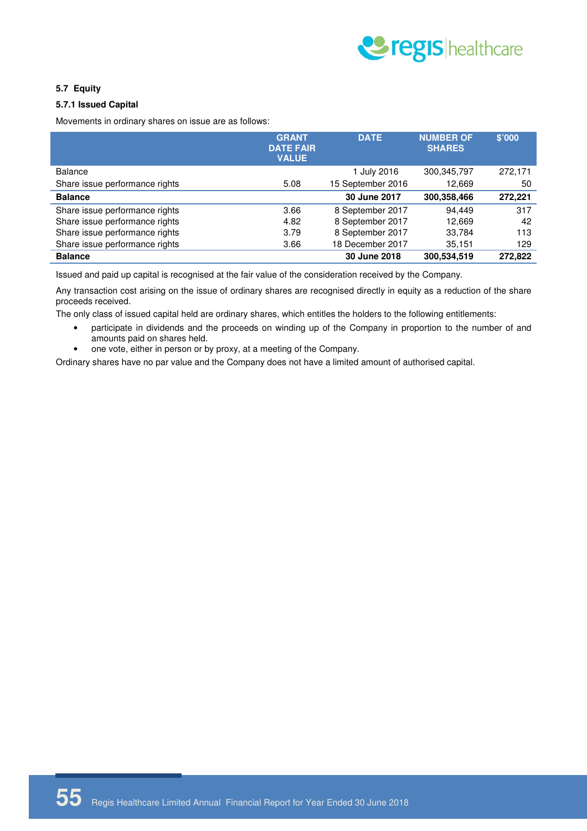

### **5.7 Equity**

#### **5.7.1 Issued Capital**

Movements in ordinary shares on issue are as follows:

|                                | <b>GRANT</b><br><b>DATE FAIR</b><br><b>VALUE</b> | <b>DATE</b>       | <b>NUMBER OF</b><br><b>SHARES</b> | \$'000  |
|--------------------------------|--------------------------------------------------|-------------------|-----------------------------------|---------|
| <b>Balance</b>                 |                                                  | 1 July 2016       | 300, 345, 797                     | 272,171 |
| Share issue performance rights | 5.08                                             | 15 September 2016 | 12,669                            | 50      |
| <b>Balance</b>                 |                                                  | 30 June 2017      | 300,358,466                       | 272.221 |
| Share issue performance rights | 3.66                                             | 8 September 2017  | 94.449                            | 317     |
| Share issue performance rights | 4.82                                             | 8 September 2017  | 12,669                            | 42      |
| Share issue performance rights | 3.79                                             | 8 September 2017  | 33.784                            | 113     |
| Share issue performance rights | 3.66                                             | 18 December 2017  | 35,151                            | 129     |
| <b>Balance</b>                 |                                                  | 30 June 2018      | 300.534,519                       | 272.822 |

Issued and paid up capital is recognised at the fair value of the consideration received by the Company.

Any transaction cost arising on the issue of ordinary shares are recognised directly in equity as a reduction of the share proceeds received.

The only class of issued capital held are ordinary shares, which entitles the holders to the following entitlements:

- participate in dividends and the proceeds on winding up of the Company in proportion to the number of and amounts paid on shares held.
- one vote, either in person or by proxy, at a meeting of the Company.

Ordinary shares have no par value and the Company does not have a limited amount of authorised capital.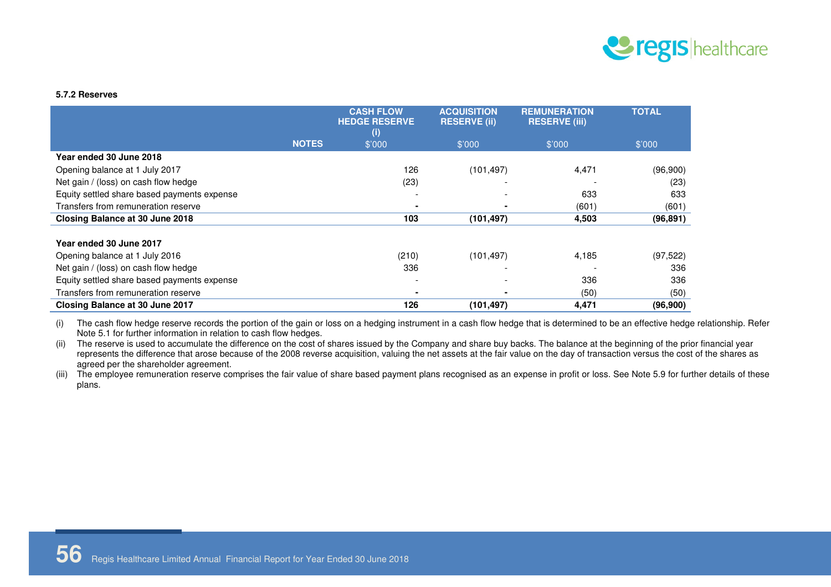

#### **5.7.2 Reserves**

|                                             |              | <b>CASH FLOW</b><br><b>HEDGE RESERVE</b> | <b>ACQUISITION</b><br><b>RESERVE (ii)</b> | <b>REMUNERATION</b><br><b>RESERVE (iii)</b> | <b>TOTAL</b> |
|---------------------------------------------|--------------|------------------------------------------|-------------------------------------------|---------------------------------------------|--------------|
|                                             |              | $\left( i\right)$                        |                                           |                                             |              |
|                                             | <b>NOTES</b> | \$'000                                   | \$'000                                    | \$'000                                      | \$'000       |
| Year ended 30 June 2018                     |              |                                          |                                           |                                             |              |
| Opening balance at 1 July 2017              |              | 126                                      | (101, 497)                                | 4,471                                       | (96,900)     |
| Net gain / (loss) on cash flow hedge        |              | (23)                                     |                                           |                                             | (23)         |
| Equity settled share based payments expense |              | $\overline{\phantom{a}}$                 | $\overline{\phantom{a}}$                  | 633                                         | 633          |
| Transfers from remuneration reserve         |              | $\blacksquare$                           |                                           | (601)                                       | (601)        |
| Closing Balance at 30 June 2018             |              | 103                                      | (101, 497)                                | 4,503                                       | (96, 891)    |
|                                             |              |                                          |                                           |                                             |              |
| Year ended 30 June 2017                     |              |                                          |                                           |                                             |              |
| Opening balance at 1 July 2016              |              | (210)                                    | (101, 497)                                | 4,185                                       | (97, 522)    |
| Net gain / (loss) on cash flow hedge        |              | 336                                      |                                           |                                             | 336          |
| Equity settled share based payments expense |              | $\overline{\phantom{a}}$                 |                                           | 336                                         | 336          |
| Transfers from remuneration reserve         |              |                                          |                                           | (50)                                        | (50)         |
| Closing Balance at 30 June 2017             |              | 126                                      | (101, 497)                                | 4,471                                       | (96, 900)    |

(i) The cash flow hedge reserve records the portion of the gain or loss on a hedging instrument in a cash flow hedge that is determined to be an effective hedge relationship. Refer Note 5.1 for further information in relation to cash flow hedges.

(ii) The reserve is used to accumulate the difference on the cost of shares issued by the Company and share buy backs. The balance at the beginning of the prior financial year represents the difference that arose because of the 2008 reverse acquisition, valuing the net assets at the fair value on the day of transaction versus the cost of the shares as agreed per the shareholder agreement.

(iii) The employee remuneration reserve comprises the fair value of share based payment plans recognised as an expense in profit or loss. See Note 5.9 for further details of these plans.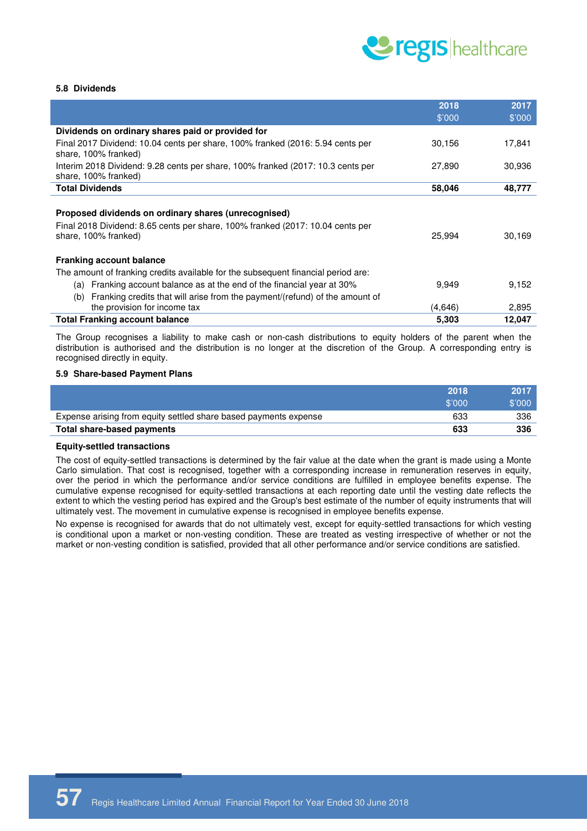

#### **5.8 Dividends**

|                                                                                                                                                                | 2018    | 2017   |
|----------------------------------------------------------------------------------------------------------------------------------------------------------------|---------|--------|
|                                                                                                                                                                | \$'000  | \$'000 |
| Dividends on ordinary shares paid or provided for                                                                                                              |         |        |
| Final 2017 Dividend: 10.04 cents per share, 100% franked (2016: 5.94 cents per<br>share, 100% franked)                                                         | 30,156  | 17,841 |
| Interim 2018 Dividend: 9.28 cents per share, 100% franked (2017: 10.3 cents per<br>share, 100% franked)                                                        | 27,890  | 30,936 |
| <b>Total Dividends</b>                                                                                                                                         | 58,046  | 48,777 |
| Proposed dividends on ordinary shares (unrecognised)<br>Final 2018 Dividend: 8.65 cents per share, 100% franked (2017: 10.04 cents per<br>share, 100% franked) | 25,994  | 30,169 |
| <b>Franking account balance</b>                                                                                                                                |         |        |
| The amount of franking credits available for the subsequent financial period are:                                                                              |         |        |
| Franking account balance as at the end of the financial year at 30%<br>(a)                                                                                     | 9,949   | 9,152  |
| Franking credits that will arise from the payment/(refund) of the amount of<br>(b)<br>the provision for income tax                                             | (4,646) | 2,895  |
| <b>Total Franking account balance</b>                                                                                                                          | 5,303   | 12,047 |

The Group recognises a liability to make cash or non-cash distributions to equity holders of the parent when the distribution is authorised and the distribution is no longer at the discretion of the Group. A corresponding entry is recognised directly in equity.

#### **5.9 Share-based Payment Plans**

|                                                                  | 2018   | 2017    |
|------------------------------------------------------------------|--------|---------|
|                                                                  | \$7000 | \$'000' |
| Expense arising from equity settled share based payments expense | 633    | 336     |
| Total share-based payments                                       | 633    | 336     |

#### **Equity-settled transactions**

The cost of equity-settled transactions is determined by the fair value at the date when the grant is made using a Monte Carlo simulation. That cost is recognised, together with a corresponding increase in remuneration reserves in equity, over the period in which the performance and/or service conditions are fulfilled in employee benefits expense. The cumulative expense recognised for equity-settled transactions at each reporting date until the vesting date reflects the extent to which the vesting period has expired and the Group's best estimate of the number of equity instruments that will ultimately vest. The movement in cumulative expense is recognised in employee benefits expense.

No expense is recognised for awards that do not ultimately vest, except for equity-settled transactions for which vesting is conditional upon a market or non-vesting condition. These are treated as vesting irrespective of whether or not the market or non-vesting condition is satisfied, provided that all other performance and/or service conditions are satisfied.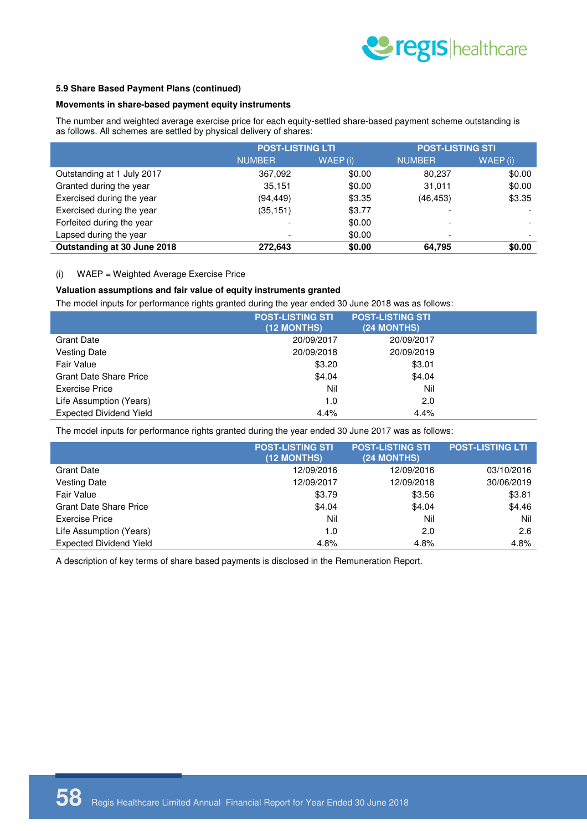

#### **5.9 Share Based Payment Plans (continued)**

#### **Movements in share-based payment equity instruments**

The number and weighted average exercise price for each equity-settled share-based payment scheme outstanding is as follows. All schemes are settled by physical delivery of shares:

|                             | <b>POST-LISTING LTI</b>  |          | <b>POST-LISTING STI</b> |         |
|-----------------------------|--------------------------|----------|-------------------------|---------|
|                             | <b>NUMBER</b>            | WAEP (i) | <b>NUMBER</b>           | WAEP(i) |
| Outstanding at 1 July 2017  | 367,092                  | \$0.00   | 80.237                  | \$0.00  |
| Granted during the year     | 35,151                   | \$0.00   | 31.011                  | \$0.00  |
| Exercised during the year   | (94, 449)                | \$3.35   | (46, 453)               | \$3.35  |
| Exercised during the year   | (35, 151)                | \$3.77   |                         |         |
| Forfeited during the year   |                          | \$0.00   |                         |         |
| Lapsed during the year      | $\overline{\phantom{0}}$ | \$0.00   |                         |         |
| Outstanding at 30 June 2018 | 272.643                  | \$0.00   | 64.795                  | \$0.00  |

#### (i) WAEP = Weighted Average Exercise Price

#### **Valuation assumptions and fair value of equity instruments granted**

The model inputs for performance rights granted during the year ended 30 June 2018 was as follows:

|                                | <b>POST-LISTING STI</b><br>(12 MONTHS) | <b>POST-LISTING STI</b><br>(24 MONTHS) |  |
|--------------------------------|----------------------------------------|----------------------------------------|--|
| <b>Grant Date</b>              | 20/09/2017                             | 20/09/2017                             |  |
| <b>Vesting Date</b>            | 20/09/2018                             | 20/09/2019                             |  |
| Fair Value                     | \$3.20                                 | \$3.01                                 |  |
| <b>Grant Date Share Price</b>  | \$4.04                                 | \$4.04                                 |  |
| Exercise Price                 | Nil                                    | Nil                                    |  |
| Life Assumption (Years)        | 1.0                                    | 2.0                                    |  |
| <b>Expected Dividend Yield</b> | 4.4%                                   | 4.4%                                   |  |

The model inputs for performance rights granted during the year ended 30 June 2017 was as follows:

|                                | <b>POST-LISTING STI</b><br>(12 MONTHS) | <b>POST-LISTING STI</b><br>(24 MONTHS) | <b>POST-LISTING LTI</b> |
|--------------------------------|----------------------------------------|----------------------------------------|-------------------------|
| <b>Grant Date</b>              | 12/09/2016                             | 12/09/2016                             | 03/10/2016              |
| <b>Vesting Date</b>            | 12/09/2017                             | 12/09/2018                             | 30/06/2019              |
| Fair Value                     | \$3.79                                 | \$3.56                                 | \$3.81                  |
| <b>Grant Date Share Price</b>  | \$4.04                                 | \$4.04                                 | \$4.46                  |
| <b>Exercise Price</b>          | Nil                                    | Nil                                    | Nil                     |
| Life Assumption (Years)        | 1.0                                    | 2.0                                    | 2.6                     |
| <b>Expected Dividend Yield</b> | 4.8%                                   | 4.8%                                   | 4.8%                    |

A description of key terms of share based payments is disclosed in the Remuneration Report.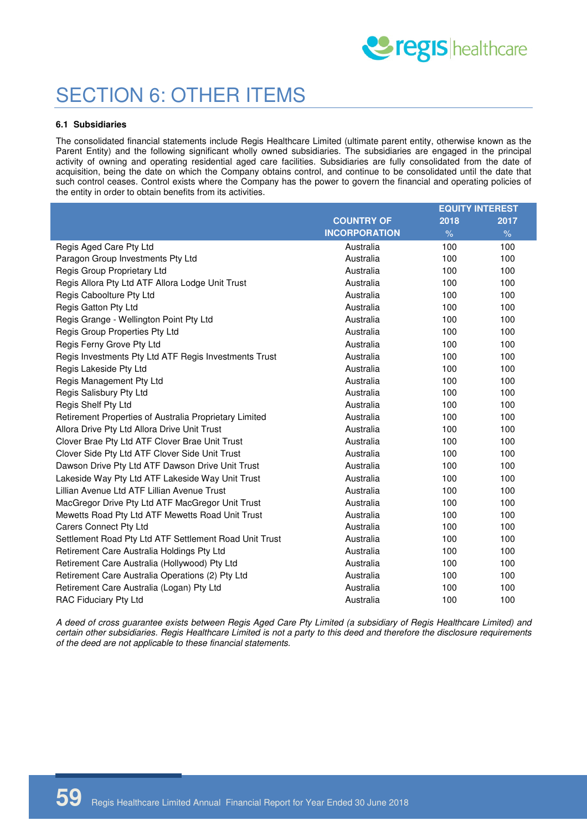

# SECTION 6: OTHER ITEMS

#### **6.1 Subsidiaries**

The consolidated financial statements include Regis Healthcare Limited (ultimate parent entity, otherwise known as the Parent Entity) and the following significant wholly owned subsidiaries. The subsidiaries are engaged in the principal activity of owning and operating residential aged care facilities. Subsidiaries are fully consolidated from the date of acquisition, being the date on which the Company obtains control, and continue to be consolidated until the date that such control ceases. Control exists where the Company has the power to govern the financial and operating policies of the entity in order to obtain benefits from its activities.

|                                                        |                      | <b>EQUITY INTEREST</b> |      |
|--------------------------------------------------------|----------------------|------------------------|------|
|                                                        | <b>COUNTRY OF</b>    | 2018                   | 2017 |
|                                                        | <b>INCORPORATION</b> | $\%$                   | $\%$ |
| Regis Aged Care Pty Ltd                                | Australia            | 100                    | 100  |
| Paragon Group Investments Pty Ltd                      | Australia            | 100                    | 100  |
| Regis Group Proprietary Ltd                            | Australia            | 100                    | 100  |
| Regis Allora Pty Ltd ATF Allora Lodge Unit Trust       | Australia            | 100                    | 100  |
| Regis Caboolture Pty Ltd                               | Australia            | 100                    | 100  |
| Regis Gatton Pty Ltd                                   | Australia            | 100                    | 100  |
| Regis Grange - Wellington Point Pty Ltd                | Australia            | 100                    | 100  |
| Regis Group Properties Pty Ltd                         | Australia            | 100                    | 100  |
| Regis Ferny Grove Pty Ltd                              | Australia            | 100                    | 100  |
| Regis Investments Pty Ltd ATF Regis Investments Trust  | Australia            | 100                    | 100  |
| Regis Lakeside Pty Ltd                                 | Australia            | 100                    | 100  |
| Regis Management Pty Ltd                               | Australia            | 100                    | 100  |
| Regis Salisbury Pty Ltd                                | Australia            | 100                    | 100  |
| Regis Shelf Pty Ltd                                    | Australia            | 100                    | 100  |
| Retirement Properties of Australia Proprietary Limited | Australia            | 100                    | 100  |
| Allora Drive Pty Ltd Allora Drive Unit Trust           | Australia            | 100                    | 100  |
| Clover Brae Pty Ltd ATF Clover Brae Unit Trust         | Australia            | 100                    | 100  |
| Clover Side Pty Ltd ATF Clover Side Unit Trust         | Australia            | 100                    | 100  |
| Dawson Drive Pty Ltd ATF Dawson Drive Unit Trust       | Australia            | 100                    | 100  |
| Lakeside Way Pty Ltd ATF Lakeside Way Unit Trust       | Australia            | 100                    | 100  |
| Lillian Avenue Ltd ATF Lillian Avenue Trust            | Australia            | 100                    | 100  |
| MacGregor Drive Pty Ltd ATF MacGregor Unit Trust       | Australia            | 100                    | 100  |
| Mewetts Road Pty Ltd ATF Mewetts Road Unit Trust       | Australia            | 100                    | 100  |
| <b>Carers Connect Pty Ltd</b>                          | Australia            | 100                    | 100  |
| Settlement Road Pty Ltd ATF Settlement Road Unit Trust | Australia            | 100                    | 100  |
| Retirement Care Australia Holdings Pty Ltd             | Australia            | 100                    | 100  |
| Retirement Care Australia (Hollywood) Pty Ltd          | Australia            | 100                    | 100  |
| Retirement Care Australia Operations (2) Pty Ltd       | Australia            | 100                    | 100  |
| Retirement Care Australia (Logan) Pty Ltd              | Australia            | 100                    | 100  |
| RAC Fiduciary Pty Ltd                                  | Australia            | 100                    | 100  |

A deed of cross guarantee exists between Regis Aged Care Pty Limited (a subsidiary of Regis Healthcare Limited) and certain other subsidiaries. Regis Healthcare Limited is not a party to this deed and therefore the disclosure requirements of the deed are not applicable to these financial statements.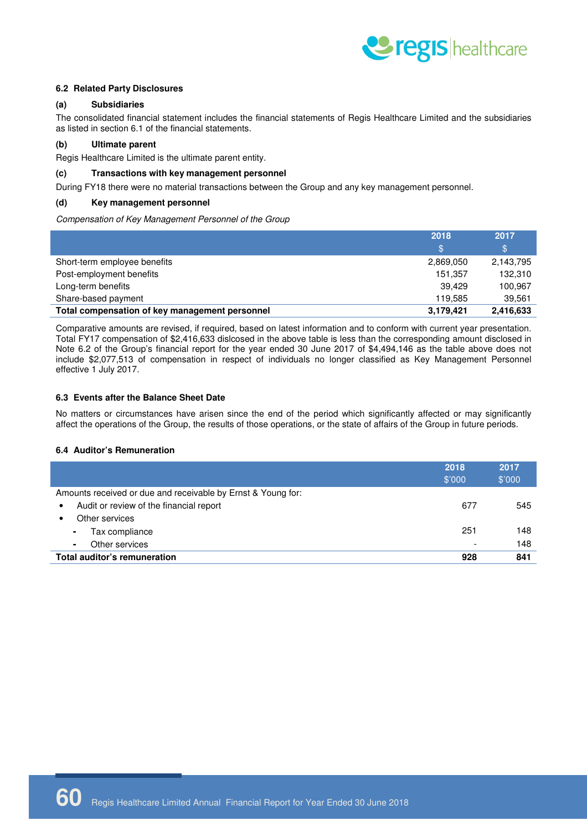

#### **6.2 Related Party Disclosures**

#### **(a) Subsidiaries**

The consolidated financial statement includes the financial statements of Regis Healthcare Limited and the subsidiaries as listed in section 6.1 of the financial statements.

#### **(b) Ultimate parent**

Regis Healthcare Limited is the ultimate parent entity.

#### **(c) Transactions with key management personnel**

During FY18 there were no material transactions between the Group and any key management personnel.

#### **(d) Key management personnel**

Compensation of Key Management Personnel of the Group

|                                                | 2018      | 2017         |
|------------------------------------------------|-----------|--------------|
|                                                | \$        | $\mathbb{S}$ |
| Short-term employee benefits                   | 2,869,050 | 2,143,795    |
| Post-employment benefits                       | 151.357   | 132,310      |
| Long-term benefits                             | 39.429    | 100.967      |
| Share-based payment                            | 119.585   | 39.561       |
| Total compensation of key management personnel | 3,179,421 | 2,416,633    |

Comparative amounts are revised, if required, based on latest information and to conform with current year presentation. Total FY17 compensation of \$2,416,633 dislcosed in the above table is less than the corresponding amount disclosed in Note 6.2 of the Group's financial report for the year ended 30 June 2017 of \$4,494,146 as the table above does not include \$2,077,513 of compensation in respect of individuals no longer classified as Key Management Personnel effective 1 July 2017.

#### **6.3 Events after the Balance Sheet Date**

No matters or circumstances have arisen since the end of the period which significantly affected or may significantly affect the operations of the Group, the results of those operations, or the state of affairs of the Group in future periods.

#### **6.4 Auditor's Remuneration**

|                                                              | 2018                     | 2017   |
|--------------------------------------------------------------|--------------------------|--------|
|                                                              | \$'000                   | \$'000 |
| Amounts received or due and receivable by Ernst & Young for: |                          |        |
| Audit or review of the financial report<br>٠                 | 677                      | 545    |
| Other services<br>٠                                          |                          |        |
| Tax compliance<br>$\blacksquare$                             | 251                      | 148    |
| Other services<br>$\blacksquare$                             | $\overline{\phantom{a}}$ | 148    |
| Total auditor's remuneration                                 | 928                      | 841    |
|                                                              |                          |        |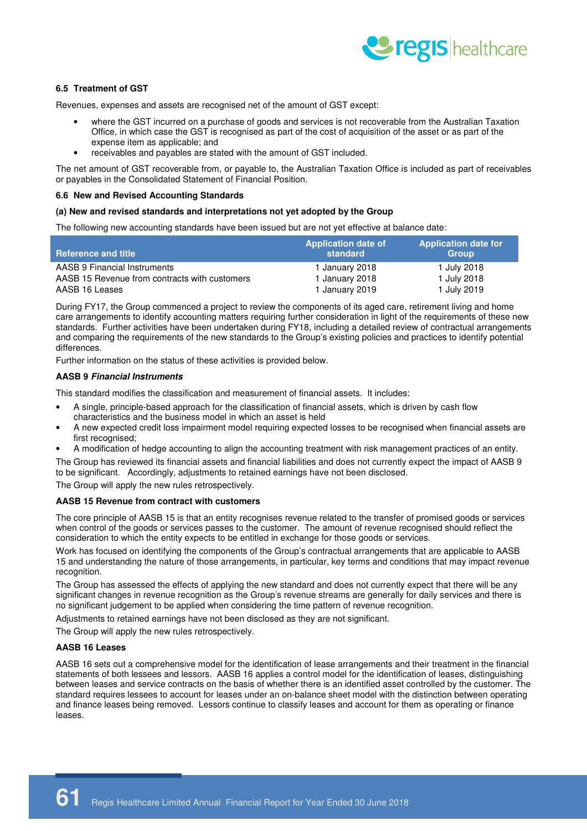

#### **6.5 Treatment of GST**

Revenues, expenses and assets are recognised net of the amount of GST except:

- where the GST incurred on a purchase of goods and services is not recoverable from the Australian Taxation Office, in which case the GST is recognised as part of the cost of acquisition of the asset or as part of the expense item as applicable; and
- receivables and payables are stated with the amount of GST included.

The net amount of GST recoverable from, or payable to, the Australian Taxation Office is included as part of receivables or payables in the Consolidated Statement of Financial Position.

#### **6.6 New and Revised Accounting Standards**

#### **(a) New and revised standards and interpretations not yet adopted by the Group**

The following new accounting standards have been issued but are not yet effective at balance date:

| <b>Reference and title</b>                    | <b>Application date of</b><br>standard | <b>Application date for</b><br><b>Group</b> |
|-----------------------------------------------|----------------------------------------|---------------------------------------------|
| AASB 9 Financial Instruments                  | 1 January 2018                         | 1 July 2018                                 |
| AASB 15 Revenue from contracts with customers | 1 January 2018                         | 1 July 2018                                 |
| AASB 16 Leases                                | 1 January 2019                         | 1 July 2019                                 |

During FY17, the Group commenced a project to review the components of its aged care, retirement living and home care arrangements to identify accounting matters requiring further consideration in light of the requirements of these new standards. Further activities have been undertaken during FY18, including a detailed review of contractual arrangements and comparing the requirements of the new standards to the Group's existing policies and practices to identify potential differences.

Further information on the status of these activities is provided below.

#### **AASB 9 Financial Instruments**

This standard modifies the classification and measurement of financial assets. It includes:

- A single, principle-based approach for the classification of financial assets, which is driven by cash flow characteristics and the business model in which an asset is held
- A new expected credit loss impairment model requiring expected losses to be recognised when financial assets are first recognised;
- A modification of hedge accounting to align the accounting treatment with risk management practices of an entity.
- The Group has reviewed its financial assets and financial liabilities and does not currently expect the impact of AASB 9 to be significant. Accordingly, adjustments to retained earnings have not been disclosed.

The Group will apply the new rules retrospectively.

#### **AASB 15 Revenue from contract with customers**

The core principle of AASB 15 is that an entity recognises revenue related to the transfer of promised goods or services when control of the goods or services passes to the customer. The amount of revenue recognised should reflect the consideration to which the entity expects to be entitled in exchange for those goods or services.

Work has focused on identifying the components of the Group's contractual arrangements that are applicable to AASB 15 and understanding the nature of those arrangements, in particular, key terms and conditions that may impact revenue recognition.

The Group has assessed the effects of applying the new standard and does not currently expect that there will be any significant changes in revenue recognition as the Group's revenue streams are generally for daily services and there is no significant judgement to be applied when considering the time pattern of revenue recognition.

Adjustments to retained earnings have not been disclosed as they are not significant.

The Group will apply the new rules retrospectively.

#### **AASB 16 Leases**

AASB 16 sets out a comprehensive model for the identification of lease arrangements and their treatment in the financial statements of both lessees and lessors. AASB 16 applies a control model for the identification of leases, distinguishing between leases and service contracts on the basis of whether there is an identified asset controlled by the customer. The standard requires lessees to account for leases under an on-balance sheet model with the distinction between operating and finance leases being removed. Lessors continue to classify leases and account for them as operating or finance leases.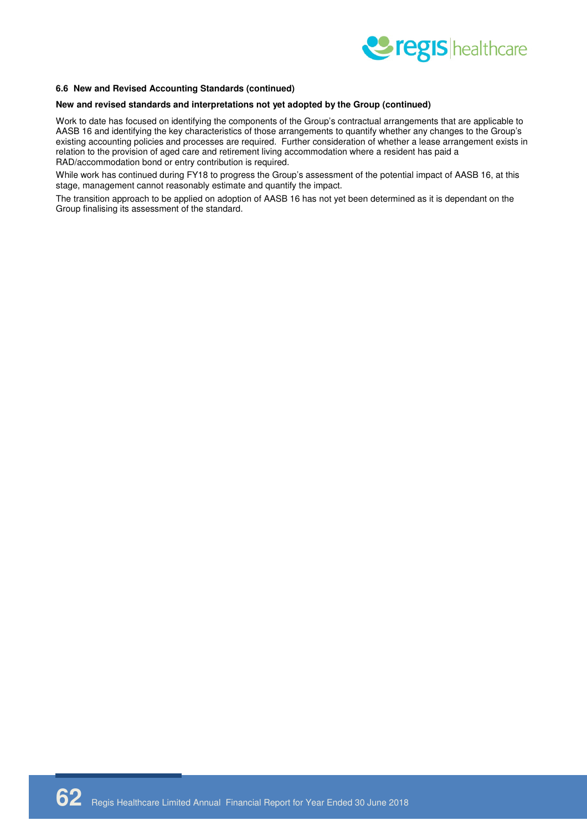

#### **6.6 New and Revised Accounting Standards (continued)**

#### **New and revised standards and interpretations not yet adopted by the Group (continued)**

Work to date has focused on identifying the components of the Group's contractual arrangements that are applicable to AASB 16 and identifying the key characteristics of those arrangements to quantify whether any changes to the Group's existing accounting policies and processes are required. Further consideration of whether a lease arrangement exists in relation to the provision of aged care and retirement living accommodation where a resident has paid a RAD/accommodation bond or entry contribution is required.

While work has continued during FY18 to progress the Group's assessment of the potential impact of AASB 16, at this stage, management cannot reasonably estimate and quantify the impact.

The transition approach to be applied on adoption of AASB 16 has not yet been determined as it is dependant on the Group finalising its assessment of the standard.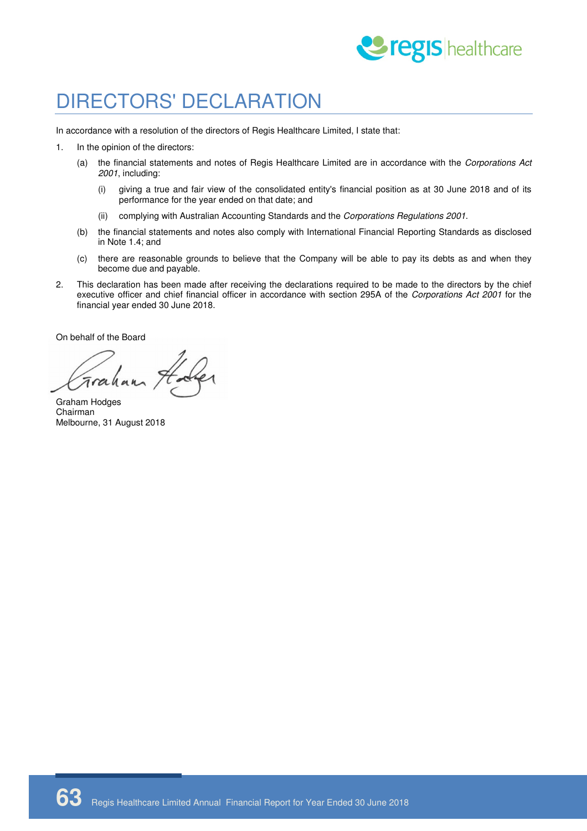

# DIRECTORS' DECLARATION

In accordance with a resolution of the directors of Regis Healthcare Limited, I state that:

- 1. In the opinion of the directors:
	- (a) the financial statements and notes of Regis Healthcare Limited are in accordance with the Corporations Act 2001, including:
		- (i) giving a true and fair view of the consolidated entity's financial position as at 30 June 2018 and of its performance for the year ended on that date; and
		- (ii) complying with Australian Accounting Standards and the Corporations Regulations 2001.
	- (b) the financial statements and notes also comply with International Financial Reporting Standards as disclosed in Note 1.4; and
	- (c) there are reasonable grounds to believe that the Company will be able to pay its debts as and when they become due and payable.
- 2. This declaration has been made after receiving the declarations required to be made to the directors by the chief executive officer and chief financial officer in accordance with section 295A of the Corporations Act 2001 for the financial year ended 30 June 2018.

On behalf of the Board

Graham Hodges Chairman Melbourne, 31 August 2018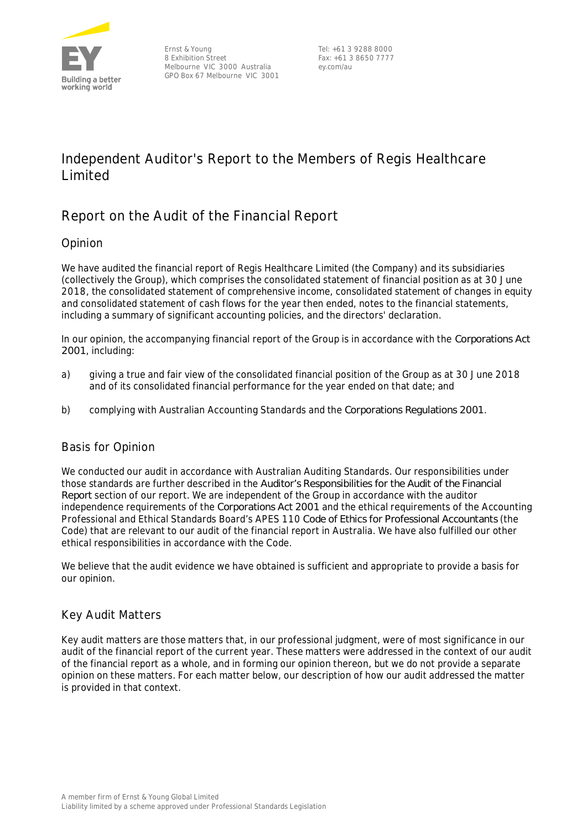

Ernst & Young 8 Exhibition Street Melbourne VIC 3000 Australia GPO Box 67 Melbourne VIC 3001

Tel: +61 3 9288 8000 Fax: +61 3 8650 7777 ey.com/au

## **Independent Auditor's Report to the Members of Regis Healthcare Limited**

### Report on the Audit of the Financial Report

### Opinion

We have audited the financial report of Regis Healthcare Limited (the Company) and its subsidiaries (collectively the Group), which comprises the consolidated statement of financial position as at 30 June 2018, the consolidated statement of comprehensive income, consolidated statement of changes in equity and consolidated statement of cash flows for the year then ended, notes to the financial statements, including a summary of significant accounting policies, and the directors' declaration.

In our opinion, the accompanying financial report of the Group is in accordance with the *Corporations Act 2001*, including:

- a) giving a true and fair view of the consolidated financial position of the Group as at 30 June 2018 and of its consolidated financial performance for the year ended on that date; and
- b) complying with Australian Accounting Standards and the *Corporations Regulations 2001*.

### Basis for Opinion

We conducted our audit in accordance with Australian Auditing Standards. Our responsibilities under those standards are further described in the *Auditor's Responsibilities for the Audit of the Financial Report* section of our report. We are independent of the Group in accordance with the auditor independence requirements of the *Corporations Act 2001* and the ethical requirements of the Accounting Professional and Ethical Standards Board's APES 110 *Code of Ethics for Professional Accountants* (the Code) that are relevant to our audit of the financial report in Australia. We have also fulfilled our other ethical responsibilities in accordance with the Code.

We believe that the audit evidence we have obtained is sufficient and appropriate to provide a basis for our opinion.

### Key Audit Matters

Key audit matters are those matters that, in our professional judgment, were of most significance in our audit of the financial report of the current year. These matters were addressed in the context of our audit of the financial report as a whole, and in forming our opinion thereon, but we do not provide a separate opinion on these matters. For each matter below, our description of how our audit addressed the matter is provided in that context.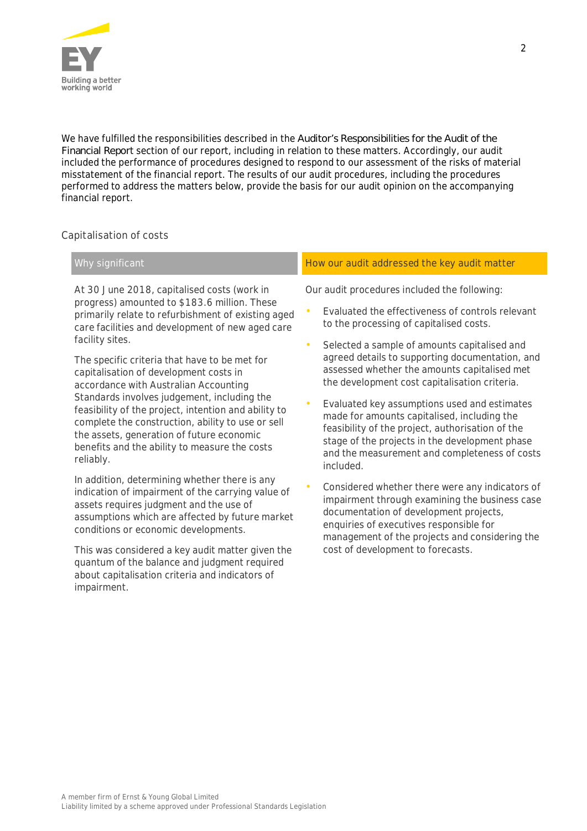

We have fulfilled the responsibilities described in the *Auditor's Responsibilities for the Audit of the Financial Repor*t section of our report, including in relation to these matters. Accordingly, our audit included the performance of procedures designed to respond to our assessment of the risks of material misstatement of the financial report. The results of our audit procedures, including the procedures performed to address the matters below, provide the basis for our audit opinion on the accompanying financial report.

**Capitalisation of costs**

At 30 June 2018, capitalised costs (work in progress) amounted to \$183.6 million. These primarily relate to refurbishment of existing aged care facilities and development of new aged care facility sites.

The specific criteria that have to be met for capitalisation of development costs in accordance with Australian Accounting Standards involves judgement, including the feasibility of the project, intention and ability to complete the construction, ability to use or sell the assets, generation of future economic benefits and the ability to measure the costs reliably.

In addition, determining whether there is any indication of impairment of the carrying value of assets requires judgment and the use of assumptions which are affected by future market conditions or economic developments.

This was considered a key audit matter given the quantum of the balance and judgment required about capitalisation criteria and indicators of impairment.

#### **Why significant How our audit addressed the key audit matter**

Our audit procedures included the following:

- Evaluated the effectiveness of controls relevant to the processing of capitalised costs.
- Selected a sample of amounts capitalised and agreed details to supporting documentation, and assessed whether the amounts capitalised met the development cost capitalisation criteria.
- Evaluated key assumptions used and estimates made for amounts capitalised, including the feasibility of the project, authorisation of the stage of the projects in the development phase and the measurement and completeness of costs included.
- Considered whether there were any indicators of impairment through examining the business case documentation of development projects, enquiries of executives responsible for management of the projects and considering the cost of development to forecasts.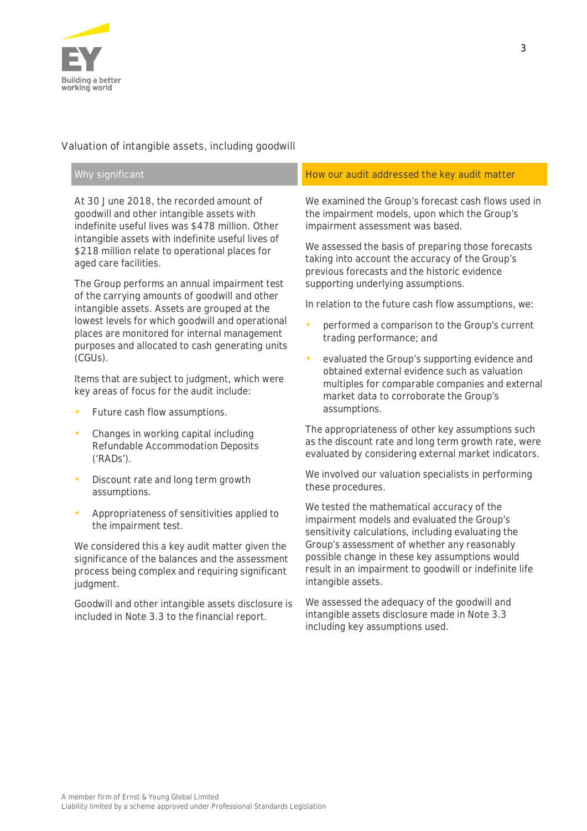

### **Valuation of intangible assets, including goodwill**

At 30 June 2018, the recorded amount of goodwill and other intangible assets with indefinite useful lives was \$478 million. Other intangible assets with indefinite useful lives of \$218 million relate to operational places for aged care facilities.

The Group performs an annual impairment test of the carrying amounts of goodwill and other intangible assets. Assets are grouped at the lowest levels for which goodwill and operational places are monitored for internal management purposes and allocated to cash generating units (CGUs).

Items that are subject to judgment, which were key areas of focus for the audit include:

- Future cash flow assumptions.
- Changes in working capital including Refundable Accommodation Deposits ('RADs').
- Discount rate and long term growth assumptions.
- Appropriateness of sensitivities applied to the impairment test.

We considered this a key audit matter given the significance of the balances and the assessment process being complex and requiring significant judgment.

Goodwill and other intangible assets disclosure is included in Note 3.3 to the financial report.

### **Why significant How our audit addressed the key audit matter**

We examined the Group's forecast cash flows used in the impairment models, upon which the Group's impairment assessment was based.

We assessed the basis of preparing those forecasts taking into account the accuracy of the Group's previous forecasts and the historic evidence supporting underlying assumptions.

In relation to the future cash flow assumptions, we:

- performed a comparison to the Group's current trading performance; and
- evaluated the Group's supporting evidence and obtained external evidence such as valuation multiples for comparable companies and external market data to corroborate the Group's assumptions.

The appropriateness of other key assumptions such as the discount rate and long term growth rate, were evaluated by considering external market indicators.

We involved our valuation specialists in performing these procedures.

We tested the mathematical accuracy of the impairment models and evaluated the Group's sensitivity calculations, including evaluating the Group's assessment of whether any reasonably possible change in these key assumptions would result in an impairment to goodwill or indefinite life intangible assets.

We assessed the adequacy of the goodwill and intangible assets disclosure made in Note 3.3 including key assumptions used.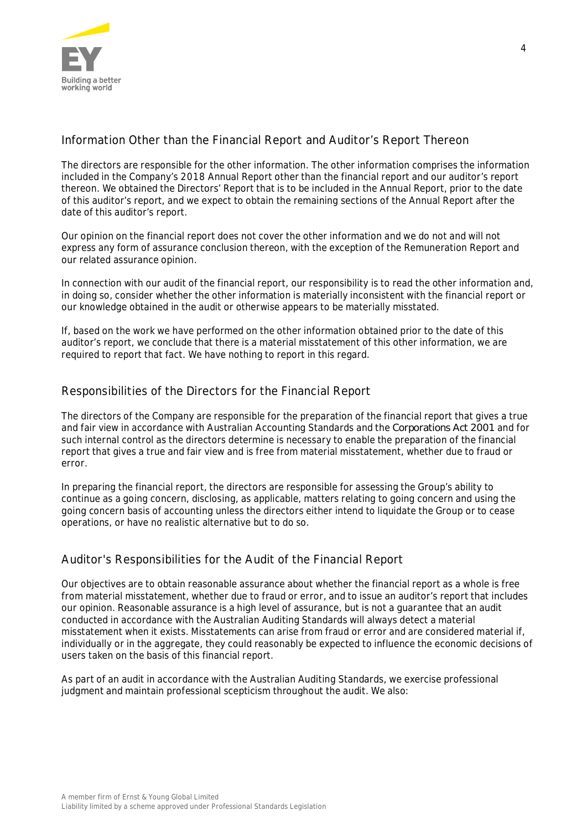

### Information Other than the Financial Report and Auditor's Report Thereon

The directors are responsible for the other information. The other information comprises the information included in the Company's 2018 Annual Report other than the financial report and our auditor's report thereon. We obtained the Directors' Report that is to be included in the Annual Report, prior to the date of this auditor's report, and we expect to obtain the remaining sections of the Annual Report after the date of this auditor's report.

Our opinion on the financial report does not cover the other information and we do not and will not express any form of assurance conclusion thereon, with the exception of the Remuneration Report and our related assurance opinion.

In connection with our audit of the financial report, our responsibility is to read the other information and, in doing so, consider whether the other information is materially inconsistent with the financial report or our knowledge obtained in the audit or otherwise appears to be materially misstated.

If, based on the work we have performed on the other information obtained prior to the date of this auditor's report, we conclude that there is a material misstatement of this other information, we are required to report that fact. We have nothing to report in this regard.

### Responsibilities of the Directors for the Financial Report

The directors of the Company are responsible for the preparation of the financial report that gives a true and fair view in accordance with Australian Accounting Standards and the *Corporations Act 2001* and for such internal control as the directors determine is necessary to enable the preparation of the financial report that gives a true and fair view and is free from material misstatement, whether due to fraud or error.

In preparing the financial report, the directors are responsible for assessing the Group's ability to continue as a going concern, disclosing, as applicable, matters relating to going concern and using the going concern basis of accounting unless the directors either intend to liquidate the Group or to cease operations, or have no realistic alternative but to do so.

### Auditor's Responsibilities for the Audit of the Financial Report

Our objectives are to obtain reasonable assurance about whether the financial report as a whole is free from material misstatement, whether due to fraud or error, and to issue an auditor's report that includes our opinion. Reasonable assurance is a high level of assurance, but is not a guarantee that an audit conducted in accordance with the Australian Auditing Standards will always detect a material misstatement when it exists. Misstatements can arise from fraud or error and are considered material if, individually or in the aggregate, they could reasonably be expected to influence the economic decisions of users taken on the basis of this financial report.

As part of an audit in accordance with the Australian Auditing Standards, we exercise professional judgment and maintain professional scepticism throughout the audit. We also: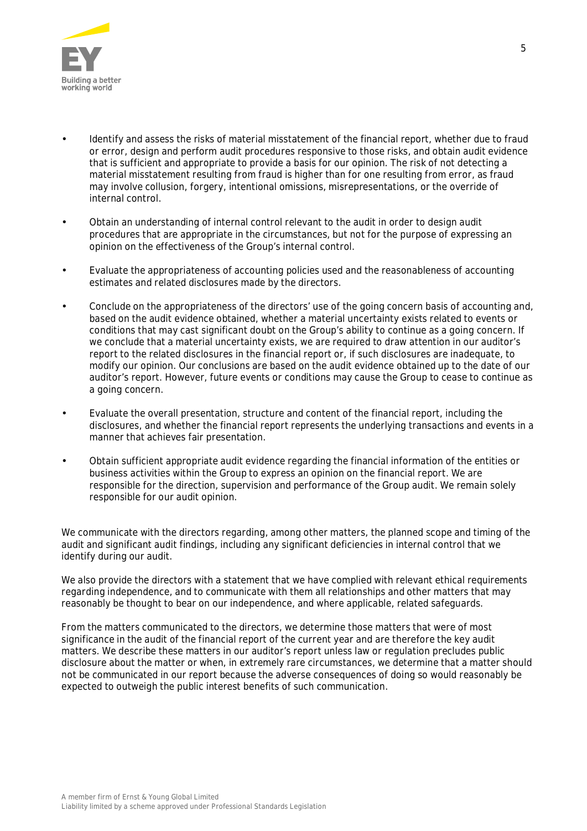

- Identify and assess the risks of material misstatement of the financial report, whether due to fraud or error, design and perform audit procedures responsive to those risks, and obtain audit evidence that is sufficient and appropriate to provide a basis for our opinion. The risk of not detecting a material misstatement resulting from fraud is higher than for one resulting from error, as fraud may involve collusion, forgery, intentional omissions, misrepresentations, or the override of internal control.
- Obtain an understanding of internal control relevant to the audit in order to design audit procedures that are appropriate in the circumstances, but not for the purpose of expressing an opinion on the effectiveness of the Group's internal control.
- Evaluate the appropriateness of accounting policies used and the reasonableness of accounting estimates and related disclosures made by the directors.
- Conclude on the appropriateness of the directors' use of the going concern basis of accounting and, based on the audit evidence obtained, whether a material uncertainty exists related to events or conditions that may cast significant doubt on the Group's ability to continue as a going concern. If we conclude that a material uncertainty exists, we are required to draw attention in our auditor's report to the related disclosures in the financial report or, if such disclosures are inadequate, to modify our opinion. Our conclusions are based on the audit evidence obtained up to the date of our auditor's report. However, future events or conditions may cause the Group to cease to continue as a going concern.
- Evaluate the overall presentation, structure and content of the financial report, including the disclosures, and whether the financial report represents the underlying transactions and events in a manner that achieves fair presentation.
- Obtain sufficient appropriate audit evidence regarding the financial information of the entities or business activities within the Group to express an opinion on the financial report. We are responsible for the direction, supervision and performance of the Group audit. We remain solely responsible for our audit opinion.

We communicate with the directors regarding, among other matters, the planned scope and timing of the audit and significant audit findings, including any significant deficiencies in internal control that we identify during our audit.

We also provide the directors with a statement that we have complied with relevant ethical requirements regarding independence, and to communicate with them all relationships and other matters that may reasonably be thought to bear on our independence, and where applicable, related safeguards.

From the matters communicated to the directors, we determine those matters that were of most significance in the audit of the financial report of the current year and are therefore the key audit matters. We describe these matters in our auditor's report unless law or regulation precludes public disclosure about the matter or when, in extremely rare circumstances, we determine that a matter should not be communicated in our report because the adverse consequences of doing so would reasonably be expected to outweigh the public interest benefits of such communication.